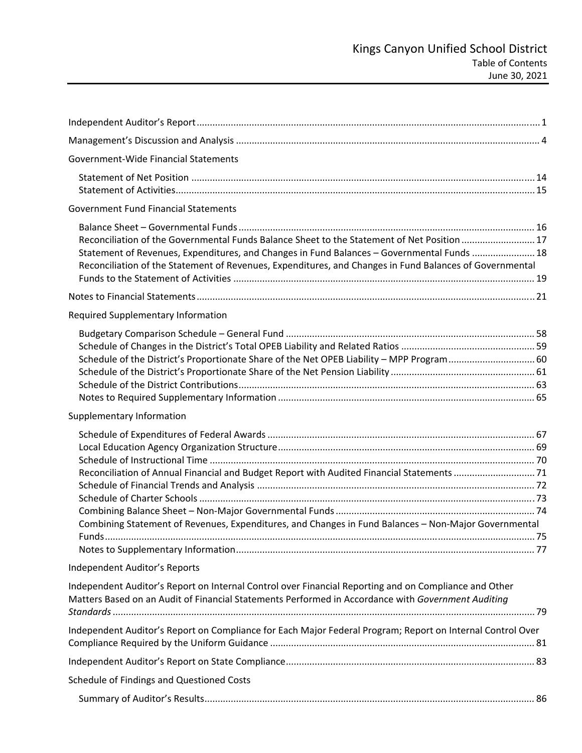| Government-Wide Financial Statements                                                                                                                                                                                                                                                                 |  |
|------------------------------------------------------------------------------------------------------------------------------------------------------------------------------------------------------------------------------------------------------------------------------------------------------|--|
|                                                                                                                                                                                                                                                                                                      |  |
| <b>Government Fund Financial Statements</b>                                                                                                                                                                                                                                                          |  |
| Reconciliation of the Governmental Funds Balance Sheet to the Statement of Net Position  17<br>Statement of Revenues, Expenditures, and Changes in Fund Balances - Governmental Funds  18<br>Reconciliation of the Statement of Revenues, Expenditures, and Changes in Fund Balances of Governmental |  |
|                                                                                                                                                                                                                                                                                                      |  |
| Required Supplementary Information                                                                                                                                                                                                                                                                   |  |
| Schedule of the District's Proportionate Share of the Net OPEB Liability - MPP Program 60                                                                                                                                                                                                            |  |
| Supplementary Information                                                                                                                                                                                                                                                                            |  |
| Combining Statement of Revenues, Expenditures, and Changes in Fund Balances - Non-Major Governmental                                                                                                                                                                                                 |  |
| <b>Independent Auditor's Reports</b>                                                                                                                                                                                                                                                                 |  |
| Independent Auditor's Report on Internal Control over Financial Reporting and on Compliance and Other<br>Matters Based on an Audit of Financial Statements Performed in Accordance with Government Auditing                                                                                          |  |
| Independent Auditor's Report on Compliance for Each Major Federal Program; Report on Internal Control Over                                                                                                                                                                                           |  |
|                                                                                                                                                                                                                                                                                                      |  |
| Schedule of Findings and Questioned Costs                                                                                                                                                                                                                                                            |  |
|                                                                                                                                                                                                                                                                                                      |  |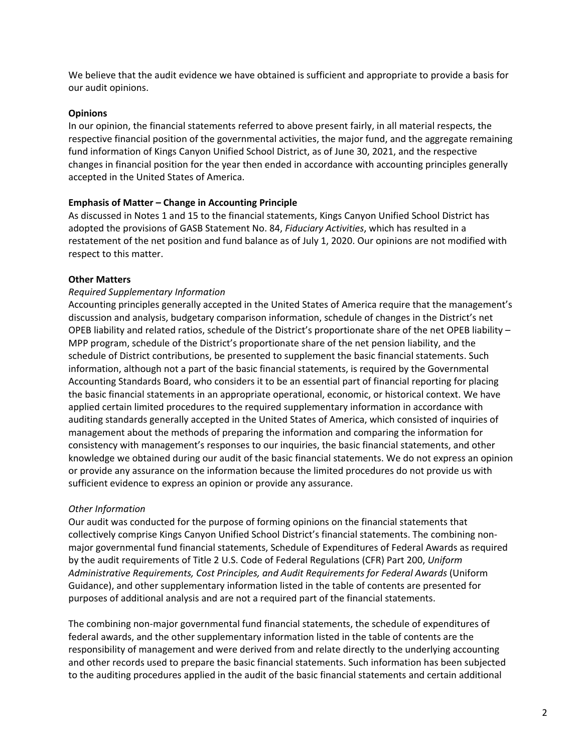We believe that the audit evidence we have obtained is sufficient and appropriate to provide a basis for our audit opinions.

## **Opinions**

In our opinion, the financial statements referred to above present fairly, in all material respects, the respective financial position of the governmental activities, the major fund, and the aggregate remaining fund information of Kings Canyon Unified School District, as of June 30, 2021, and the respective changes in financial position for the year then ended in accordance with accounting principles generally accepted in the United States of America.

## **Emphasis of Matter – Change in Accounting Principle**

As discussed in Notes 1 and 15 to the financial statements, Kings Canyon Unified School District has adopted the provisions of GASB Statement No. 84, *Fiduciary Activities*, which has resulted in a restatement of the net position and fund balance as of July 1, 2020. Our opinions are not modified with respect to this matter.

## **Other Matters**

## *Required Supplementary Information*

Accounting principles generally accepted in the United States of America require that the management's discussion and analysis, budgetary comparison information, schedule of changes in the District's net OPEB liability and related ratios, schedule of the District's proportionate share of the net OPEB liability – MPP program, schedule of the District's proportionate share of the net pension liability, and the schedule of District contributions, be presented to supplement the basic financial statements. Such information, although not a part of the basic financial statements, is required by the Governmental Accounting Standards Board, who considers it to be an essential part of financial reporting for placing the basic financial statements in an appropriate operational, economic, or historical context. We have applied certain limited procedures to the required supplementary information in accordance with auditing standards generally accepted in the United States of America, which consisted of inquiries of management about the methods of preparing the information and comparing the information for consistency with management's responses to our inquiries, the basic financial statements, and other knowledge we obtained during our audit of the basic financial statements. We do not express an opinion or provide any assurance on the information because the limited procedures do not provide us with sufficient evidence to express an opinion or provide any assurance.

## *Other Information*

Our audit was conducted for the purpose of forming opinions on the financial statements that collectively comprise Kings Canyon Unified School District's financial statements. The combining non‐ major governmental fund financial statements, Schedule of Expenditures of Federal Awards as required by the audit requirements of Title 2 U.S. Code of Federal Regulations (CFR) Part 200, *Uniform Administrative Requirements, Cost Principles, and Audit Requirements for Federal Awards* (Uniform Guidance), and other supplementary information listed in the table of contents are presented for purposes of additional analysis and are not a required part of the financial statements.

The combining non‐major governmental fund financial statements, the schedule of expenditures of federal awards, and the other supplementary information listed in the table of contents are the responsibility of management and were derived from and relate directly to the underlying accounting and other records used to prepare the basic financial statements. Such information has been subjected to the auditing procedures applied in the audit of the basic financial statements and certain additional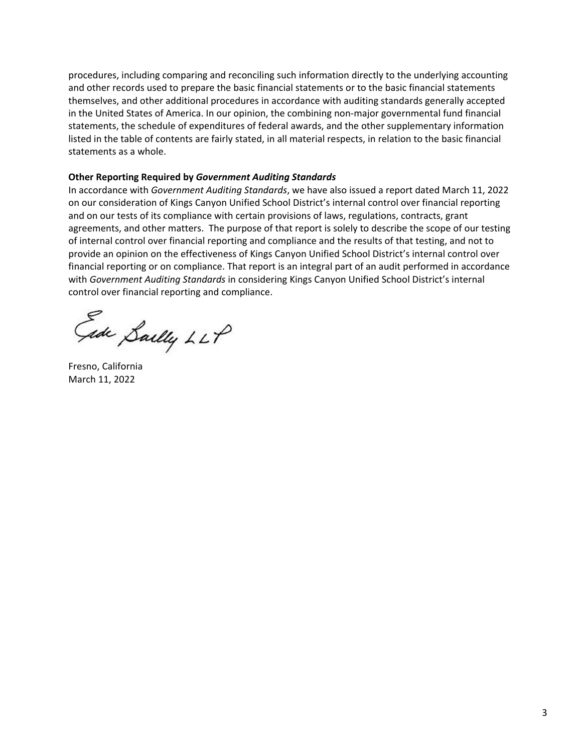procedures, including comparing and reconciling such information directly to the underlying accounting and other records used to prepare the basic financial statements or to the basic financial statements themselves, and other additional procedures in accordance with auditing standards generally accepted in the United States of America. In our opinion, the combining non‐major governmental fund financial statements, the schedule of expenditures of federal awards, and the other supplementary information listed in the table of contents are fairly stated, in all material respects, in relation to the basic financial statements as a whole.

## **Other Reporting Required by** *Government Auditing Standards*

In accordance with *Government Auditing Standards*, we have also issued a report dated March 11, 2022 on our consideration of Kings Canyon Unified School District's internal control over financial reporting and on our tests of its compliance with certain provisions of laws, regulations, contracts, grant agreements, and other matters. The purpose of that report is solely to describe the scope of our testing of internal control over financial reporting and compliance and the results of that testing, and not to provide an opinion on the effectiveness of Kings Canyon Unified School District's internal control over financial reporting or on compliance. That report is an integral part of an audit performed in accordance with *Government Auditing Standards* in considering Kings Canyon Unified School District's internal control over financial reporting and compliance.

Gide Sailly LLP

Fresno, California March 11, 2022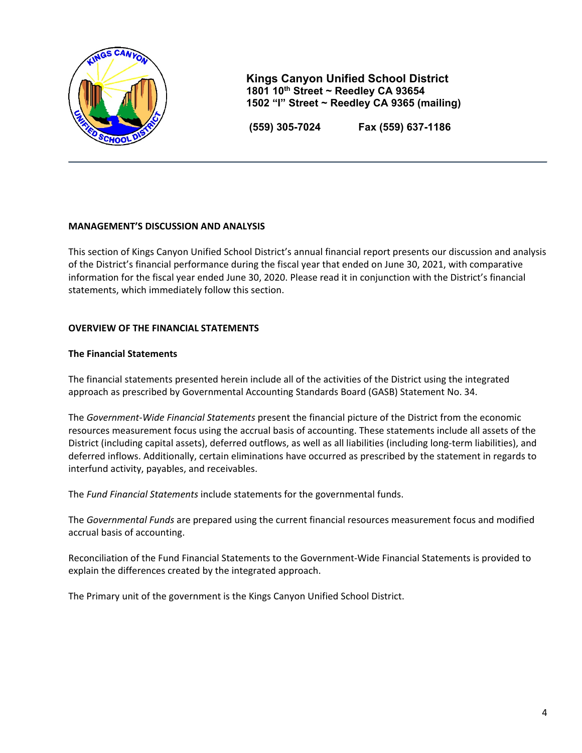

**Kings Canyon Unified School District 1801 10th Street ~ Reedley CA 93654 1502 "I" Street ~ Reedley CA 9365 (mailing)** 

 **(559) 305-7024 Fax (559) 637-1186** 

## **MANAGEMENT'S DISCUSSION AND ANALYSIS**

This section of Kings Canyon Unified School District's annual financial report presents our discussion and analysis of the District's financial performance during the fiscal year that ended on June 30, 2021, with comparative information for the fiscal year ended June 30, 2020. Please read it in conjunction with the District's financial statements, which immediately follow this section.

#### **OVERVIEW OF THE FINANCIAL STATEMENTS**

#### **The Financial Statements**

The financial statements presented herein include all of the activities of the District using the integrated approach as prescribed by Governmental Accounting Standards Board (GASB) Statement No. 34.

The *Government‐Wide Financial Statements* present the financial picture of the District from the economic resources measurement focus using the accrual basis of accounting. These statements include all assets of the District (including capital assets), deferred outflows, as well as all liabilities (including long‐term liabilities), and deferred inflows. Additionally, certain eliminations have occurred as prescribed by the statement in regards to interfund activity, payables, and receivables.

The *Fund Financial Statements* include statements for the governmental funds.

The *Governmental Funds* are prepared using the current financial resources measurement focus and modified accrual basis of accounting.

Reconciliation of the Fund Financial Statements to the Government‐Wide Financial Statements is provided to explain the differences created by the integrated approach.

The Primary unit of the government is the Kings Canyon Unified School District.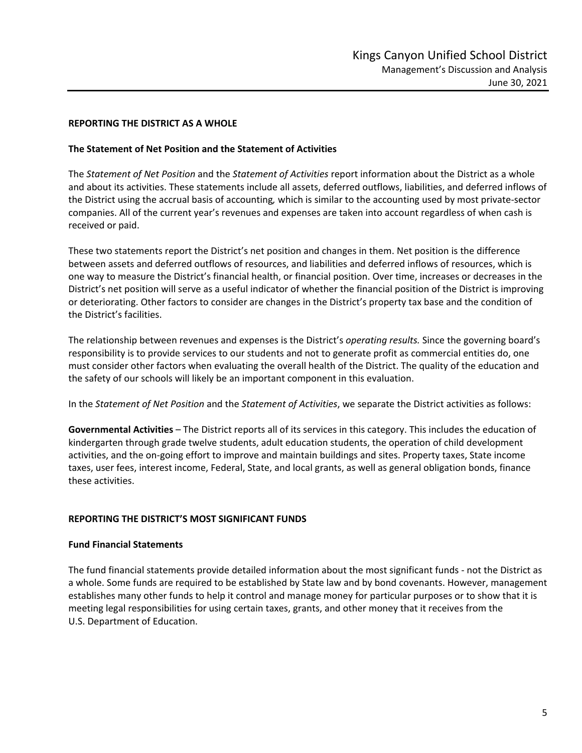#### **REPORTING THE DISTRICT AS A WHOLE**

#### **The Statement of Net Position and the Statement of Activities**

The *Statement of Net Position* and the *Statement of Activities* report information about the District as a whole and about its activities. These statements include all assets, deferred outflows, liabilities, and deferred inflows of the District using the accrual basis of accounting*,* which is similar to the accounting used by most private‐sector companies. All of the current year's revenues and expenses are taken into account regardless of when cash is received or paid.

These two statements report the District's net position and changes in them. Net position is the difference between assets and deferred outflows of resources, and liabilities and deferred inflows of resources, which is one way to measure the District's financial health, or financial position. Over time, increases or decreases in the District's net position will serve as a useful indicator of whether the financial position of the District is improving or deteriorating. Other factors to consider are changes in the District's property tax base and the condition of the District's facilities.

The relationship between revenues and expenses is the District's *operating results.* Since the governing board's responsibility is to provide services to our students and not to generate profit as commercial entities do, one must consider other factors when evaluating the overall health of the District. The quality of the education and the safety of our schools will likely be an important component in this evaluation.

In the *Statement of Net Position* and the *Statement of Activities*, we separate the District activities as follows:

**Governmental Activities** – The District reports all of its services in this category. This includes the education of kindergarten through grade twelve students, adult education students, the operation of child development activities, and the on‐going effort to improve and maintain buildings and sites. Property taxes, State income taxes, user fees, interest income, Federal, State, and local grants, as well as general obligation bonds, finance these activities.

## **REPORTING THE DISTRICT'S MOST SIGNIFICANT FUNDS**

## **Fund Financial Statements**

The fund financial statements provide detailed information about the most significant funds ‐ not the District as a whole. Some funds are required to be established by State law and by bond covenants. However, management establishes many other funds to help it control and manage money for particular purposes or to show that it is meeting legal responsibilities for using certain taxes, grants, and other money that it receives from the U.S. Department of Education.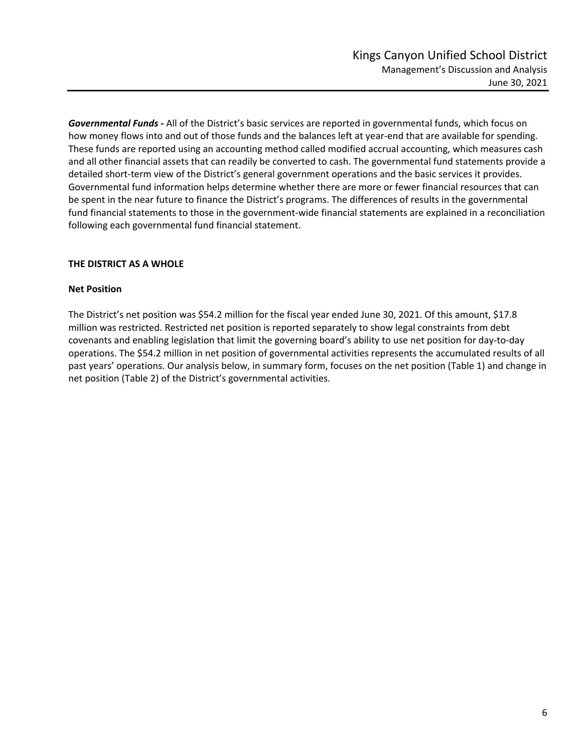*Governmental Funds ‐* All of the District's basic services are reported in governmental funds, which focus on how money flows into and out of those funds and the balances left at year-end that are available for spending. These funds are reported using an accounting method called modified accrual accounting, which measures cash and all other financial assets that can readily be converted to cash. The governmental fund statements provide a detailed short-term view of the District's general government operations and the basic services it provides. Governmental fund information helps determine whether there are more or fewer financial resources that can be spent in the near future to finance the District's programs. The differences of results in the governmental fund financial statements to those in the government-wide financial statements are explained in a reconciliation following each governmental fund financial statement.

## **THE DISTRICT AS A WHOLE**

## **Net Position**

The District's net position was \$54.2 million for the fiscal year ended June 30, 2021. Of this amount, \$17.8 million was restricted. Restricted net position is reported separately to show legal constraints from debt covenants and enabling legislation that limit the governing board's ability to use net position for day‐to‐day operations. The \$54.2 million in net position of governmental activities represents the accumulated results of all past years' operations. Our analysis below, in summary form, focuses on the net position (Table 1) and change in net position (Table 2) of the District's governmental activities.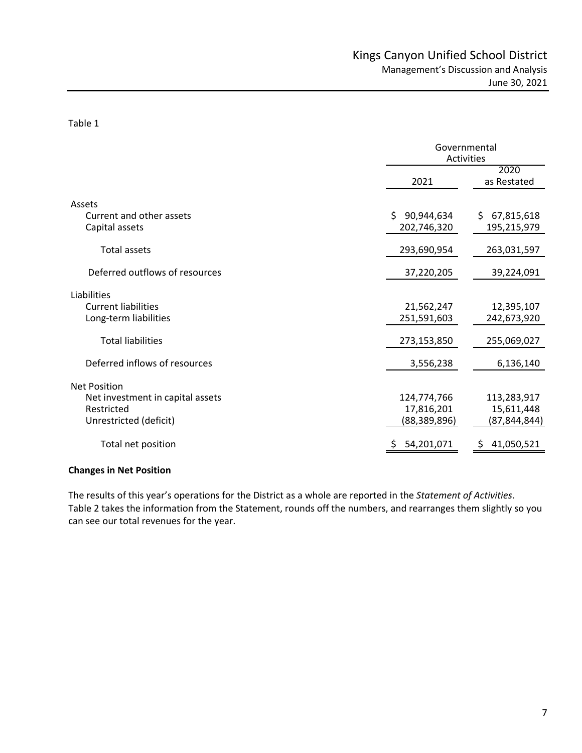Table 1

|                                                     | Governmental<br>Activities      |                                  |  |
|-----------------------------------------------------|---------------------------------|----------------------------------|--|
|                                                     | 2021                            | 2020<br>as Restated              |  |
| Assets                                              |                                 |                                  |  |
| Current and other assets<br>Capital assets          | 90,944,634<br>Ś.<br>202,746,320 | \$.<br>67,815,618<br>195,215,979 |  |
| <b>Total assets</b>                                 | 293,690,954                     | 263,031,597                      |  |
| Deferred outflows of resources                      | 37,220,205                      | 39,224,091                       |  |
| Liabilities                                         |                                 |                                  |  |
| <b>Current liabilities</b><br>Long-term liabilities | 21,562,247<br>251,591,603       | 12,395,107<br>242,673,920        |  |
| <b>Total liabilities</b>                            | 273,153,850                     | 255,069,027                      |  |
| Deferred inflows of resources                       | 3,556,238                       | 6,136,140                        |  |
| <b>Net Position</b>                                 |                                 |                                  |  |
| Net investment in capital assets                    | 124,774,766                     | 113,283,917                      |  |
| Restricted                                          | 17,816,201                      | 15,611,448                       |  |
| Unrestricted (deficit)                              | (88, 389, 896)                  | (87, 844, 844)                   |  |
| Total net position                                  | 54,201,071                      | 41,050,521<br>S.                 |  |

## **Changes in Net Position**

The results of this year's operations for the District as a whole are reported in the *Statement of Activities*. Table 2 takes the information from the Statement, rounds off the numbers, and rearranges them slightly so you can see our total revenues for the year.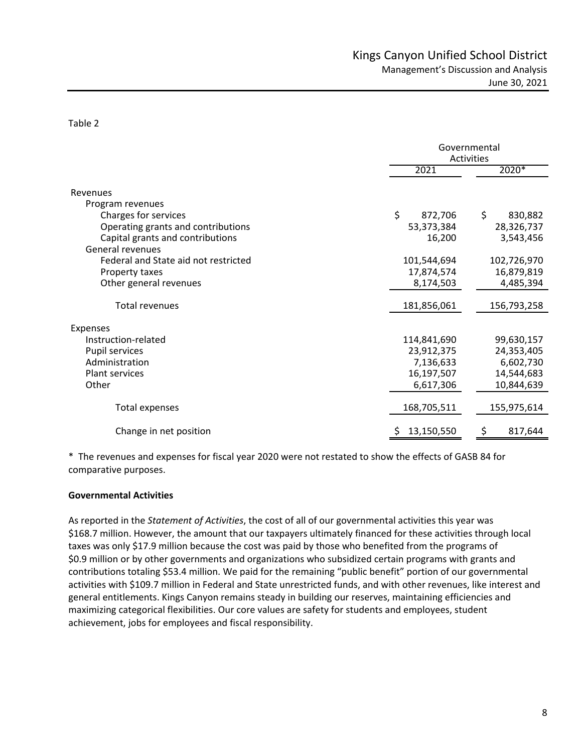Table 2

|                                                                                                                                          | Governmental<br>Activities                                        |                                                                   |  |
|------------------------------------------------------------------------------------------------------------------------------------------|-------------------------------------------------------------------|-------------------------------------------------------------------|--|
|                                                                                                                                          | 2021                                                              | 2020*                                                             |  |
| Revenues<br>Program revenues<br>Charges for services<br>Operating grants and contributions                                               | \$<br>872,706<br>53,373,384                                       | \$<br>830,882<br>28,326,737                                       |  |
| Capital grants and contributions<br>General revenues<br>Federal and State aid not restricted<br>Property taxes<br>Other general revenues | 16,200<br>101,544,694<br>17,874,574<br>8,174,503                  | 3,543,456<br>102,726,970<br>16,879,819<br>4,485,394               |  |
| <b>Total revenues</b>                                                                                                                    | 181,856,061                                                       | 156,793,258                                                       |  |
| Expenses                                                                                                                                 |                                                                   |                                                                   |  |
| Instruction-related<br>Pupil services<br>Administration<br>Plant services<br>Other                                                       | 114,841,690<br>23,912,375<br>7,136,633<br>16,197,507<br>6,617,306 | 99,630,157<br>24,353,405<br>6,602,730<br>14,544,683<br>10,844,639 |  |
| Total expenses                                                                                                                           | 168,705,511                                                       | 155,975,614                                                       |  |
| Change in net position                                                                                                                   | 13,150,550                                                        | 817,644<br>Ş                                                      |  |

\* The revenues and expenses for fiscal year 2020 were not restated to show the effects of GASB 84 for comparative purposes.

## **Governmental Activities**

As reported in the *Statement of Activities*, the cost of all of our governmental activities this year was \$168.7 million. However, the amount that our taxpayers ultimately financed for these activities through local taxes was only \$17.9 million because the cost was paid by those who benefited from the programs of \$0.9 million or by other governments and organizations who subsidized certain programs with grants and contributions totaling \$53.4 million. We paid for the remaining "public benefit" portion of our governmental activities with \$109.7 million in Federal and State unrestricted funds, and with other revenues, like interest and general entitlements. Kings Canyon remains steady in building our reserves, maintaining efficiencies and maximizing categorical flexibilities. Our core values are safety for students and employees, student achievement, jobs for employees and fiscal responsibility.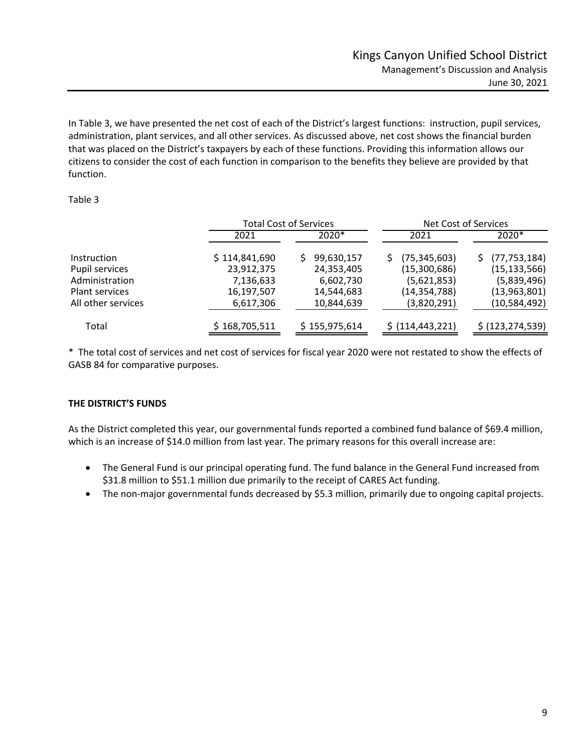In Table 3, we have presented the net cost of each of the District's largest functions: instruction, pupil services, administration, plant services, and all other services. As discussed above, net cost shows the financial burden that was placed on the District's taxpayers by each of these functions. Providing this information allows our citizens to consider the cost of each function in comparison to the benefits they believe are provided by that function.

Table 3

|                    | <b>Total Cost of Services</b> |               |                    | Net Cost of Services |
|--------------------|-------------------------------|---------------|--------------------|----------------------|
|                    | 2021                          | $2020*$       | 2021               | $2020*$              |
| Instruction        | \$114,841,690                 | 99,630,157    | (75, 345, 603)     | (77, 753, 184)       |
| Pupil services     | 23,912,375                    | 24,353,405    | (15,300,686)       | (15, 133, 566)       |
| Administration     | 7,136,633                     | 6,602,730     | (5,621,853)        | (5,839,496)          |
| Plant services     | 16,197,507                    | 14,544,683    | (14, 354, 788)     | (13,963,801)         |
| All other services | 6,617,306                     | 10,844,639    | (3,820,291)        | (10, 584, 492)       |
| Total              | \$168,705,511                 | \$155,975,614 | \$ (114, 443, 221) | \$ (123, 274, 539)   |

\* The total cost of services and net cost of services for fiscal year 2020 were not restated to show the effects of GASB 84 for comparative purposes.

## **THE DISTRICT'S FUNDS**

As the District completed this year, our governmental funds reported a combined fund balance of \$69.4 million, which is an increase of \$14.0 million from last year. The primary reasons for this overall increase are:

- The General Fund is our principal operating fund. The fund balance in the General Fund increased from \$31.8 million to \$51.1 million due primarily to the receipt of CARES Act funding.
- The non-major governmental funds decreased by \$5.3 million, primarily due to ongoing capital projects.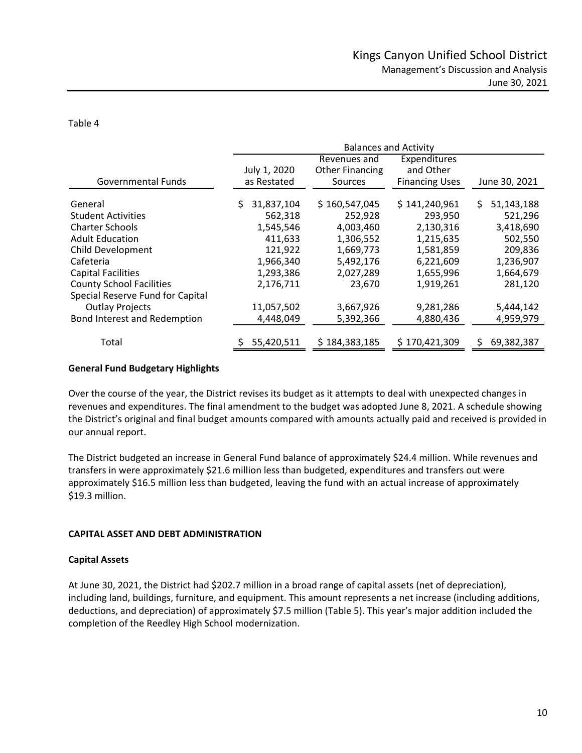Table 4

|                                  | <b>Balances and Activity</b> |                        |                       |                   |
|----------------------------------|------------------------------|------------------------|-----------------------|-------------------|
|                                  |                              | Revenues and           | Expenditures          |                   |
|                                  | July 1, 2020                 | <b>Other Financing</b> | and Other             |                   |
| Governmental Funds               | as Restated                  | Sources                | <b>Financing Uses</b> | June 30, 2021     |
|                                  |                              |                        |                       |                   |
| General                          | 31,837,104                   | \$160,547,045          | \$141,240,961         | \$.<br>51,143,188 |
| <b>Student Activities</b>        | 562,318                      | 252,928                | 293,950               | 521,296           |
| <b>Charter Schools</b>           | 1,545,546                    | 4,003,460              | 2,130,316             | 3,418,690         |
| <b>Adult Education</b>           | 411,633                      | 1,306,552              | 1,215,635             | 502,550           |
| Child Development                | 121,922                      | 1,669,773              | 1,581,859             | 209,836           |
| Cafeteria                        | 1,966,340                    | 5,492,176              | 6,221,609             | 1,236,907         |
| <b>Capital Facilities</b>        | 1,293,386                    | 2,027,289              | 1,655,996             | 1,664,679         |
| <b>County School Facilities</b>  | 2,176,711                    | 23,670                 | 1,919,261             | 281,120           |
| Special Reserve Fund for Capital |                              |                        |                       |                   |
| <b>Outlay Projects</b>           | 11,057,502                   | 3,667,926              | 9,281,286             | 5,444,142         |
| Bond Interest and Redemption     | 4,448,049                    | 5,392,366              | 4,880,436             | 4,959,979         |
|                                  |                              |                        |                       |                   |
| Total                            | 55,420,511                   | \$184,383,185          | \$170,421,309         | 69,382,387        |

## **General Fund Budgetary Highlights**

Over the course of the year, the District revises its budget as it attempts to deal with unexpected changes in revenues and expenditures. The final amendment to the budget was adopted June 8, 2021. A schedule showing the District's original and final budget amounts compared with amounts actually paid and received is provided in our annual report.

The District budgeted an increase in General Fund balance of approximately \$24.4 million. While revenues and transfers in were approximately \$21.6 million less than budgeted, expenditures and transfers out were approximately \$16.5 million less than budgeted, leaving the fund with an actual increase of approximately \$19.3 million.

## **CAPITAL ASSET AND DEBT ADMINISTRATION**

## **Capital Assets**

At June 30, 2021, the District had \$202.7 million in a broad range of capital assets (net of depreciation), including land, buildings, furniture, and equipment. This amount represents a net increase (including additions, deductions, and depreciation) of approximately \$7.5 million (Table 5). This year's major addition included the completion of the Reedley High School modernization.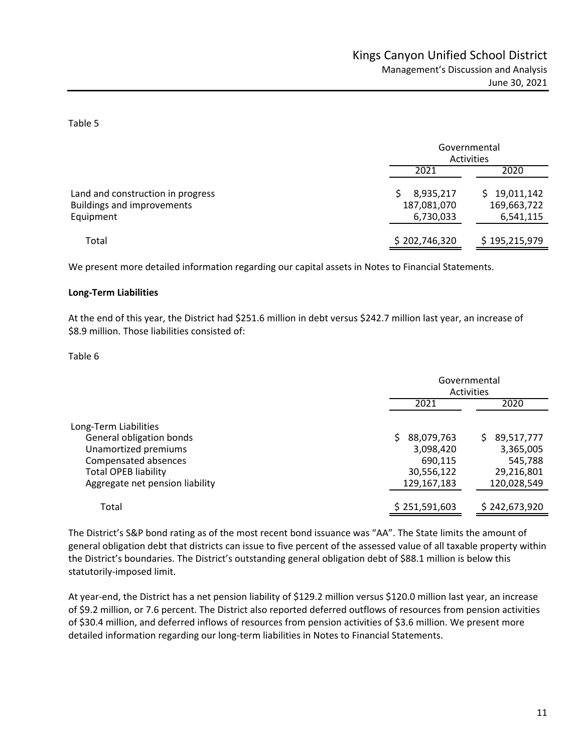Table 5

|                                                                                     | Governmental<br>Activities                                                      |               |  |
|-------------------------------------------------------------------------------------|---------------------------------------------------------------------------------|---------------|--|
| 2021                                                                                |                                                                                 | 2020          |  |
| Land and construction in progress<br><b>Buildings and improvements</b><br>Equipment | 19,011,142<br>8,935,217<br>169,663,722<br>187,081,070<br>6,541,115<br>6,730,033 |               |  |
| Total                                                                               | \$202,746,320                                                                   | \$195,215,979 |  |

We present more detailed information regarding our capital assets in Notes to Financial Statements.

#### **Long‐Term Liabilities**

At the end of this year, the District had \$251.6 million in debt versus \$242.7 million last year, an increase of \$8.9 million. Those liabilities consisted of:

Table 6

|                                 | Governmental<br>Activities |                  |
|---------------------------------|----------------------------|------------------|
|                                 | 2021<br>2020               |                  |
| Long-Term Liabilities           |                            |                  |
| General obligation bonds        | 88,079,763<br>S.           | 89,517,777<br>S. |
| Unamortized premiums            | 3,098,420                  | 3,365,005        |
| Compensated absences            | 690,115                    | 545,788          |
| <b>Total OPEB liability</b>     | 30,556,122                 | 29,216,801       |
| Aggregate net pension liability | 129,167,183                | 120,028,549      |
| Total                           | \$251,591,603              | \$242,673,920    |

The District's S&P bond rating as of the most recent bond issuance was "AA". The State limits the amount of general obligation debt that districts can issue to five percent of the assessed value of all taxable property within the District's boundaries. The District's outstanding general obligation debt of \$88.1 million is below this statutorily‐imposed limit.

At year‐end, the District has a net pension liability of \$129.2 million versus \$120.0 million last year, an increase of \$9.2 million, or 7.6 percent. The District also reported deferred outflows of resources from pension activities of \$30.4 million, and deferred inflows of resources from pension activities of \$3.6 million. We present more detailed information regarding our long‐term liabilities in Notes to Financial Statements.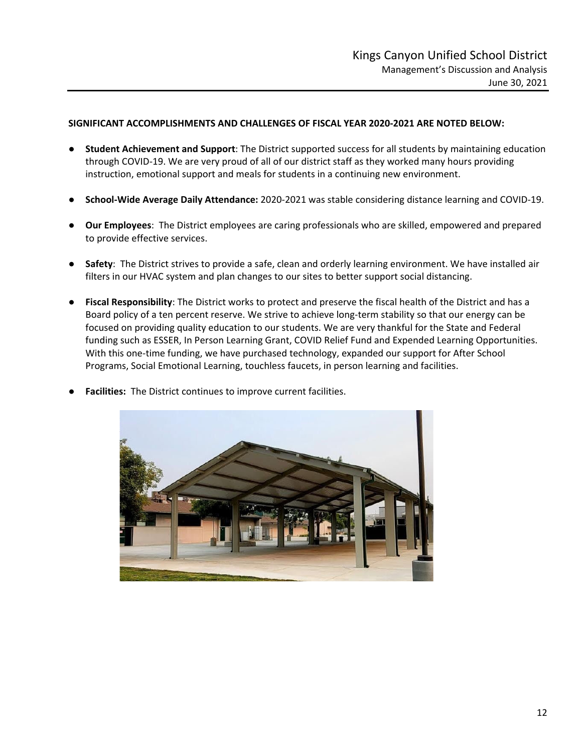#### **SIGNIFICANT ACCOMPLISHMENTS AND CHALLENGES OF FISCAL YEAR 2020‐2021 ARE NOTED BELOW:**

- **Student Achievement and Support**: The District supported success for all students by maintaining education through COVID‐19. We are very proud of all of our district staff as they worked many hours providing instruction, emotional support and meals for students in a continuing new environment.
- **School‐Wide Average Daily Attendance:** 2020‐2021 was stable considering distance learning and COVID‐19.
- **Our Employees**: The District employees are caring professionals who are skilled, empowered and prepared to provide effective services.
- **Safety**: The District strives to provide a safe, clean and orderly learning environment. We have installed air filters in our HVAC system and plan changes to our sites to better support social distancing.
- **Fiscal Responsibility**: The District works to protect and preserve the fiscal health of the District and has a Board policy of a ten percent reserve. We strive to achieve long‐term stability so that our energy can be focused on providing quality education to our students. We are very thankful for the State and Federal funding such as ESSER, In Person Learning Grant, COVID Relief Fund and Expended Learning Opportunities. With this one-time funding, we have purchased technology, expanded our support for After School Programs, Social Emotional Learning, touchless faucets, in person learning and facilities.
- **Facilities:** The District continues to improve current facilities.

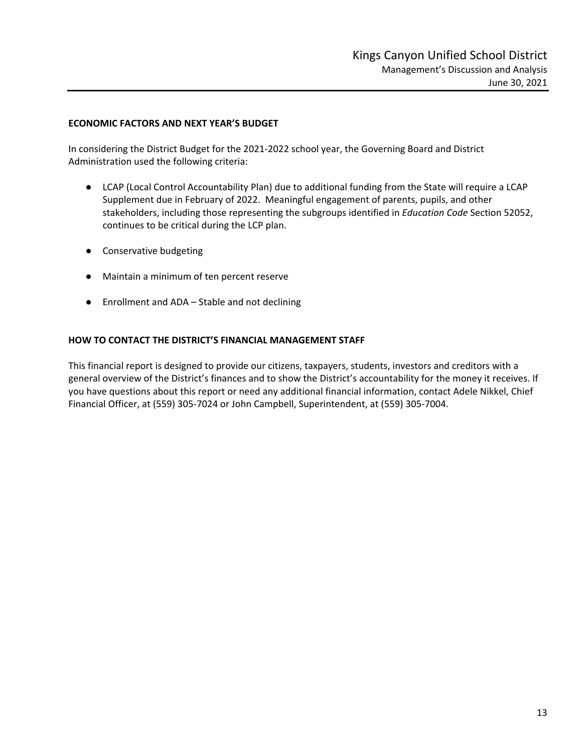#### **ECONOMIC FACTORS AND NEXT YEAR'S BUDGET**

In considering the District Budget for the 2021‐2022 school year, the Governing Board and District Administration used the following criteria:

- LCAP (Local Control Accountability Plan) due to additional funding from the State will require a LCAP Supplement due in February of 2022. Meaningful engagement of parents, pupils, and other stakeholders, including those representing the subgroups identified in *Education Code* Section 52052, continues to be critical during the LCP plan.
- Conservative budgeting
- Maintain a minimum of ten percent reserve
- Enrollment and ADA Stable and not declining

## **HOW TO CONTACT THE DISTRICT'S FINANCIAL MANAGEMENT STAFF**

This financial report is designed to provide our citizens, taxpayers, students, investors and creditors with a general overview of the District's finances and to show the District's accountability for the money it receives. If you have questions about this report or need any additional financial information, contact Adele Nikkel, Chief Financial Officer, at (559) 305‐7024 or John Campbell, Superintendent, at (559) 305‐7004.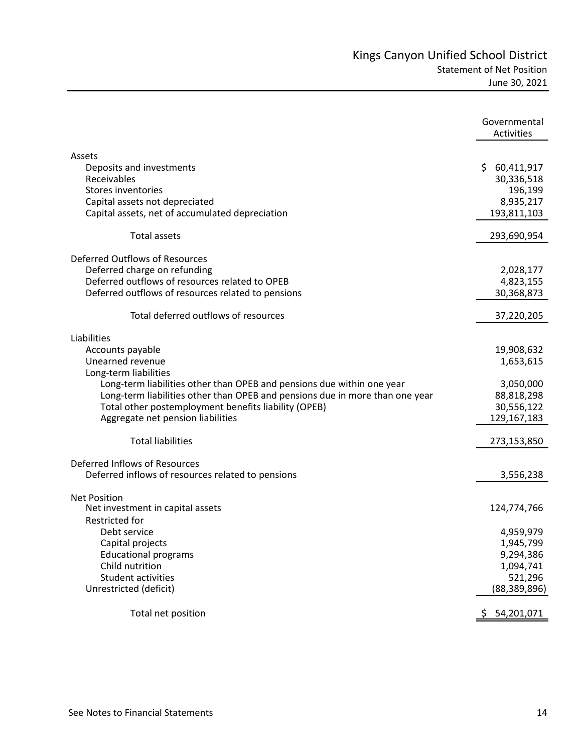|                                                                              | Governmental<br>Activities |
|------------------------------------------------------------------------------|----------------------------|
| Assets                                                                       |                            |
| Deposits and investments                                                     | \$<br>60,411,917           |
| Receivables                                                                  | 30,336,518                 |
| Stores inventories                                                           | 196,199                    |
| Capital assets not depreciated                                               | 8,935,217                  |
| Capital assets, net of accumulated depreciation                              | 193,811,103                |
| <b>Total assets</b>                                                          | 293,690,954                |
| <b>Deferred Outflows of Resources</b>                                        |                            |
| Deferred charge on refunding                                                 | 2,028,177                  |
| Deferred outflows of resources related to OPEB                               | 4,823,155                  |
| Deferred outflows of resources related to pensions                           | 30,368,873                 |
| Total deferred outflows of resources                                         | 37,220,205                 |
| Liabilities                                                                  |                            |
| Accounts payable                                                             | 19,908,632                 |
| Unearned revenue                                                             | 1,653,615                  |
| Long-term liabilities                                                        |                            |
| Long-term liabilities other than OPEB and pensions due within one year       | 3,050,000                  |
| Long-term liabilities other than OPEB and pensions due in more than one year | 88,818,298                 |
| Total other postemployment benefits liability (OPEB)                         | 30,556,122                 |
| Aggregate net pension liabilities                                            | 129,167,183                |
| <b>Total liabilities</b>                                                     | 273,153,850                |
| Deferred Inflows of Resources                                                |                            |
| Deferred inflows of resources related to pensions                            | 3,556,238                  |
| <b>Net Position</b>                                                          |                            |
| Net investment in capital assets                                             | 124,774,766                |
| <b>Restricted for</b>                                                        |                            |
| Debt service                                                                 | 4,959,979                  |
| Capital projects                                                             | 1,945,799                  |
| <b>Educational programs</b>                                                  | 9,294,386                  |
| Child nutrition                                                              | 1,094,741                  |
| <b>Student activities</b>                                                    | 521,296                    |
| Unrestricted (deficit)                                                       | (88, 389, 896)             |
| Total net position                                                           | 54,201,071                 |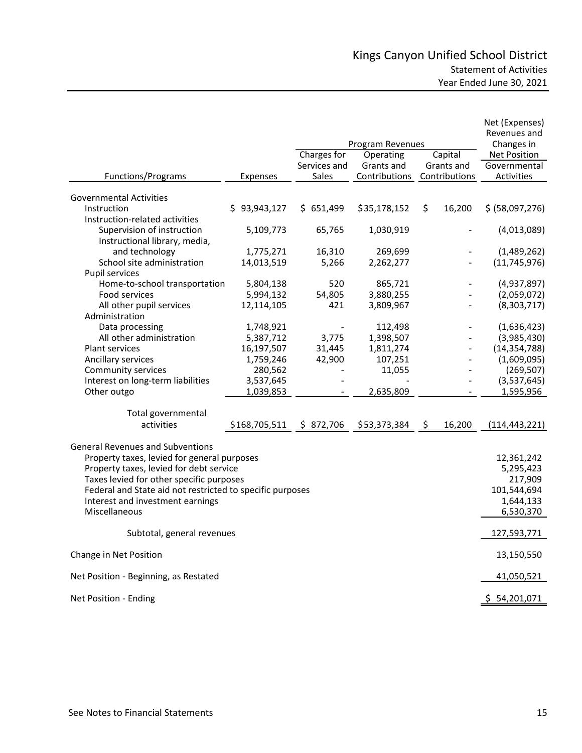|                                                           |               |              |                      | Net (Expenses)<br>Revenues and |                     |
|-----------------------------------------------------------|---------------|--------------|----------------------|--------------------------------|---------------------|
|                                                           |               |              | Program Revenues     |                                | Changes in          |
|                                                           |               | Charges for  | Operating            | Capital                        | <b>Net Position</b> |
|                                                           |               | Services and | Grants and           | Grants and                     | Governmental        |
| <b>Functions/Programs</b>                                 | Expenses      | Sales        | <b>Contributions</b> | Contributions                  | Activities          |
|                                                           |               |              |                      |                                |                     |
| <b>Governmental Activities</b>                            |               |              |                      |                                |                     |
| Instruction                                               | \$93,943,127  | \$651,499    | \$35,178,152         | \$<br>16,200                   | \$ (58,097,276)     |
| Instruction-related activities                            |               |              |                      |                                |                     |
| Supervision of instruction                                | 5,109,773     | 65,765       | 1,030,919            |                                | (4,013,089)         |
| Instructional library, media,                             |               |              |                      |                                |                     |
| and technology                                            | 1,775,271     | 16,310       | 269,699              |                                | (1,489,262)         |
| School site administration                                | 14,013,519    | 5,266        | 2,262,277            |                                | (11, 745, 976)      |
| Pupil services                                            |               |              |                      |                                |                     |
| Home-to-school transportation                             | 5,804,138     | 520          | 865,721              |                                | (4,937,897)         |
| Food services                                             | 5,994,132     | 54,805       | 3,880,255            |                                | (2,059,072)         |
| All other pupil services                                  | 12,114,105    | 421          | 3,809,967            |                                | (8,303,717)         |
| Administration                                            |               |              |                      |                                |                     |
| Data processing                                           | 1,748,921     |              | 112,498              |                                | (1,636,423)         |
| All other administration                                  | 5,387,712     | 3,775        | 1,398,507            |                                | (3,985,430)         |
| <b>Plant services</b>                                     | 16,197,507    | 31,445       | 1,811,274            |                                | (14, 354, 788)      |
| Ancillary services                                        | 1,759,246     | 42,900       | 107,251              |                                | (1,609,095)         |
| <b>Community services</b>                                 | 280,562       |              | 11,055               |                                | (269, 507)          |
| Interest on long-term liabilities                         | 3,537,645     |              |                      |                                | (3,537,645)         |
| Other outgo                                               | 1,039,853     |              | 2,635,809            |                                | 1,595,956           |
|                                                           |               |              |                      |                                |                     |
| Total governmental                                        |               |              |                      |                                |                     |
| activities                                                | \$168,705,511 | \$872,706    | \$53,373,384         | 16,200<br>-Ş                   | (114, 443, 221)     |
|                                                           |               |              |                      |                                |                     |
| <b>General Revenues and Subventions</b>                   |               |              |                      |                                |                     |
| Property taxes, levied for general purposes               |               |              |                      |                                | 12,361,242          |
| Property taxes, levied for debt service                   |               |              |                      |                                | 5,295,423           |
| Taxes levied for other specific purposes                  |               |              |                      |                                | 217,909             |
| Federal and State aid not restricted to specific purposes |               |              |                      |                                | 101,544,694         |
| Interest and investment earnings                          |               |              |                      |                                | 1,644,133           |
| Miscellaneous                                             |               |              |                      |                                | 6,530,370           |
|                                                           |               |              |                      |                                |                     |
| Subtotal, general revenues                                |               |              |                      |                                | 127,593,771         |
| Change in Net Position                                    |               |              |                      |                                | 13,150,550          |
| Net Position - Beginning, as Restated                     |               |              |                      |                                | 41,050,521          |
|                                                           |               |              |                      |                                |                     |
| Net Position - Ending                                     |               |              |                      |                                | \$54,201,071        |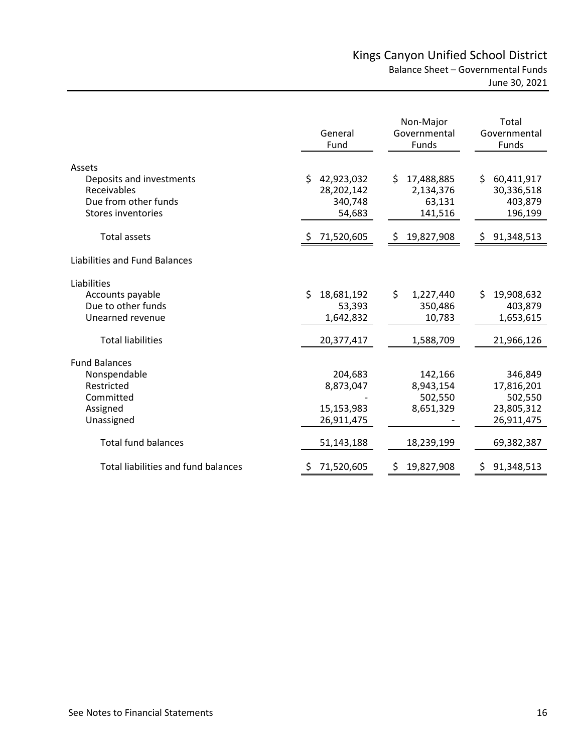## Kings Canyon Unified School District Balance Sheet – Governmental Funds June 30, 2021

|                                                                                                        | General<br>Fund                                     | Non-Major<br>Governmental<br>Funds                  | Total<br>Governmental<br>Funds                               |
|--------------------------------------------------------------------------------------------------------|-----------------------------------------------------|-----------------------------------------------------|--------------------------------------------------------------|
| Assets<br>Deposits and investments<br>Receivables<br>Due from other funds<br><b>Stores inventories</b> | \$<br>42,923,032<br>28,202,142<br>340,748<br>54,683 | \$.<br>17,488,885<br>2,134,376<br>63,131<br>141,516 | \$<br>60,411,917<br>30,336,518<br>403,879<br>196,199         |
| <b>Total assets</b>                                                                                    | 71,520,605<br>S                                     | 19,827,908<br>\$.                                   | 91,348,513<br>S.                                             |
| <b>Liabilities and Fund Balances</b>                                                                   |                                                     |                                                     |                                                              |
| Liabilities<br>Accounts payable<br>Due to other funds<br>Unearned revenue                              | Ś.<br>18,681,192<br>53,393<br>1,642,832             | \$<br>1,227,440<br>350,486<br>10,783                | \$<br>19,908,632<br>403,879<br>1,653,615                     |
| <b>Total liabilities</b>                                                                               | 20,377,417                                          | 1,588,709                                           | 21,966,126                                                   |
| <b>Fund Balances</b><br>Nonspendable<br>Restricted<br>Committed<br>Assigned<br>Unassigned              | 204,683<br>8,873,047<br>15,153,983<br>26,911,475    | 142,166<br>8,943,154<br>502,550<br>8,651,329        | 346,849<br>17,816,201<br>502,550<br>23,805,312<br>26,911,475 |
| <b>Total fund balances</b>                                                                             | 51,143,188                                          | 18,239,199                                          | 69,382,387                                                   |
| <b>Total liabilities and fund balances</b>                                                             | 71,520,605<br>\$                                    | 19,827,908<br>\$                                    | 91,348,513<br>Ş                                              |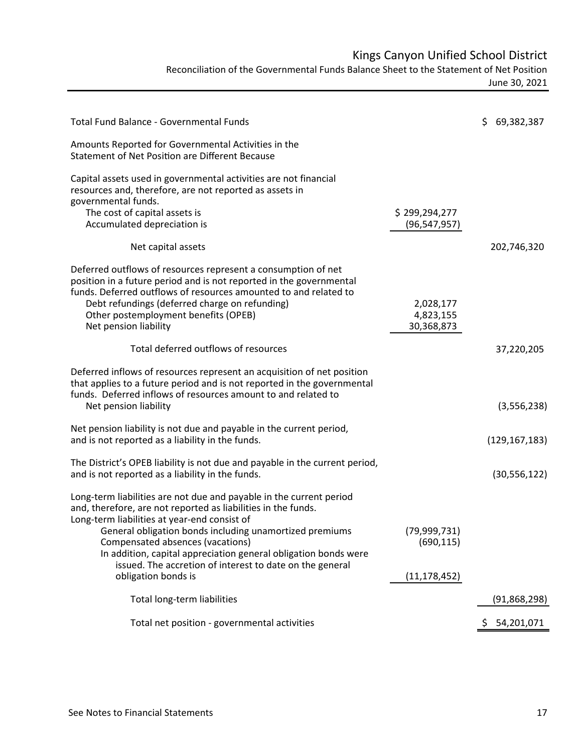Reconciliation of the Governmental Funds Balance Sheet to the Statement of Net Position

June 30, 2021

| <b>Total Fund Balance - Governmental Funds</b>                                                                                                                                                                                                                                                                              |                                      | \$69,382,387    |
|-----------------------------------------------------------------------------------------------------------------------------------------------------------------------------------------------------------------------------------------------------------------------------------------------------------------------------|--------------------------------------|-----------------|
| Amounts Reported for Governmental Activities in the<br><b>Statement of Net Position are Different Because</b>                                                                                                                                                                                                               |                                      |                 |
| Capital assets used in governmental activities are not financial<br>resources and, therefore, are not reported as assets in<br>governmental funds.                                                                                                                                                                          |                                      |                 |
| The cost of capital assets is<br>Accumulated depreciation is                                                                                                                                                                                                                                                                | \$299,294,277<br>(96, 547, 957)      |                 |
| Net capital assets                                                                                                                                                                                                                                                                                                          |                                      | 202,746,320     |
| Deferred outflows of resources represent a consumption of net<br>position in a future period and is not reported in the governmental<br>funds. Deferred outflows of resources amounted to and related to<br>Debt refundings (deferred charge on refunding)<br>Other postemployment benefits (OPEB)<br>Net pension liability | 2,028,177<br>4,823,155<br>30,368,873 |                 |
| Total deferred outflows of resources                                                                                                                                                                                                                                                                                        |                                      | 37,220,205      |
| Deferred inflows of resources represent an acquisition of net position<br>that applies to a future period and is not reported in the governmental<br>funds. Deferred inflows of resources amount to and related to<br>Net pension liability                                                                                 |                                      | (3,556,238)     |
| Net pension liability is not due and payable in the current period,<br>and is not reported as a liability in the funds.                                                                                                                                                                                                     |                                      | (129, 167, 183) |
| The District's OPEB liability is not due and payable in the current period,<br>and is not reported as a liability in the funds.                                                                                                                                                                                             |                                      | (30, 556, 122)  |
| Long-term liabilities are not due and payable in the current period<br>and, therefore, are not reported as liabilities in the funds.<br>Long-term liabilities at year-end consist of                                                                                                                                        |                                      |                 |
| General obligation bonds including unamortized premiums<br>Compensated absences (vacations)<br>In addition, capital appreciation general obligation bonds were                                                                                                                                                              | (79, 999, 731)<br>(690, 115)         |                 |
| issued. The accretion of interest to date on the general<br>obligation bonds is                                                                                                                                                                                                                                             | (11, 178, 452)                       |                 |
| Total long-term liabilities                                                                                                                                                                                                                                                                                                 |                                      | (91,868,298)    |
| Total net position - governmental activities                                                                                                                                                                                                                                                                                |                                      | 54,201,071      |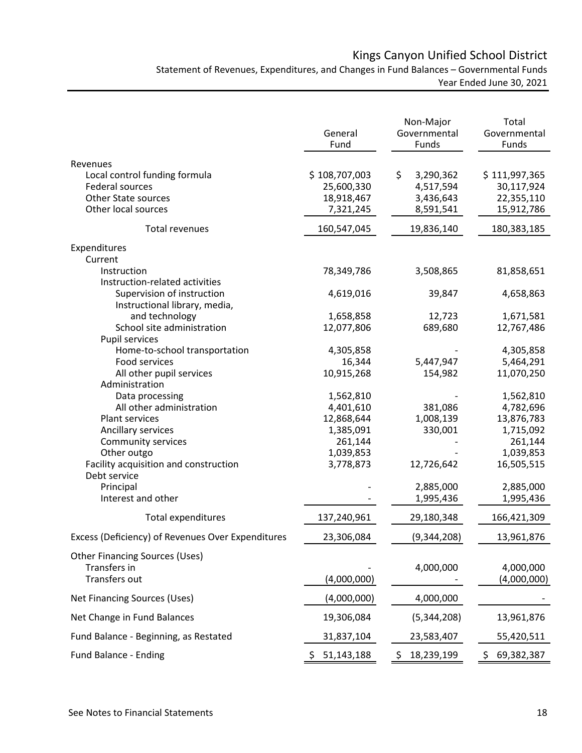Statement of Revenues, Expenditures, and Changes in Fund Balances – Governmental Funds Year Ended June 30, 2021

|                                                                                                                   | General<br>Fund                                        | Non-Major<br>Governmental<br>Funds                     | Total<br>Governmental<br>Funds                          |
|-------------------------------------------------------------------------------------------------------------------|--------------------------------------------------------|--------------------------------------------------------|---------------------------------------------------------|
| Revenues<br>Local control funding formula<br>Federal sources<br><b>Other State sources</b><br>Other local sources | \$108,707,003<br>25,600,330<br>18,918,467<br>7,321,245 | \$<br>3,290,362<br>4,517,594<br>3,436,643<br>8,591,541 | \$111,997,365<br>30,117,924<br>22,355,110<br>15,912,786 |
| <b>Total revenues</b>                                                                                             | 160,547,045                                            | 19,836,140                                             | 180,383,185                                             |
| Expenditures<br>Current                                                                                           |                                                        |                                                        |                                                         |
| Instruction<br>Instruction-related activities<br>Supervision of instruction                                       | 78,349,786<br>4,619,016                                | 3,508,865<br>39,847                                    | 81,858,651<br>4,658,863                                 |
| Instructional library, media,<br>and technology<br>School site administration                                     | 1,658,858<br>12,077,806                                | 12,723<br>689,680                                      | 1,671,581<br>12,767,486                                 |
| Pupil services<br>Home-to-school transportation<br>Food services<br>All other pupil services                      | 4,305,858<br>16,344<br>10,915,268                      | 5,447,947<br>154,982                                   | 4,305,858<br>5,464,291<br>11,070,250                    |
| Administration<br>Data processing<br>All other administration                                                     | 1,562,810<br>4,401,610                                 | 381,086                                                | 1,562,810<br>4,782,696                                  |
| Plant services<br>Ancillary services<br><b>Community services</b>                                                 | 12,868,644<br>1,385,091<br>261,144                     | 1,008,139<br>330,001                                   | 13,876,783<br>1,715,092<br>261,144                      |
| Other outgo<br>Facility acquisition and construction<br>Debt service                                              | 1,039,853<br>3,778,873                                 | 12,726,642                                             | 1,039,853<br>16,505,515                                 |
| Principal<br>Interest and other                                                                                   |                                                        | 2,885,000<br>1,995,436                                 | 2,885,000<br>1,995,436                                  |
| Total expenditures                                                                                                | 137,240,961                                            | 29,180,348                                             | 166,421,309                                             |
| Excess (Deficiency) of Revenues Over Expenditures                                                                 | 23,306,084                                             | (9,344,208)                                            | 13,961,876                                              |
| <b>Other Financing Sources (Uses)</b><br>Transfers in<br>Transfers out                                            | (4,000,000)                                            | 4,000,000                                              | 4,000,000<br>(4,000,000)                                |
| <b>Net Financing Sources (Uses)</b>                                                                               | (4,000,000)                                            | 4,000,000                                              |                                                         |
| Net Change in Fund Balances                                                                                       | 19,306,084                                             | (5,344,208)                                            | 13,961,876                                              |
| Fund Balance - Beginning, as Restated                                                                             | 31,837,104                                             | 23,583,407                                             | 55,420,511                                              |
| Fund Balance - Ending                                                                                             | 51,143,188                                             | \$<br>18,239,199                                       | 69,382,387<br>S.                                        |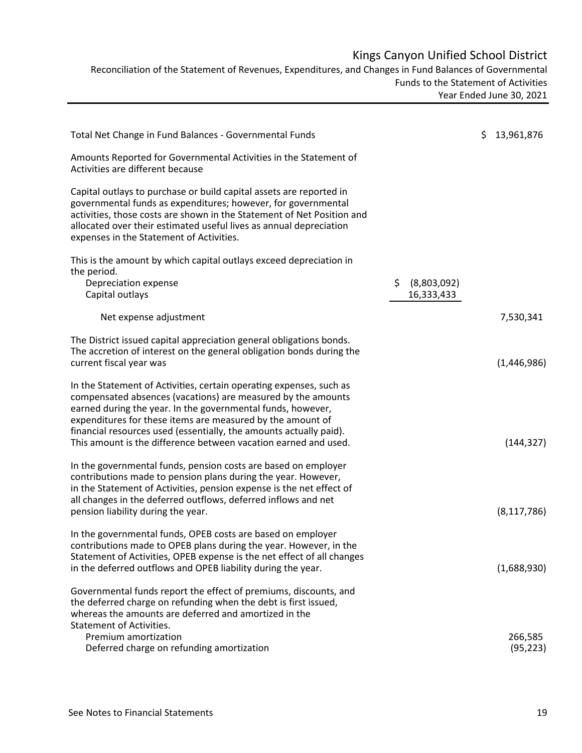Reconciliation of the Statement of Revenues, Expenditures, and Changes in Fund Balances of Governmental Funds to the Statement of Activities Year Ended June 30, 2021

| Total Net Change in Fund Balances - Governmental Funds                                                                                                                                                                                                                                                                                                                                                    |                                 | S. | 13,961,876           |
|-----------------------------------------------------------------------------------------------------------------------------------------------------------------------------------------------------------------------------------------------------------------------------------------------------------------------------------------------------------------------------------------------------------|---------------------------------|----|----------------------|
| Amounts Reported for Governmental Activities in the Statement of<br>Activities are different because                                                                                                                                                                                                                                                                                                      |                                 |    |                      |
| Capital outlays to purchase or build capital assets are reported in<br>governmental funds as expenditures; however, for governmental<br>activities, those costs are shown in the Statement of Net Position and<br>allocated over their estimated useful lives as annual depreciation<br>expenses in the Statement of Activities.                                                                          |                                 |    |                      |
| This is the amount by which capital outlays exceed depreciation in<br>the period.<br>Depreciation expense<br>Capital outlays                                                                                                                                                                                                                                                                              | \$<br>(8,803,092)<br>16,333,433 |    |                      |
| Net expense adjustment                                                                                                                                                                                                                                                                                                                                                                                    |                                 |    | 7,530,341            |
| The District issued capital appreciation general obligations bonds.<br>The accretion of interest on the general obligation bonds during the<br>current fiscal year was                                                                                                                                                                                                                                    |                                 |    | (1,446,986)          |
| In the Statement of Activities, certain operating expenses, such as<br>compensated absences (vacations) are measured by the amounts<br>earned during the year. In the governmental funds, however,<br>expenditures for these items are measured by the amount of<br>financial resources used (essentially, the amounts actually paid).<br>This amount is the difference between vacation earned and used. |                                 |    | (144, 327)           |
| In the governmental funds, pension costs are based on employer<br>contributions made to pension plans during the year. However,<br>in the Statement of Activities, pension expense is the net effect of<br>all changes in the deferred outflows, deferred inflows and net<br>pension liability during the year.                                                                                           |                                 |    | (8, 117, 786)        |
| In the governmental funds, OPEB costs are based on employer<br>contributions made to OPEB plans during the year. However, in the<br>Statement of Activities, OPEB expense is the net effect of all changes<br>in the deferred outflows and OPEB liability during the year.                                                                                                                                |                                 |    | (1,688,930)          |
| Governmental funds report the effect of premiums, discounts, and<br>the deferred charge on refunding when the debt is first issued,<br>whereas the amounts are deferred and amortized in the<br><b>Statement of Activities.</b>                                                                                                                                                                           |                                 |    |                      |
| Premium amortization<br>Deferred charge on refunding amortization                                                                                                                                                                                                                                                                                                                                         |                                 |    | 266,585<br>(95, 223) |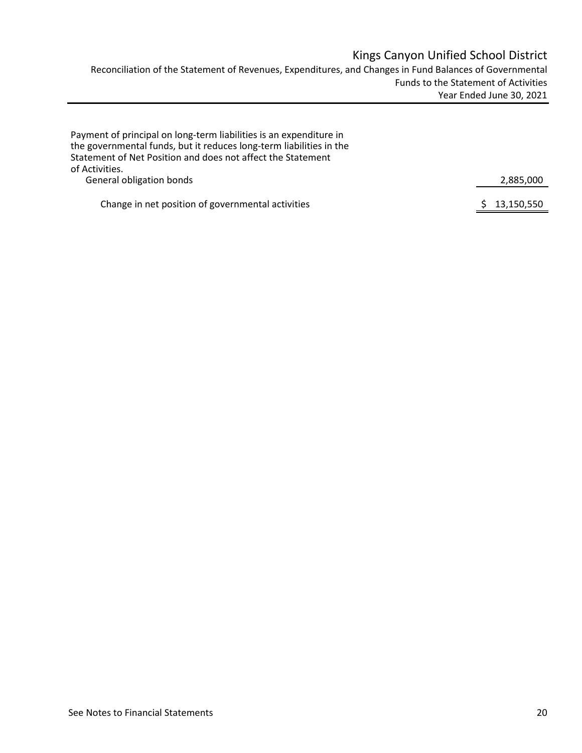Reconciliation of the Statement of Revenues, Expenditures, and Changes in Fund Balances of Governmental Funds to the Statement of Activities Year Ended June 30, 2021

| Payment of principal on long-term liabilities is an expenditure in  |            |
|---------------------------------------------------------------------|------------|
| the governmental funds, but it reduces long-term liabilities in the |            |
| Statement of Net Position and does not affect the Statement         |            |
| of Activities.                                                      |            |
| General obligation bonds                                            | 2,885,000  |
| Change in net position of governmental activities                   | 13,150,550 |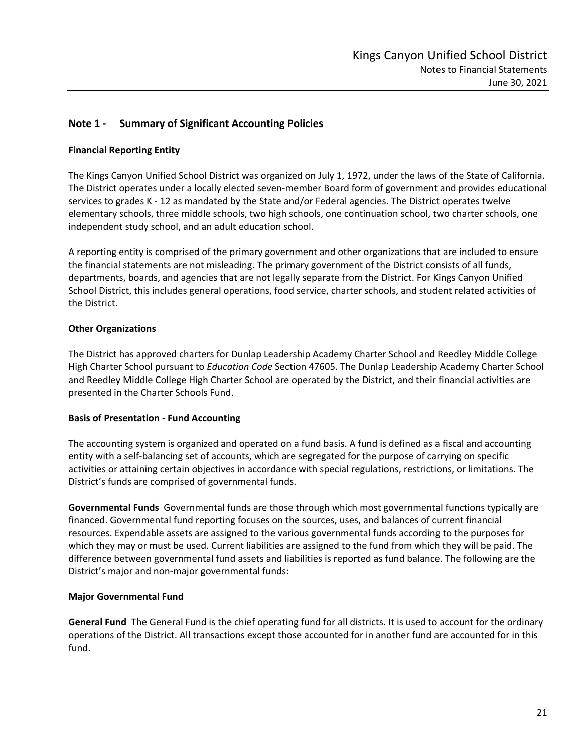## **Note 1 ‐ Summary of Significant Accounting Policies**

#### **Financial Reporting Entity**

The Kings Canyon Unified School District was organized on July 1, 1972, under the laws of the State of California. The District operates under a locally elected seven‐member Board form of government and provides educational services to grades K - 12 as mandated by the State and/or Federal agencies. The District operates twelve elementary schools, three middle schools, two high schools, one continuation school, two charter schools, one independent study school, and an adult education school.

A reporting entity is comprised of the primary government and other organizations that are included to ensure the financial statements are not misleading. The primary government of the District consists of all funds, departments, boards, and agencies that are not legally separate from the District. For Kings Canyon Unified School District, this includes general operations, food service, charter schools, and student related activities of the District.

## **Other Organizations**

The District has approved charters for Dunlap Leadership Academy Charter School and Reedley Middle College High Charter School pursuant to *Education Code* Section 47605. The Dunlap Leadership Academy Charter School and Reedley Middle College High Charter School are operated by the District, and their financial activities are presented in the Charter Schools Fund.

#### **Basis of Presentation ‐ Fund Accounting**

The accounting system is organized and operated on a fund basis. A fund is defined as a fiscal and accounting entity with a self‐balancing set of accounts, which are segregated for the purpose of carrying on specific activities or attaining certain objectives in accordance with special regulations, restrictions, or limitations. The District's funds are comprised of governmental funds.

**Governmental Funds** Governmental funds are those through which most governmental functions typically are financed. Governmental fund reporting focuses on the sources, uses, and balances of current financial resources. Expendable assets are assigned to the various governmental funds according to the purposes for which they may or must be used. Current liabilities are assigned to the fund from which they will be paid. The difference between governmental fund assets and liabilities is reported as fund balance. The following are the District's major and non‐major governmental funds:

#### **Major Governmental Fund**

**General Fund** The General Fund is the chief operating fund for all districts. It is used to account for the ordinary operations of the District. All transactions except those accounted for in another fund are accounted for in this fund.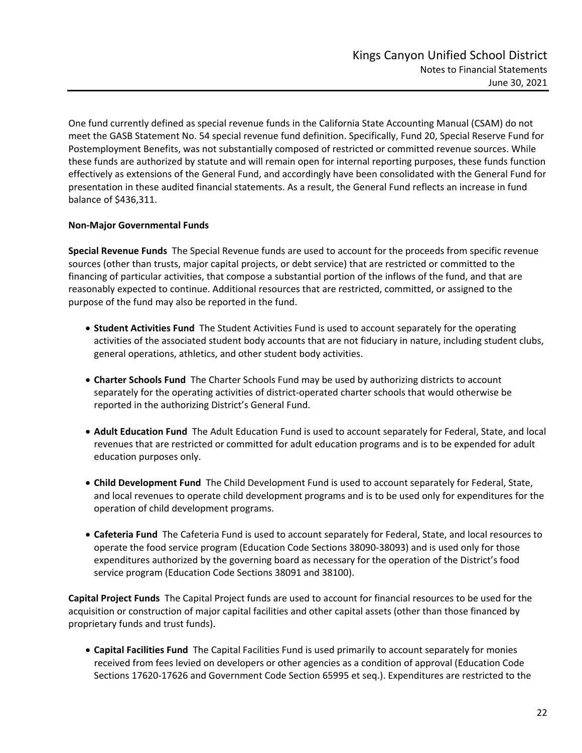One fund currently defined as special revenue funds in the California State Accounting Manual (CSAM) do not meet the GASB Statement No. 54 special revenue fund definition. Specifically, Fund 20, Special Reserve Fund for Postemployment Benefits, was not substantially composed of restricted or committed revenue sources. While these funds are authorized by statute and will remain open for internal reporting purposes, these funds function effectively as extensions of the General Fund, and accordingly have been consolidated with the General Fund for presentation in these audited financial statements. As a result, the General Fund reflects an increase in fund balance of \$436,311.

## **Non‐Major Governmental Funds**

**Special Revenue Funds** The Special Revenue funds are used to account for the proceeds from specific revenue sources (other than trusts, major capital projects, or debt service) that are restricted or committed to the financing of particular activities, that compose a substantial portion of the inflows of the fund, and that are reasonably expected to continue. Additional resources that are restricted, committed, or assigned to the purpose of the fund may also be reported in the fund.

- **Student Activities Fund** The Student Activities Fund is used to account separately for the operating activities of the associated student body accounts that are not fiduciary in nature, including student clubs, general operations, athletics, and other student body activities.
- **Charter Schools Fund** The Charter Schools Fund may be used by authorizing districts to account separately for the operating activities of district-operated charter schools that would otherwise be reported in the authorizing District's General Fund.
- **Adult Education Fund** The Adult Education Fund is used to account separately for Federal, State, and local revenues that are restricted or committed for adult education programs and is to be expended for adult education purposes only.
- **Child Development Fund** The Child Development Fund is used to account separately for Federal, State, and local revenues to operate child development programs and is to be used only for expenditures for the operation of child development programs.
- **Cafeteria Fund** The Cafeteria Fund is used to account separately for Federal, State, and local resources to operate the food service program (Education Code Sections 38090‐38093) and is used only for those expenditures authorized by the governing board as necessary for the operation of the District's food service program (Education Code Sections 38091 and 38100).

**Capital Project Funds** The Capital Project funds are used to account for financial resources to be used for the acquisition or construction of major capital facilities and other capital assets (other than those financed by proprietary funds and trust funds).

 **Capital Facilities Fund** The Capital Facilities Fund is used primarily to account separately for monies received from fees levied on developers or other agencies as a condition of approval (Education Code Sections 17620‐17626 and Government Code Section 65995 et seq.). Expenditures are restricted to the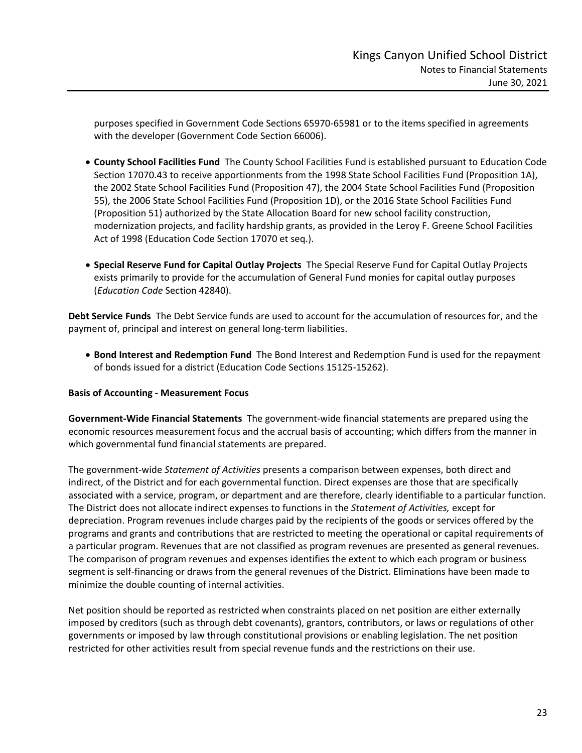purposes specified in Government Code Sections 65970‐65981 or to the items specified in agreements with the developer (Government Code Section 66006).

- **County School Facilities Fund** The County School Facilities Fund is established pursuant to Education Code Section 17070.43 to receive apportionments from the 1998 State School Facilities Fund (Proposition 1A), the 2002 State School Facilities Fund (Proposition 47), the 2004 State School Facilities Fund (Proposition 55), the 2006 State School Facilities Fund (Proposition 1D), or the 2016 State School Facilities Fund (Proposition 51) authorized by the State Allocation Board for new school facility construction, modernization projects, and facility hardship grants, as provided in the Leroy F. Greene School Facilities Act of 1998 (Education Code Section 17070 et seq.).
- **Special Reserve Fund for Capital Outlay Projects** The Special Reserve Fund for Capital Outlay Projects exists primarily to provide for the accumulation of General Fund monies for capital outlay purposes (*Education Code* Section 42840).

**Debt Service Funds** The Debt Service funds are used to account for the accumulation of resources for, and the payment of, principal and interest on general long-term liabilities.

 **Bond Interest and Redemption Fund** The Bond Interest and Redemption Fund is used for the repayment of bonds issued for a district (Education Code Sections 15125‐15262).

## **Basis of Accounting ‐ Measurement Focus**

**Government‐Wide Financial Statements** The government‐wide financial statements are prepared using the economic resources measurement focus and the accrual basis of accounting; which differs from the manner in which governmental fund financial statements are prepared.

The government‐wide *Statement of Activities* presents a comparison between expenses, both direct and indirect, of the District and for each governmental function. Direct expenses are those that are specifically associated with a service, program, or department and are therefore, clearly identifiable to a particular function. The District does not allocate indirect expenses to functions in the *Statement of Activities,* except for depreciation. Program revenues include charges paid by the recipients of the goods or services offered by the programs and grants and contributions that are restricted to meeting the operational or capital requirements of a particular program. Revenues that are not classified as program revenues are presented as general revenues. The comparison of program revenues and expenses identifies the extent to which each program or business segment is self-financing or draws from the general revenues of the District. Eliminations have been made to minimize the double counting of internal activities.

Net position should be reported as restricted when constraints placed on net position are either externally imposed by creditors (such as through debt covenants), grantors, contributors, or laws or regulations of other governments or imposed by law through constitutional provisions or enabling legislation. The net position restricted for other activities result from special revenue funds and the restrictions on their use.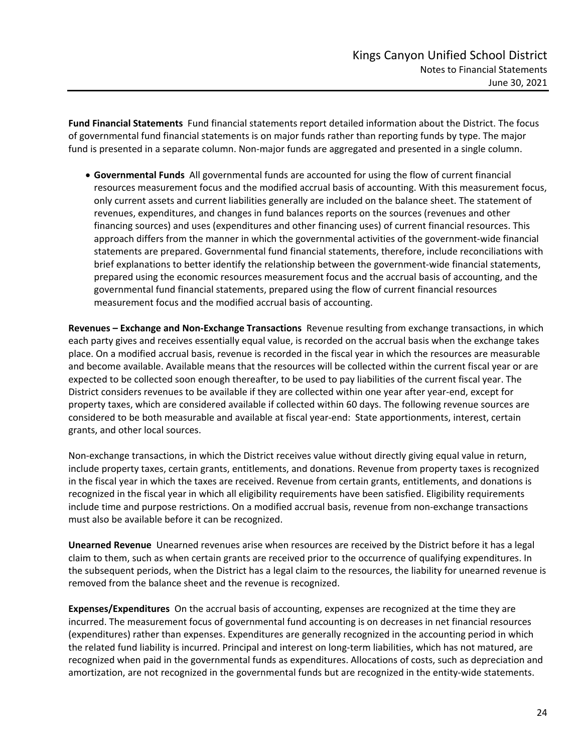**Fund Financial Statements** Fund financial statements report detailed information about the District. The focus of governmental fund financial statements is on major funds rather than reporting funds by type. The major fund is presented in a separate column. Non-major funds are aggregated and presented in a single column.

 **Governmental Funds** All governmental funds are accounted for using the flow of current financial resources measurement focus and the modified accrual basis of accounting. With this measurement focus, only current assets and current liabilities generally are included on the balance sheet. The statement of revenues, expenditures, and changes in fund balances reports on the sources (revenues and other financing sources) and uses (expenditures and other financing uses) of current financial resources. This approach differs from the manner in which the governmental activities of the government‐wide financial statements are prepared. Governmental fund financial statements, therefore, include reconciliations with brief explanations to better identify the relationship between the government-wide financial statements, prepared using the economic resources measurement focus and the accrual basis of accounting, and the governmental fund financial statements, prepared using the flow of current financial resources measurement focus and the modified accrual basis of accounting.

**Revenues – Exchange and Non‐Exchange Transactions** Revenue resulting from exchange transactions, in which each party gives and receives essentially equal value, is recorded on the accrual basis when the exchange takes place. On a modified accrual basis, revenue is recorded in the fiscal year in which the resources are measurable and become available. Available means that the resources will be collected within the current fiscal year or are expected to be collected soon enough thereafter, to be used to pay liabilities of the current fiscal year. The District considers revenues to be available if they are collected within one year after year-end, except for property taxes, which are considered available if collected within 60 days. The following revenue sources are considered to be both measurable and available at fiscal year‐end: State apportionments, interest, certain grants, and other local sources.

Non‐exchange transactions, in which the District receives value without directly giving equal value in return, include property taxes, certain grants, entitlements, and donations. Revenue from property taxes is recognized in the fiscal year in which the taxes are received. Revenue from certain grants, entitlements, and donations is recognized in the fiscal year in which all eligibility requirements have been satisfied. Eligibility requirements include time and purpose restrictions. On a modified accrual basis, revenue from non‐exchange transactions must also be available before it can be recognized.

**Unearned Revenue** Unearned revenues arise when resources are received by the District before it has a legal claim to them, such as when certain grants are received prior to the occurrence of qualifying expenditures. In the subsequent periods, when the District has a legal claim to the resources, the liability for unearned revenue is removed from the balance sheet and the revenue is recognized.

**Expenses/Expenditures** On the accrual basis of accounting, expenses are recognized at the time they are incurred. The measurement focus of governmental fund accounting is on decreases in net financial resources (expenditures) rather than expenses. Expenditures are generally recognized in the accounting period in which the related fund liability is incurred. Principal and interest on long-term liabilities, which has not matured, are recognized when paid in the governmental funds as expenditures. Allocations of costs, such as depreciation and amortization, are not recognized in the governmental funds but are recognized in the entity-wide statements.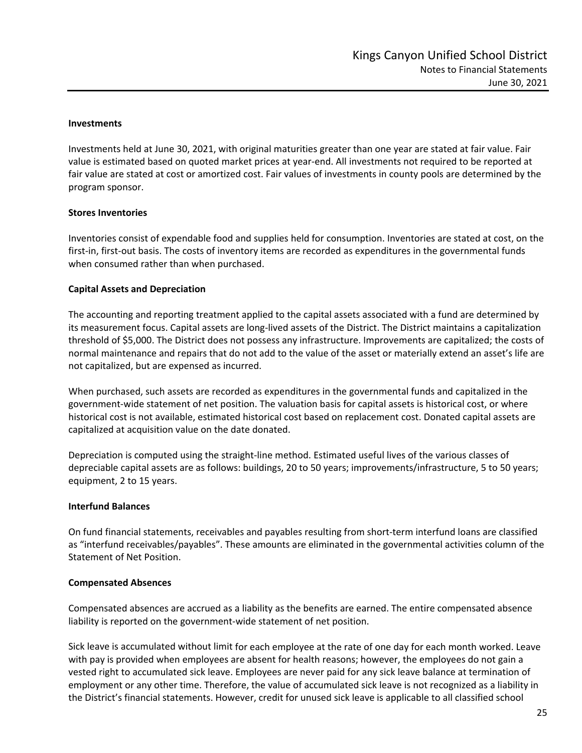#### **Investments**

Investments held at June 30, 2021, with original maturities greater than one year are stated at fair value. Fair value is estimated based on quoted market prices at year‐end. All investments not required to be reported at fair value are stated at cost or amortized cost. Fair values of investments in county pools are determined by the program sponsor.

#### **Stores Inventories**

Inventories consist of expendable food and supplies held for consumption. Inventories are stated at cost, on the first-in, first-out basis. The costs of inventory items are recorded as expenditures in the governmental funds when consumed rather than when purchased.

#### **Capital Assets and Depreciation**

The accounting and reporting treatment applied to the capital assets associated with a fund are determined by its measurement focus. Capital assets are long‐lived assets of the District. The District maintains a capitalization threshold of \$5,000. The District does not possess any infrastructure. Improvements are capitalized; the costs of normal maintenance and repairs that do not add to the value of the asset or materially extend an asset's life are not capitalized, but are expensed as incurred.

When purchased, such assets are recorded as expenditures in the governmental funds and capitalized in the government‐wide statement of net position. The valuation basis for capital assets is historical cost, or where historical cost is not available, estimated historical cost based on replacement cost. Donated capital assets are capitalized at acquisition value on the date donated.

Depreciation is computed using the straight‐line method. Estimated useful lives of the various classes of depreciable capital assets are as follows: buildings, 20 to 50 years; improvements/infrastructure, 5 to 50 years; equipment, 2 to 15 years.

#### **Interfund Balances**

On fund financial statements, receivables and payables resulting from short‐term interfund loans are classified as "interfund receivables/payables". These amounts are eliminated in the governmental activities column of the Statement of Net Position.

#### **Compensated Absences**

Compensated absences are accrued as a liability as the benefits are earned. The entire compensated absence liability is reported on the government‐wide statement of net position.

Sick leave is accumulated without limit for each employee at the rate of one day for each month worked. Leave with pay is provided when employees are absent for health reasons; however, the employees do not gain a vested right to accumulated sick leave. Employees are never paid for any sick leave balance at termination of employment or any other time. Therefore, the value of accumulated sick leave is not recognized as a liability in the District's financial statements. However, credit for unused sick leave is applicable to all classified school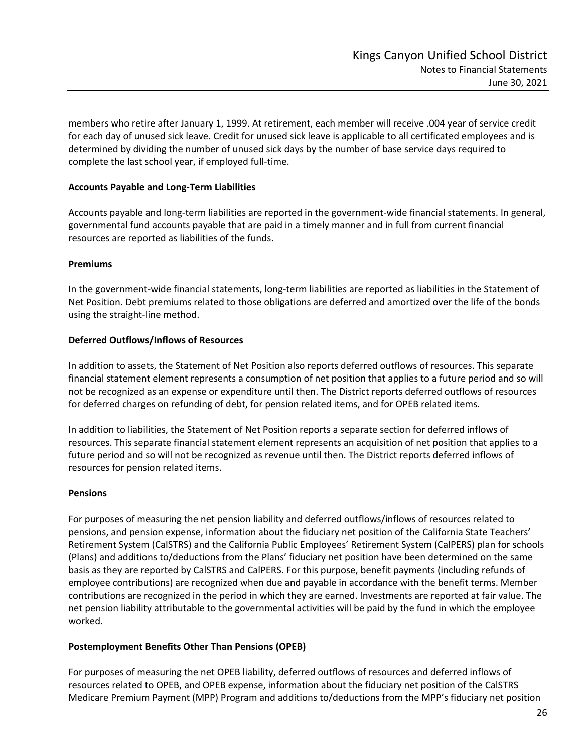members who retire after January 1, 1999. At retirement, each member will receive .004 year of service credit for each day of unused sick leave. Credit for unused sick leave is applicable to all certificated employees and is determined by dividing the number of unused sick days by the number of base service days required to complete the last school year, if employed full‐time.

## **Accounts Payable and Long‐Term Liabilities**

Accounts payable and long‐term liabilities are reported in the government‐wide financial statements. In general, governmental fund accounts payable that are paid in a timely manner and in full from current financial resources are reported as liabilities of the funds.

## **Premiums**

In the government-wide financial statements, long-term liabilities are reported as liabilities in the Statement of Net Position. Debt premiums related to those obligations are deferred and amortized over the life of the bonds using the straight‐line method.

## **Deferred Outflows/Inflows of Resources**

In addition to assets, the Statement of Net Position also reports deferred outflows of resources. This separate financial statement element represents a consumption of net position that applies to a future period and so will not be recognized as an expense or expenditure until then. The District reports deferred outflows of resources for deferred charges on refunding of debt, for pension related items, and for OPEB related items.

In addition to liabilities, the Statement of Net Position reports a separate section for deferred inflows of resources. This separate financial statement element represents an acquisition of net position that applies to a future period and so will not be recognized as revenue until then. The District reports deferred inflows of resources for pension related items.

## **Pensions**

For purposes of measuring the net pension liability and deferred outflows/inflows of resources related to pensions, and pension expense, information about the fiduciary net position of the California State Teachers' Retirement System (CalSTRS) and the California Public Employees' Retirement System (CalPERS) plan for schools (Plans) and additions to/deductions from the Plans' fiduciary net position have been determined on the same basis as they are reported by CalSTRS and CalPERS. For this purpose, benefit payments (including refunds of employee contributions) are recognized when due and payable in accordance with the benefit terms. Member contributions are recognized in the period in which they are earned. Investments are reported at fair value. The net pension liability attributable to the governmental activities will be paid by the fund in which the employee worked.

## **Postemployment Benefits Other Than Pensions (OPEB)**

For purposes of measuring the net OPEB liability, deferred outflows of resources and deferred inflows of resources related to OPEB, and OPEB expense, information about the fiduciary net position of the CalSTRS Medicare Premium Payment (MPP) Program and additions to/deductions from the MPP's fiduciary net position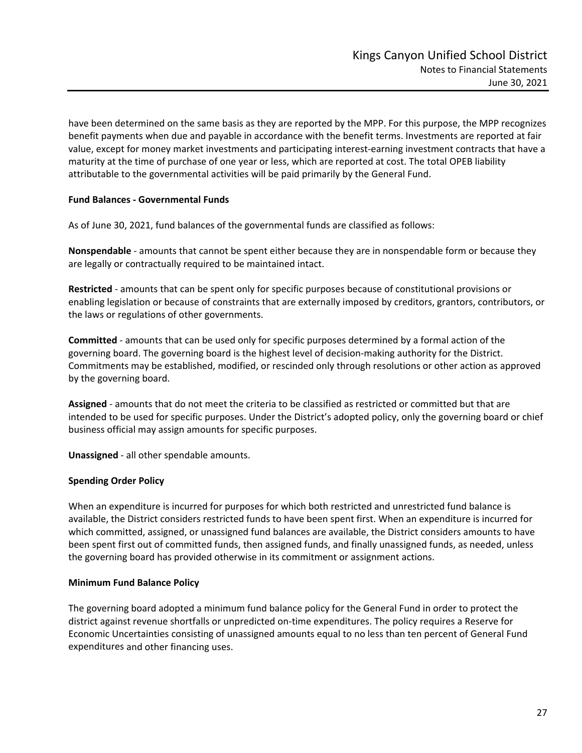have been determined on the same basis as they are reported by the MPP. For this purpose, the MPP recognizes benefit payments when due and payable in accordance with the benefit terms. Investments are reported at fair value, except for money market investments and participating interest-earning investment contracts that have a maturity at the time of purchase of one year or less, which are reported at cost. The total OPEB liability attributable to the governmental activities will be paid primarily by the General Fund.

## **Fund Balances ‐ Governmental Funds**

As of June 30, 2021, fund balances of the governmental funds are classified as follows:

**Nonspendable** ‐ amounts that cannot be spent either because they are in nonspendable form or because they are legally or contractually required to be maintained intact.

**Restricted** ‐ amounts that can be spent only for specific purposes because of constitutional provisions or enabling legislation or because of constraints that are externally imposed by creditors, grantors, contributors, or the laws or regulations of other governments.

**Committed** ‐ amounts that can be used only for specific purposes determined by a formal action of the governing board. The governing board is the highest level of decision‐making authority for the District. Commitments may be established, modified, or rescinded only through resolutions or other action as approved by the governing board.

**Assigned** ‐ amounts that do not meet the criteria to be classified as restricted or committed but that are intended to be used for specific purposes. Under the District's adopted policy, only the governing board or chief business official may assign amounts for specific purposes.

**Unassigned** ‐ all other spendable amounts.

## **Spending Order Policy**

When an expenditure is incurred for purposes for which both restricted and unrestricted fund balance is available, the District considers restricted funds to have been spent first. When an expenditure is incurred for which committed, assigned, or unassigned fund balances are available, the District considers amounts to have been spent first out of committed funds, then assigned funds, and finally unassigned funds, as needed, unless the governing board has provided otherwise in its commitment or assignment actions.

## **Minimum Fund Balance Policy**

The governing board adopted a minimum fund balance policy for the General Fund in order to protect the district against revenue shortfalls or unpredicted on‐time expenditures. The policy requires a Reserve for Economic Uncertainties consisting of unassigned amounts equal to no less than ten percent of General Fund expenditures and other financing uses.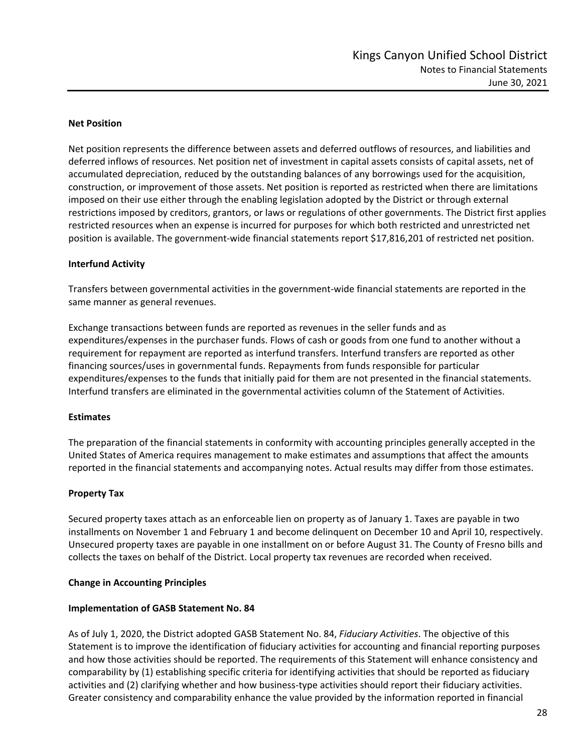#### **Net Position**

Net position represents the difference between assets and deferred outflows of resources, and liabilities and deferred inflows of resources. Net position net of investment in capital assets consists of capital assets, net of accumulated depreciation, reduced by the outstanding balances of any borrowings used for the acquisition, construction, or improvement of those assets. Net position is reported as restricted when there are limitations imposed on their use either through the enabling legislation adopted by the District or through external restrictions imposed by creditors, grantors, or laws or regulations of other governments. The District first applies restricted resources when an expense is incurred for purposes for which both restricted and unrestricted net position is available. The government‐wide financial statements report \$17,816,201 of restricted net position.

## **Interfund Activity**

Transfers between governmental activities in the government‐wide financial statements are reported in the same manner as general revenues.

Exchange transactions between funds are reported as revenues in the seller funds and as expenditures/expenses in the purchaser funds. Flows of cash or goods from one fund to another without a requirement for repayment are reported as interfund transfers. Interfund transfers are reported as other financing sources/uses in governmental funds. Repayments from funds responsible for particular expenditures/expenses to the funds that initially paid for them are not presented in the financial statements. Interfund transfers are eliminated in the governmental activities column of the Statement of Activities.

#### **Estimates**

The preparation of the financial statements in conformity with accounting principles generally accepted in the United States of America requires management to make estimates and assumptions that affect the amounts reported in the financial statements and accompanying notes. Actual results may differ from those estimates.

## **Property Tax**

Secured property taxes attach as an enforceable lien on property as of January 1. Taxes are payable in two installments on November 1 and February 1 and become delinquent on December 10 and April 10, respectively. Unsecured property taxes are payable in one installment on or before August 31. The County of Fresno bills and collects the taxes on behalf of the District. Local property tax revenues are recorded when received.

#### **Change in Accounting Principles**

#### **Implementation of GASB Statement No. 84**

As of July 1, 2020, the District adopted GASB Statement No. 84, *Fiduciary Activities*. The objective of this Statement is to improve the identification of fiduciary activities for accounting and financial reporting purposes and how those activities should be reported. The requirements of this Statement will enhance consistency and comparability by (1) establishing specific criteria for identifying activities that should be reported as fiduciary activities and (2) clarifying whether and how business-type activities should report their fiduciary activities. Greater consistency and comparability enhance the value provided by the information reported in financial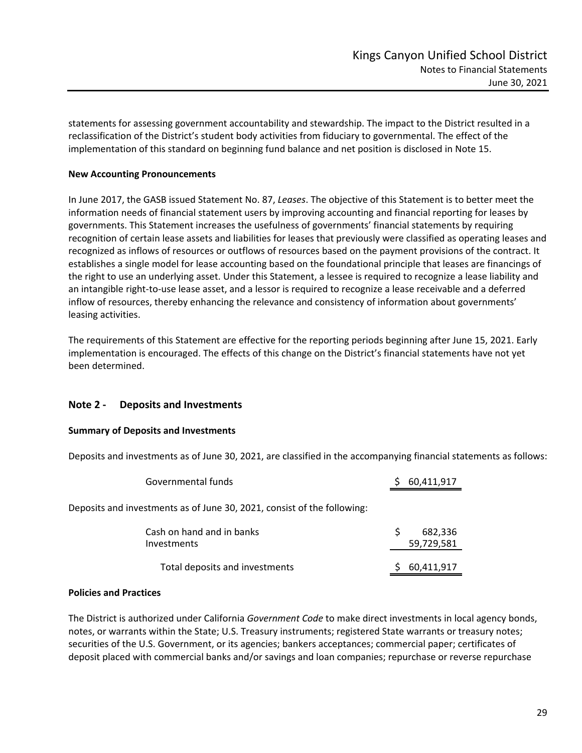statements for assessing government accountability and stewardship. The impact to the District resulted in a reclassification of the District's student body activities from fiduciary to governmental. The effect of the implementation of this standard on beginning fund balance and net position is disclosed in Note 15.

## **New Accounting Pronouncements**

In June 2017, the GASB issued Statement No. 87, *Leases*. The objective of this Statement is to better meet the information needs of financial statement users by improving accounting and financial reporting for leases by governments. This Statement increases the usefulness of governments' financial statements by requiring recognition of certain lease assets and liabilities for leases that previously were classified as operating leases and recognized as inflows of resources or outflows of resources based on the payment provisions of the contract. It establishes a single model for lease accounting based on the foundational principle that leases are financings of the right to use an underlying asset. Under this Statement, a lessee is required to recognize a lease liability and an intangible right‐to‐use lease asset, and a lessor is required to recognize a lease receivable and a deferred inflow of resources, thereby enhancing the relevance and consistency of information about governments' leasing activities.

The requirements of this Statement are effective for the reporting periods beginning after June 15, 2021. Early implementation is encouraged. The effects of this change on the District's financial statements have not yet been determined.

## **Note 2 ‐ Deposits and Investments**

## **Summary of Deposits and Investments**

Deposits and investments as of June 30, 2021, are classified in the accompanying financial statements as follows:

| Governmental funds                                                      |  | 60,411,917            |
|-------------------------------------------------------------------------|--|-----------------------|
| Deposits and investments as of June 30, 2021, consist of the following: |  |                       |
| Cash on hand and in banks<br>Investments                                |  | 682,336<br>59,729,581 |
| Total deposits and investments                                          |  | 60,411,917            |

## **Policies and Practices**

The District is authorized under California *Government Code* to make direct investments in local agency bonds, notes, or warrants within the State; U.S. Treasury instruments; registered State warrants or treasury notes; securities of the U.S. Government, or its agencies; bankers acceptances; commercial paper; certificates of deposit placed with commercial banks and/or savings and loan companies; repurchase or reverse repurchase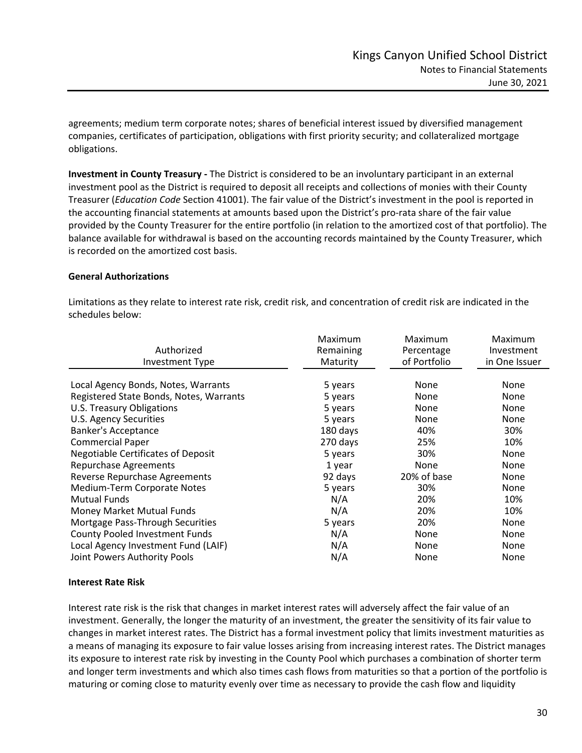agreements; medium term corporate notes; shares of beneficial interest issued by diversified management companies, certificates of participation, obligations with first priority security; and collateralized mortgage obligations.

**Investment in County Treasury ‐** The District is considered to be an involuntary participant in an external investment pool as the District is required to deposit all receipts and collections of monies with their County Treasurer (*Education Code* Section 41001). The fair value of the District's investment in the pool is reported in the accounting financial statements at amounts based upon the District's pro‐rata share of the fair value provided by the County Treasurer for the entire portfolio (in relation to the amortized cost of that portfolio). The balance available for withdrawal is based on the accounting records maintained by the County Treasurer, which is recorded on the amortized cost basis.

## **General Authorizations**

Limitations as they relate to interest rate risk, credit risk, and concentration of credit risk are indicated in the schedules below:

| Authorized<br><b>Investment Type</b>    | Maximum<br>Remaining<br>Maturity | Maximum<br>Percentage<br>of Portfolio | Maximum<br>Investment<br>in One Issuer |
|-----------------------------------------|----------------------------------|---------------------------------------|----------------------------------------|
| Local Agency Bonds, Notes, Warrants     | 5 years                          | None                                  | None                                   |
| Registered State Bonds, Notes, Warrants | 5 years                          | None                                  | None                                   |
| U.S. Treasury Obligations               | 5 years                          | None                                  | None                                   |
| U.S. Agency Securities                  | 5 years                          | None                                  | None                                   |
| <b>Banker's Acceptance</b>              | 180 days                         | 40%                                   | 30%                                    |
| <b>Commercial Paper</b>                 | 270 days                         | 25%                                   | 10%                                    |
| Negotiable Certificates of Deposit      | 5 years                          | 30%                                   | None                                   |
| Repurchase Agreements                   | 1 year                           | None                                  | None                                   |
| Reverse Repurchase Agreements           | 92 days                          | 20% of base                           | None                                   |
| <b>Medium-Term Corporate Notes</b>      | 5 years                          | 30%                                   | None                                   |
| <b>Mutual Funds</b>                     | N/A                              | 20%                                   | 10%                                    |
| Money Market Mutual Funds               | N/A                              | 20%                                   | 10%                                    |
| Mortgage Pass-Through Securities        | 5 years                          | 20%                                   | None                                   |
| <b>County Pooled Investment Funds</b>   | N/A                              | None                                  | None                                   |
| Local Agency Investment Fund (LAIF)     | N/A                              | None                                  | None                                   |
| Joint Powers Authority Pools            | N/A                              | None                                  | None                                   |

## **Interest Rate Risk**

Interest rate risk is the risk that changes in market interest rates will adversely affect the fair value of an investment. Generally, the longer the maturity of an investment, the greater the sensitivity of its fair value to changes in market interest rates. The District has a formal investment policy that limits investment maturities as a means of managing its exposure to fair value losses arising from increasing interest rates. The District manages its exposure to interest rate risk by investing in the County Pool which purchases a combination of shorter term and longer term investments and which also times cash flows from maturities so that a portion of the portfolio is maturing or coming close to maturity evenly over time as necessary to provide the cash flow and liquidity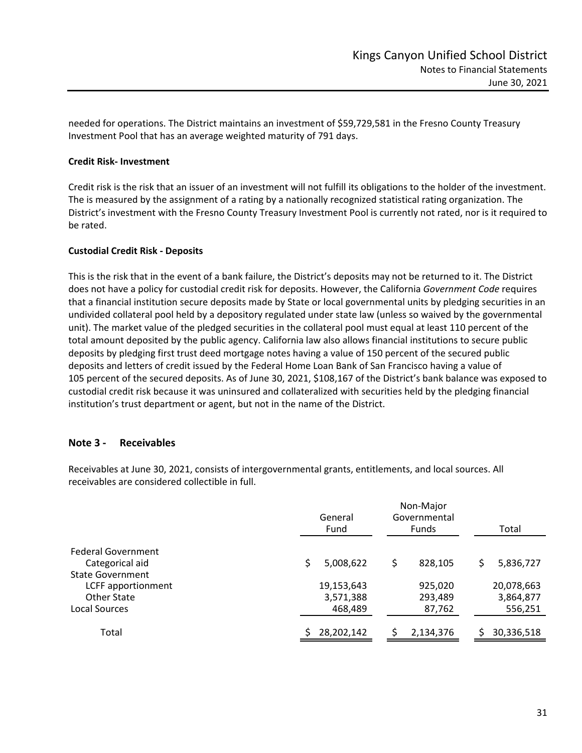needed for operations. The District maintains an investment of \$59,729,581 in the Fresno County Treasury Investment Pool that has an average weighted maturity of 791 days.

## **Credit Risk‐ Investment**

Credit risk is the risk that an issuer of an investment will not fulfill its obligations to the holder of the investment. The is measured by the assignment of a rating by a nationally recognized statistical rating organization. The District's investment with the Fresno County Treasury Investment Pool is currently not rated, nor is it required to be rated.

#### **Custodial Credit Risk ‐ Deposits**

This is the risk that in the event of a bank failure, the District's deposits may not be returned to it. The District does not have a policy for custodial credit risk for deposits. However, the California *Government Code* requires that a financial institution secure deposits made by State or local governmental units by pledging securities in an undivided collateral pool held by a depository regulated under state law (unless so waived by the governmental unit). The market value of the pledged securities in the collateral pool must equal at least 110 percent of the total amount deposited by the public agency. California law also allows financial institutions to secure public deposits by pledging first trust deed mortgage notes having a value of 150 percent of the secured public deposits and letters of credit issued by the Federal Home Loan Bank of San Francisco having a value of 105 percent of the secured deposits. As of June 30, 2021, \$108,167 of the District's bank balance was exposed to custodial credit risk because it was uninsured and collateralized with securities held by the pledging financial institution's trust department or agent, but not in the name of the District.

## **Note 3 ‐ Receivables**

Receivables at June 30, 2021, consists of intergovernmental grants, entitlements, and local sources. All receivables are considered collectible in full.

| General<br>Fund | Non-Major<br>Governmental<br><b>Funds</b> | Total           |
|-----------------|-------------------------------------------|-----------------|
|                 |                                           |                 |
| 5,008,622       | 828.105<br>S                              | 5,836,727<br>S  |
|                 |                                           |                 |
| 19,153,643      | 925,020                                   | 20,078,663      |
| 3,571,388       | 293,489                                   | 3,864,877       |
| 468,489         | 87,762                                    | 556,251         |
| 28,202,142      | 2,134,376                                 | 30,336,518<br>S |
|                 |                                           |                 |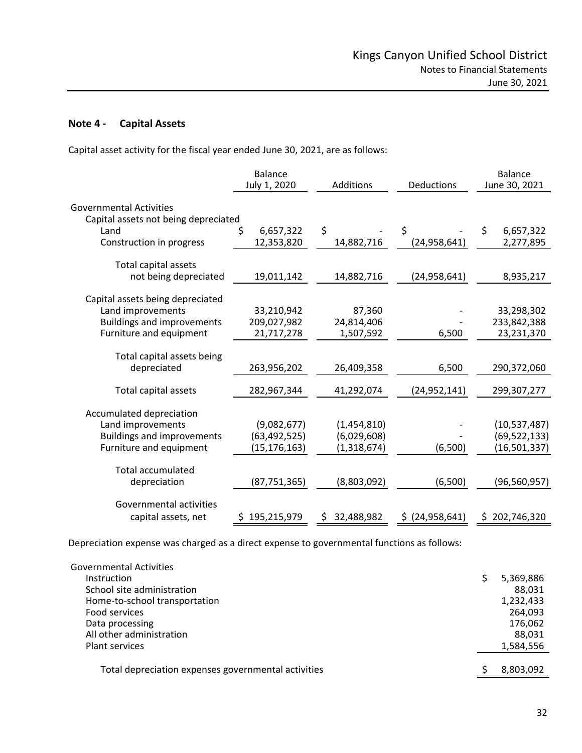## **Note 4 ‐ Capital Assets**

Capital asset activity for the fiscal year ended June 30, 2021, are as follows:

|                                      | <b>Balance</b><br>July 1, 2020 | Additions        | Deductions      | <b>Balance</b><br>June 30, 2021 |
|--------------------------------------|--------------------------------|------------------|-----------------|---------------------------------|
| <b>Governmental Activities</b>       |                                |                  |                 |                                 |
| Capital assets not being depreciated |                                |                  |                 |                                 |
| Land                                 | Ś<br>6,657,322                 | \$               | \$              | \$<br>6,657,322                 |
| Construction in progress             | 12,353,820                     | 14,882,716       | (24, 958, 641)  | 2,277,895                       |
| Total capital assets                 |                                |                  |                 |                                 |
| not being depreciated                | 19,011,142                     | 14,882,716       | (24, 958, 641)  | 8,935,217                       |
| Capital assets being depreciated     |                                |                  |                 |                                 |
| Land improvements                    | 33,210,942                     | 87,360           |                 | 33,298,302                      |
| <b>Buildings and improvements</b>    | 209,027,982                    | 24,814,406       |                 | 233,842,388                     |
| Furniture and equipment              | 21,717,278                     | 1,507,592        | 6,500           | 23,231,370                      |
| Total capital assets being           |                                |                  |                 |                                 |
| depreciated                          | 263,956,202                    | 26,409,358       | 6,500           | 290,372,060                     |
| Total capital assets                 | 282,967,344                    | 41,292,074       | (24,952,141)    | 299,307,277                     |
| Accumulated depreciation             |                                |                  |                 |                                 |
| Land improvements                    | (9,082,677)                    | (1,454,810)      |                 | (10, 537, 487)                  |
| <b>Buildings and improvements</b>    | (63, 492, 525)                 | (6,029,608)      |                 | (69, 522, 133)                  |
| Furniture and equipment              | (15, 176, 163)                 | (1,318,674)      | (6,500)         | (16,501,337)                    |
|                                      |                                |                  |                 |                                 |
| <b>Total accumulated</b>             |                                |                  |                 |                                 |
| depreciation                         | (87, 751, 365)                 | (8,803,092)      | (6,500)         | (96, 560, 957)                  |
| Governmental activities              |                                |                  |                 |                                 |
| capital assets, net                  | 195,215,979                    | 32,488,982<br>S. | \$ (24,958,641) | 202,746,320<br>Ś.               |

Depreciation expense was charged as a direct expense to governmental functions as follows:

| <b>Governmental Activities</b>                      |           |
|-----------------------------------------------------|-----------|
| <b>Instruction</b>                                  | 5,369,886 |
| School site administration                          | 88,031    |
| Home-to-school transportation                       | 1,232,433 |
| Food services                                       | 264,093   |
| Data processing                                     | 176,062   |
| All other administration                            | 88,031    |
| Plant services                                      | 1,584,556 |
|                                                     |           |
| Total depreciation expenses governmental activities | 8,803,092 |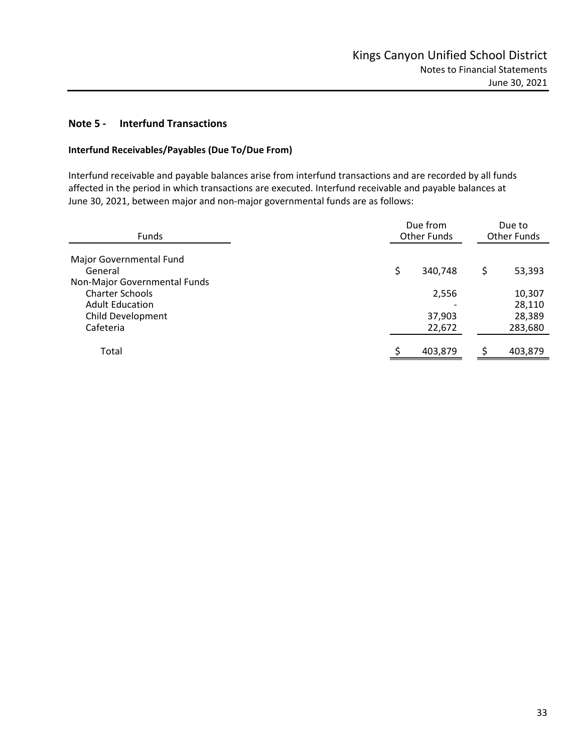## **Note 5 ‐ Interfund Transactions**

## **Interfund Receivables/Payables (Due To/Due From)**

Interfund receivable and payable balances arise from interfund transactions and are recorded by all funds affected in the period in which transactions are executed. Interfund receivable and payable balances at June 30, 2021, between major and non‐major governmental funds are as follows:

| Funds                                                                            | Due from<br><b>Other Funds</b> |    | Due to<br><b>Other Funds</b> |  |
|----------------------------------------------------------------------------------|--------------------------------|----|------------------------------|--|
| Major Governmental Fund<br>General                                               | 340,748                        | \$ | 53,393                       |  |
| Non-Major Governmental Funds<br><b>Charter Schools</b><br><b>Adult Education</b> | 2,556                          |    | 10,307<br>28,110             |  |
| Child Development<br>Cafeteria                                                   | 37,903<br>22,672               |    | 28,389<br>283,680            |  |
| Total                                                                            | 403,879                        | S  | 403,879                      |  |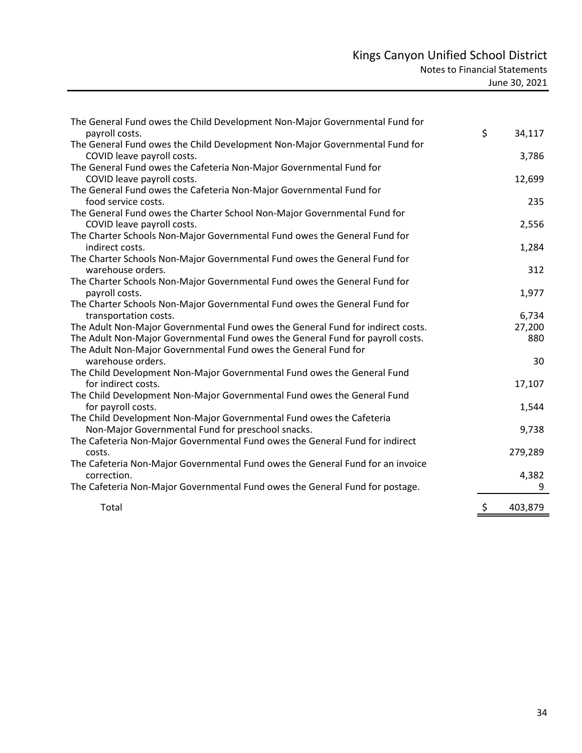| The General Fund owes the Child Development Non-Major Governmental Fund for                       |               |
|---------------------------------------------------------------------------------------------------|---------------|
| payroll costs.                                                                                    | \$<br>34,117  |
| The General Fund owes the Child Development Non-Major Governmental Fund for                       |               |
| COVID leave payroll costs.                                                                        | 3,786         |
| The General Fund owes the Cafeteria Non-Major Governmental Fund for                               |               |
| COVID leave payroll costs.<br>The General Fund owes the Cafeteria Non-Major Governmental Fund for | 12,699        |
| food service costs.                                                                               | 235           |
| The General Fund owes the Charter School Non-Major Governmental Fund for                          |               |
| COVID leave payroll costs.                                                                        | 2,556         |
| The Charter Schools Non-Major Governmental Fund owes the General Fund for                         |               |
| indirect costs.                                                                                   | 1,284         |
| The Charter Schools Non-Major Governmental Fund owes the General Fund for                         |               |
| warehouse orders.                                                                                 | 312           |
| The Charter Schools Non-Major Governmental Fund owes the General Fund for                         | 1,977         |
| payroll costs.<br>The Charter Schools Non-Major Governmental Fund owes the General Fund for       |               |
| transportation costs.                                                                             | 6,734         |
| The Adult Non-Major Governmental Fund owes the General Fund for indirect costs.                   | 27,200        |
| The Adult Non-Major Governmental Fund owes the General Fund for payroll costs.                    | 880           |
| The Adult Non-Major Governmental Fund owes the General Fund for                                   |               |
| warehouse orders.                                                                                 | 30            |
| The Child Development Non-Major Governmental Fund owes the General Fund                           |               |
| for indirect costs.                                                                               | 17,107        |
| The Child Development Non-Major Governmental Fund owes the General Fund<br>for payroll costs.     | 1,544         |
| The Child Development Non-Major Governmental Fund owes the Cafeteria                              |               |
| Non-Major Governmental Fund for preschool snacks.                                                 | 9,738         |
| The Cafeteria Non-Major Governmental Fund owes the General Fund for indirect                      |               |
| costs.                                                                                            | 279,289       |
| The Cafeteria Non-Major Governmental Fund owes the General Fund for an invoice                    |               |
| correction.                                                                                       | 4,382         |
| The Cafeteria Non-Major Governmental Fund owes the General Fund for postage.                      | 9             |
| Total                                                                                             | \$<br>403,879 |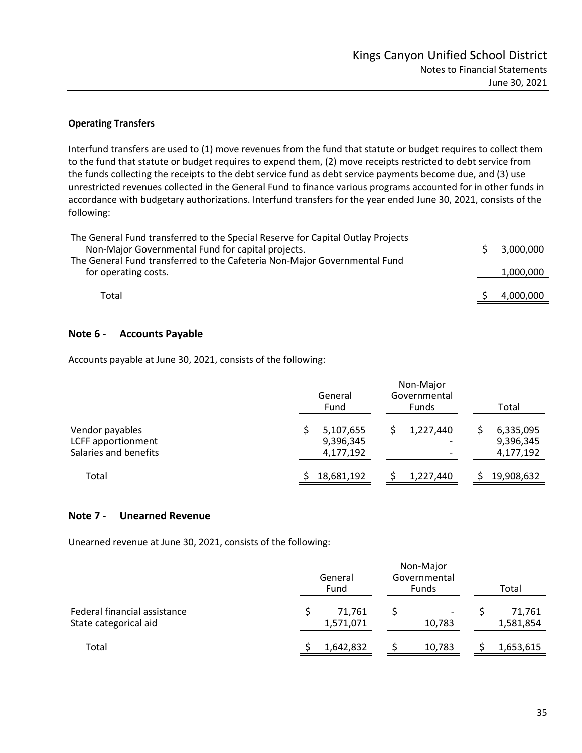# **Operating Transfers**

Interfund transfers are used to (1) move revenues from the fund that statute or budget requires to collect them to the fund that statute or budget requires to expend them, (2) move receipts restricted to debt service from the funds collecting the receipts to the debt service fund as debt service payments become due, and (3) use unrestricted revenues collected in the General Fund to finance various programs accounted for in other funds in accordance with budgetary authorizations. Interfund transfers for the year ended June 30, 2021, consists of the following:

| The General Fund transferred to the Special Reserve for Capital Outlay Projects<br>Non-Major Governmental Fund for capital projects. | 3,000,000 |
|--------------------------------------------------------------------------------------------------------------------------------------|-----------|
| The General Fund transferred to the Cafeteria Non-Major Governmental Fund<br>for operating costs.                                    | 1,000,000 |
| Total                                                                                                                                | 4,000,000 |

# **Note 6 ‐ Accounts Payable**

Accounts payable at June 30, 2021, consists of the following:

|                                                                | General<br>Fund                     | Non-Major<br>Governmental<br><b>Funds</b> | Total                               |
|----------------------------------------------------------------|-------------------------------------|-------------------------------------------|-------------------------------------|
| Vendor payables<br>LCFF apportionment<br>Salaries and benefits | 5,107,655<br>9,396,345<br>4,177,192 | 1,227,440<br>-                            | 6,335,095<br>9,396,345<br>4,177,192 |
| Total                                                          | 18,681,192                          | 1,227,440                                 | 19,908,632                          |

# **Note 7 ‐ Unearned Revenue**

Unearned revenue at June 30, 2021, consists of the following:

|                                                       | General<br>Fund     | Non-Major<br>Governmental<br><b>Funds</b> | Total               |
|-------------------------------------------------------|---------------------|-------------------------------------------|---------------------|
| Federal financial assistance<br>State categorical aid | 71,761<br>1,571,071 | 10,783                                    | 71,761<br>1,581,854 |
| Total                                                 | 1,642,832           | 10,783                                    | 1,653,615           |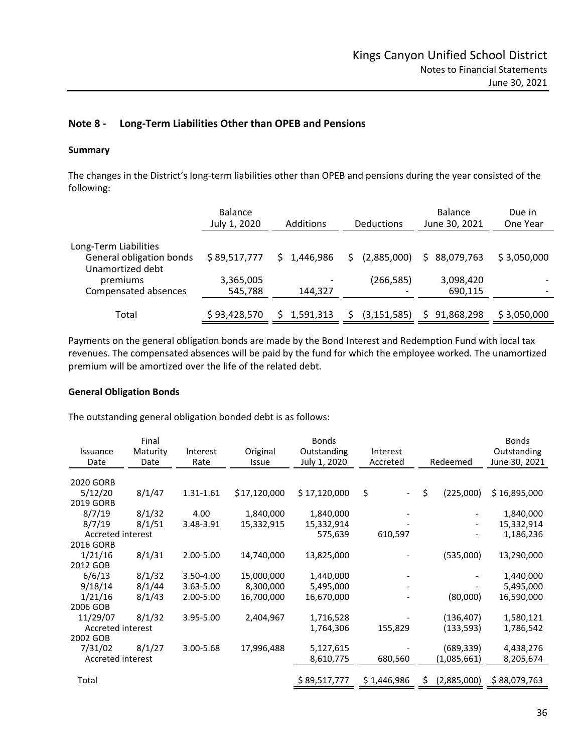# **Note 8 ‐ Long‐Term Liabilities Other than OPEB and Pensions**

#### **Summary**

The changes in the District's long‐term liabilities other than OPEB and pensions during the year consisted of the following:

|                                                                       | <b>Balance</b><br>July 1, 2020 | <b>Additions</b> | <b>Deductions</b> | <b>Balance</b><br>June 30, 2021 | Due in<br>One Year |
|-----------------------------------------------------------------------|--------------------------------|------------------|-------------------|---------------------------------|--------------------|
| Long-Term Liabilities<br>General obligation bonds<br>Unamortized debt | \$89,517,777                   | 1,446,986        | (2,885,000)       | 88,079,763<br>S.                | \$3,050,000        |
| premiums<br>Compensated absences                                      | 3,365,005<br>545,788           | 144.327          | (266, 585)        | 3,098,420<br>690,115            |                    |
| Total                                                                 | \$93,428,570                   | 1.591.313        | (3, 151, 585)     | 91,868,298<br>S.                | \$3,050,000        |

Payments on the general obligation bonds are made by the Bond Interest and Redemption Fund with local tax revenues. The compensated absences will be paid by the fund for which the employee worked. The unamortized premium will be amortized over the life of the related debt.

#### **General Obligation Bonds**

The outstanding general obligation bonded debt is as follows:

| Issuance          | Final<br>Maturity | Interest      | Original     | <b>Bonds</b><br>Outstanding | Interest    |                  | <b>Bonds</b><br>Outstanding |
|-------------------|-------------------|---------------|--------------|-----------------------------|-------------|------------------|-----------------------------|
| Date              | Date              | Rate          | Issue        | July 1, 2020                | Accreted    | Redeemed         | June 30, 2021               |
| 2020 GORB         |                   |               |              |                             |             |                  |                             |
| 5/12/20           | 8/1/47            | 1.31-1.61     | \$17,120,000 | \$17,120,000                | \$          | \$<br>(225,000)  | \$16,895,000                |
| 2019 GORB         |                   |               |              |                             |             |                  |                             |
| 8/7/19            | 8/1/32            | 4.00          | 1,840,000    | 1,840,000                   |             |                  | 1,840,000                   |
| 8/7/19            | 8/1/51            | 3.48-3.91     | 15,332,915   | 15,332,914                  |             |                  | 15,332,914                  |
| Accreted interest |                   |               |              | 575,639                     | 610,597     |                  | 1,186,236                   |
| 2016 GORB         |                   |               |              |                             |             |                  |                             |
| 1/21/16           | 8/1/31            | 2.00-5.00     | 14,740,000   | 13,825,000                  |             | (535,000)        | 13,290,000                  |
| 2012 GOB          |                   |               |              |                             |             |                  |                             |
| 6/6/13            | 8/1/32            | 3.50-4.00     | 15,000,000   | 1,440,000                   |             |                  | 1,440,000                   |
| 9/18/14           | 8/1/44            | $3.63 - 5.00$ | 8,300,000    | 5,495,000                   |             |                  | 5,495,000                   |
| 1/21/16           | 8/1/43            | 2.00-5.00     | 16,700,000   | 16,670,000                  |             | (80,000)         | 16,590,000                  |
| 2006 GOB          |                   |               |              |                             |             |                  |                             |
| 11/29/07          | 8/1/32            | 3.95-5.00     | 2,404,967    | 1,716,528                   |             | (136, 407)       | 1,580,121                   |
| Accreted interest |                   |               |              | 1,764,306                   | 155,829     | (133,593)        | 1,786,542                   |
| 2002 GOB          |                   |               |              |                             |             |                  |                             |
| 7/31/02           | 8/1/27            | 3.00-5.68     | 17,996,488   | 5,127,615                   |             | (689, 339)       | 4,438,276                   |
| Accreted interest |                   |               |              | 8,610,775                   | 680,560     | (1,085,661)      | 8,205,674                   |
|                   |                   |               |              |                             |             |                  |                             |
| Total             |                   |               |              | \$89,517,777                | \$1,446,986 | (2,885,000)<br>Ś | \$88,079,763                |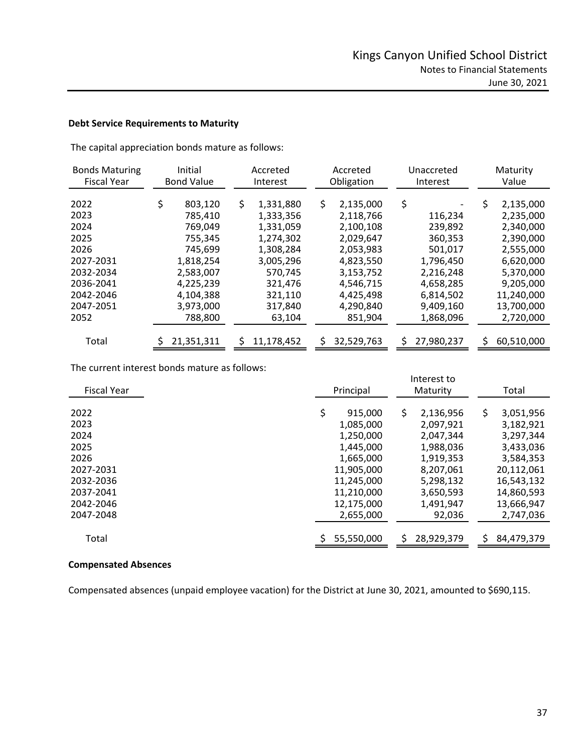#### **Debt Service Requirements to Maturity**

| <b>Bonds Maturing</b><br><b>Fiscal Year</b> | Initial<br><b>Bond Value</b> |     | Accreted<br>Interest |     | Accreted<br>Obligation | Unaccreted<br>Interest | Maturity<br>Value |
|---------------------------------------------|------------------------------|-----|----------------------|-----|------------------------|------------------------|-------------------|
| 2022                                        | \$<br>803,120                | \$. | 1,331,880            | \$. | 2,135,000              | \$                     | \$<br>2,135,000   |
| 2023                                        | 785,410                      |     | 1,333,356            |     | 2,118,766              | 116,234                | 2,235,000         |
| 2024                                        | 769,049                      |     | 1,331,059            |     | 2,100,108              | 239,892                | 2,340,000         |
| 2025                                        | 755,345                      |     | 1,274,302            |     | 2,029,647              | 360,353                | 2,390,000         |
| 2026                                        | 745,699                      |     | 1,308,284            |     | 2,053,983              | 501,017                | 2,555,000         |
| 2027-2031                                   | 1,818,254                    |     | 3,005,296            |     | 4,823,550              | 1,796,450              | 6,620,000         |
| 2032-2034                                   | 2,583,007                    |     | 570.745              |     | 3,153,752              | 2,216,248              | 5,370,000         |
| 2036-2041                                   | 4,225,239                    |     | 321,476              |     | 4,546,715              | 4,658,285              | 9,205,000         |
| 2042-2046                                   | 4,104,388                    |     | 321,110              |     | 4,425,498              | 6,814,502              | 11,240,000        |
| 2047-2051                                   | 3,973,000                    |     | 317,840              |     | 4,290,840              | 9,409,160              | 13,700,000        |
| 2052                                        | 788,800                      |     | 63,104               |     | 851,904                | 1,868,096              | 2,720,000         |
|                                             |                              |     |                      |     |                        |                        |                   |
| Total                                       | 21,351,311                   |     | 11,178,452           |     | 32,529,763             | 27,980,237             | 60,510,000        |

The capital appreciation bonds mature as follows:

The current interest bonds mature as follows:

| Principal     | Interest to<br>Maturity | Total           |
|---------------|-------------------------|-----------------|
|               |                         |                 |
| \$<br>915,000 | \$<br>2,136,956         | \$<br>3,051,956 |
| 1,085,000     | 2,097,921               | 3,182,921       |
| 1,250,000     | 2,047,344               | 3,297,344       |
| 1,445,000     | 1,988,036               | 3,433,036       |
| 1,665,000     | 1,919,353               | 3,584,353       |
| 11,905,000    | 8,207,061               | 20,112,061      |
| 11,245,000    | 5,298,132               | 16,543,132      |
| 11,210,000    | 3,650,593               | 14,860,593      |
| 12,175,000    | 1,491,947               | 13,666,947      |
| 2,655,000     | 92,036                  | 2,747,036       |
|               |                         |                 |
| 55,550,000    | 28,929,379<br>S         | 84,479,379<br>ς |
|               |                         |                 |

#### **Compensated Absences**

Compensated absences (unpaid employee vacation) for the District at June 30, 2021, amounted to \$690,115.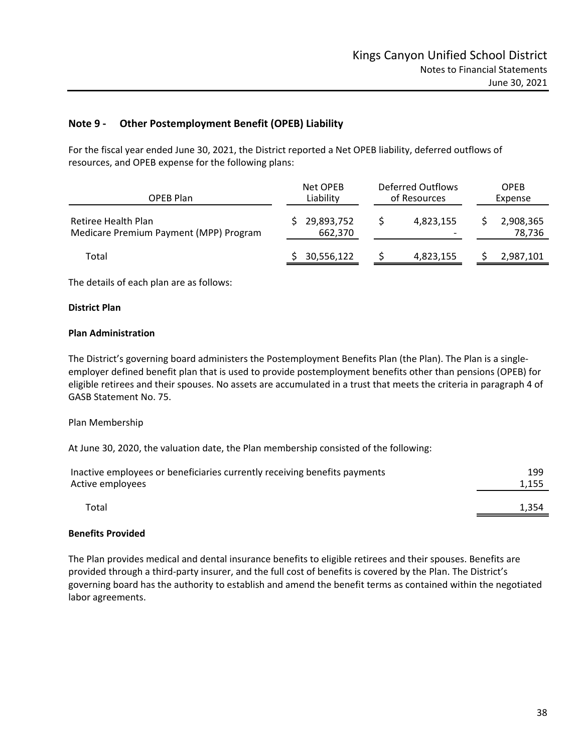# **Note 9 ‐ Other Postemployment Benefit (OPEB) Liability**

For the fiscal year ended June 30, 2021, the District reported a Net OPEB liability, deferred outflows of resources, and OPEB expense for the following plans:

| OPEB Plan                                                     | Net OPEB<br>Liability | Deferred Outflows<br>of Resources | <b>OPEB</b><br>Expense |  |
|---------------------------------------------------------------|-----------------------|-----------------------------------|------------------------|--|
| Retiree Health Plan<br>Medicare Premium Payment (MPP) Program | 29,893,752<br>662,370 | 4,823,155                         | 2,908,365<br>78,736    |  |
| Total                                                         | 30,556,122            | 4,823,155                         | 2,987,101              |  |

The details of each plan are as follows:

#### **District Plan**

#### **Plan Administration**

The District's governing board administers the Postemployment Benefits Plan (the Plan). The Plan is a single‐ employer defined benefit plan that is used to provide postemployment benefits other than pensions (OPEB) for eligible retirees and their spouses. No assets are accumulated in a trust that meets the criteria in paragraph 4 of GASB Statement No. 75.

Plan Membership

At June 30, 2020, the valuation date, the Plan membership consisted of the following:

| Inactive employees or beneficiaries currently receiving benefits payments | 199   |
|---------------------------------------------------------------------------|-------|
| Active employees                                                          | 1,155 |
| Total                                                                     | 1.354 |

#### **Benefits Provided**

The Plan provides medical and dental insurance benefits to eligible retirees and their spouses. Benefits are provided through a third‐party insurer, and the full cost of benefits is covered by the Plan. The District's governing board has the authority to establish and amend the benefit terms as contained within the negotiated labor agreements.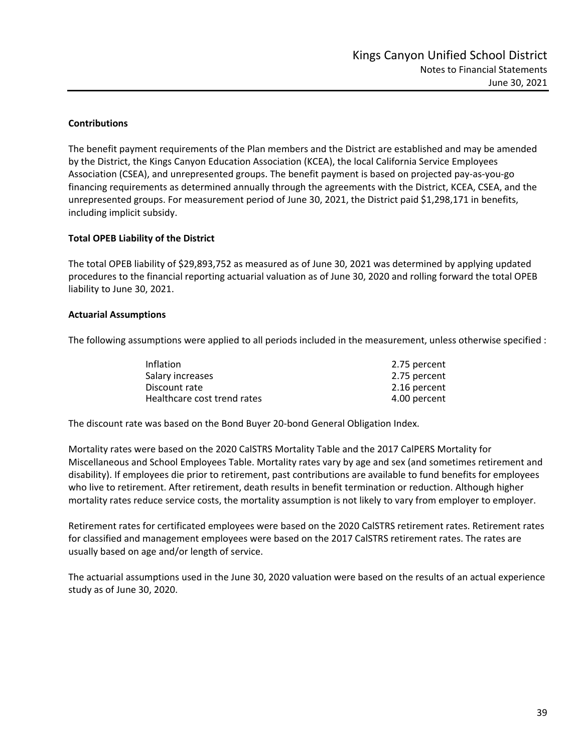#### **Contributions**

The benefit payment requirements of the Plan members and the District are established and may be amended by the District, the Kings Canyon Education Association (KCEA), the local California Service Employees Association (CSEA), and unrepresented groups. The benefit payment is based on projected pay‐as‐you‐go financing requirements as determined annually through the agreements with the District, KCEA, CSEA, and the unrepresented groups. For measurement period of June 30, 2021, the District paid \$1,298,171 in benefits, including implicit subsidy.

# **Total OPEB Liability of the District**

The total OPEB liability of \$29,893,752 as measured as of June 30, 2021 was determined by applying updated procedures to the financial reporting actuarial valuation as of June 30, 2020 and rolling forward the total OPEB liability to June 30, 2021.

#### **Actuarial Assumptions**

The following assumptions were applied to all periods included in the measurement, unless otherwise specified :

| Inflation                   | 2.75 percent |
|-----------------------------|--------------|
| Salary increases            | 2.75 percent |
| Discount rate               | 2.16 percent |
| Healthcare cost trend rates | 4.00 percent |

The discount rate was based on the Bond Buyer 20‐bond General Obligation Index.

Mortality rates were based on the 2020 CalSTRS Mortality Table and the 2017 CalPERS Mortality for Miscellaneous and School Employees Table. Mortality rates vary by age and sex (and sometimes retirement and disability). If employees die prior to retirement, past contributions are available to fund benefits for employees who live to retirement. After retirement, death results in benefit termination or reduction. Although higher mortality rates reduce service costs, the mortality assumption is not likely to vary from employer to employer.

Retirement rates for certificated employees were based on the 2020 CalSTRS retirement rates. Retirement rates for classified and management employees were based on the 2017 CalSTRS retirement rates. The rates are usually based on age and/or length of service.

The actuarial assumptions used in the June 30, 2020 valuation were based on the results of an actual experience study as of June 30, 2020.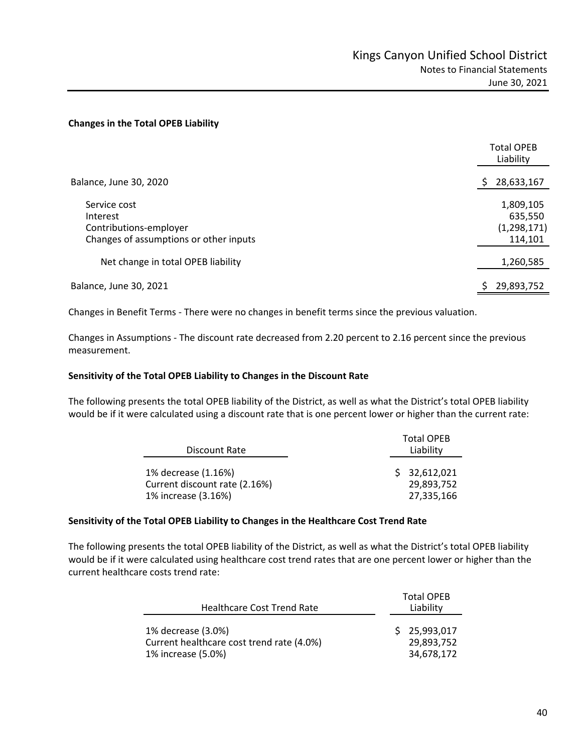#### **Changes in the Total OPEB Liability**

|                                                                                              | <b>Total OPEB</b><br>Liability                   |
|----------------------------------------------------------------------------------------------|--------------------------------------------------|
| Balance, June 30, 2020                                                                       | 28,633,167<br>S                                  |
| Service cost<br>Interest<br>Contributions-employer<br>Changes of assumptions or other inputs | 1,809,105<br>635,550<br>(1, 298, 171)<br>114,101 |
| Net change in total OPEB liability                                                           | 1,260,585                                        |
| Balance, June 30, 2021                                                                       | 29,893,752                                       |

Changes in Benefit Terms ‐ There were no changes in benefit terms since the previous valuation.

Changes in Assumptions ‐ The discount rate decreased from 2.20 percent to 2.16 percent since the previous measurement.

#### **Sensitivity of the Total OPEB Liability to Changes in the Discount Rate**

The following presents the total OPEB liability of the District, as well as what the District's total OPEB liability would be if it were calculated using a discount rate that is one percent lower or higher than the current rate:

| Discount Rate                 | <b>Total OPEB</b><br>Liability |
|-------------------------------|--------------------------------|
| 1% decrease (1.16%)           | \$32,612,021                   |
| Current discount rate (2.16%) | 29,893,752                     |
| 1% increase (3.16%)           | 27,335,166                     |

#### **Sensitivity of the Total OPEB Liability to Changes in the Healthcare Cost Trend Rate**

The following presents the total OPEB liability of the District, as well as what the District's total OPEB liability would be if it were calculated using healthcare cost trend rates that are one percent lower or higher than the current healthcare costs trend rate:

| Liability                                |
|------------------------------------------|
| \$25,993,017<br>29.893.752<br>34,678,172 |
|                                          |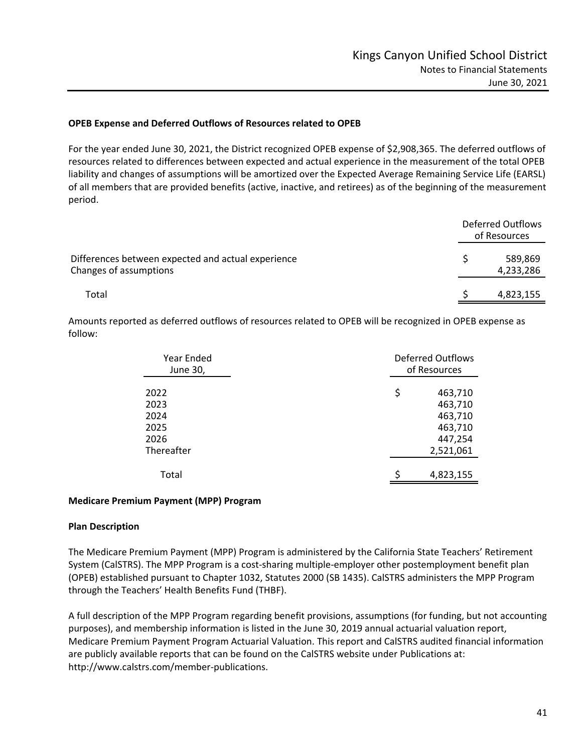#### **OPEB Expense and Deferred Outflows of Resources related to OPEB**

For the year ended June 30, 2021, the District recognized OPEB expense of \$2,908,365. The deferred outflows of resources related to differences between expected and actual experience in the measurement of the total OPEB liability and changes of assumptions will be amortized over the Expected Average Remaining Service Life (EARSL) of all members that are provided benefits (active, inactive, and retirees) as of the beginning of the measurement period.

|                                                                              | Deferred Outflows<br>of Resources |
|------------------------------------------------------------------------------|-----------------------------------|
| Differences between expected and actual experience<br>Changes of assumptions | 589,869<br>4,233,286              |
| Total                                                                        | 4,823,155                         |

Amounts reported as deferred outflows of resources related to OPEB will be recognized in OPEB expense as follow:

| \$<br>2022<br>463,710<br>2023<br>463,710<br>2024<br>463,710<br>2025<br>463,710 | Deferred Outflows |
|--------------------------------------------------------------------------------|-------------------|
|                                                                                |                   |
|                                                                                |                   |
|                                                                                |                   |
|                                                                                |                   |
|                                                                                |                   |
| 2026<br>447,254                                                                |                   |
| Thereafter<br>2,521,061                                                        |                   |
|                                                                                |                   |
| 4,823,155<br>Total                                                             |                   |

#### **Medicare Premium Payment (MPP) Program**

#### **Plan Description**

The Medicare Premium Payment (MPP) Program is administered by the California State Teachers' Retirement System (CalSTRS). The MPP Program is a cost‐sharing multiple‐employer other postemployment benefit plan (OPEB) established pursuant to Chapter 1032, Statutes 2000 (SB 1435). CalSTRS administers the MPP Program through the Teachers' Health Benefits Fund (THBF).

A full description of the MPP Program regarding benefit provisions, assumptions (for funding, but not accounting purposes), and membership information is listed in the June 30, 2019 annual actuarial valuation report, Medicare Premium Payment Program Actuarial Valuation. This report and CalSTRS audited financial information are publicly available reports that can be found on the CalSTRS website under Publications at: http://www.calstrs.com/member‐publications.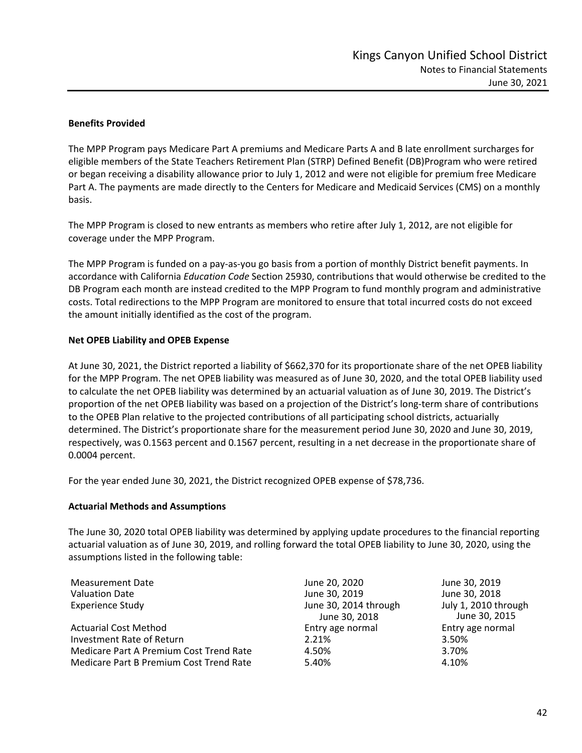#### **Benefits Provided**

The MPP Program pays Medicare Part A premiums and Medicare Parts A and B late enrollment surcharges for eligible members of the State Teachers Retirement Plan (STRP) Defined Benefit (DB)Program who were retired or began receiving a disability allowance prior to July 1, 2012 and were not eligible for premium free Medicare Part A. The payments are made directly to the Centers for Medicare and Medicaid Services (CMS) on a monthly basis.

The MPP Program is closed to new entrants as members who retire after July 1, 2012, are not eligible for coverage under the MPP Program.

The MPP Program is funded on a pay‐as‐you go basis from a portion of monthly District benefit payments. In accordance with California *Education Code* Section 25930, contributions that would otherwise be credited to the DB Program each month are instead credited to the MPP Program to fund monthly program and administrative costs. Total redirections to the MPP Program are monitored to ensure that total incurred costs do not exceed the amount initially identified as the cost of the program.

#### **Net OPEB Liability and OPEB Expense**

At June 30, 2021, the District reported a liability of \$662,370 for its proportionate share of the net OPEB liability for the MPP Program. The net OPEB liability was measured as of June 30, 2020, and the total OPEB liability used to calculate the net OPEB liability was determined by an actuarial valuation as of June 30, 2019. The District's proportion of the net OPEB liability was based on a projection of the District's long‐term share of contributions to the OPEB Plan relative to the projected contributions of all participating school districts, actuarially determined. The District's proportionate share for the measurement period June 30, 2020 and June 30, 2019, respectively, was 0.1563 percent and 0.1567 percent, resulting in a net decrease in the proportionate share of 0.0004 percent.

For the year ended June 30, 2021, the District recognized OPEB expense of \$78,736.

#### **Actuarial Methods and Assumptions**

The June 30, 2020 total OPEB liability was determined by applying update procedures to the financial reporting actuarial valuation as of June 30, 2019, and rolling forward the total OPEB liability to June 30, 2020, using the assumptions listed in the following table:

| <b>Measurement Date</b><br><b>Valuation Date</b><br><b>Experience Study</b> | June 20, 2020<br>June 30, 2019<br>June 30, 2014 through<br>June 30, 2018 | June 30, 2019<br>June 30, 2018<br>July 1, 2010 through<br>June 30, 2015 |
|-----------------------------------------------------------------------------|--------------------------------------------------------------------------|-------------------------------------------------------------------------|
| <b>Actuarial Cost Method</b>                                                | Entry age normal                                                         | Entry age normal                                                        |
| Investment Rate of Return                                                   | 2.21%                                                                    | 3.50%                                                                   |
| Medicare Part A Premium Cost Trend Rate                                     | 4.50%                                                                    | 3.70%                                                                   |
| Medicare Part B Premium Cost Trend Rate                                     | 5.40%                                                                    | 4.10%                                                                   |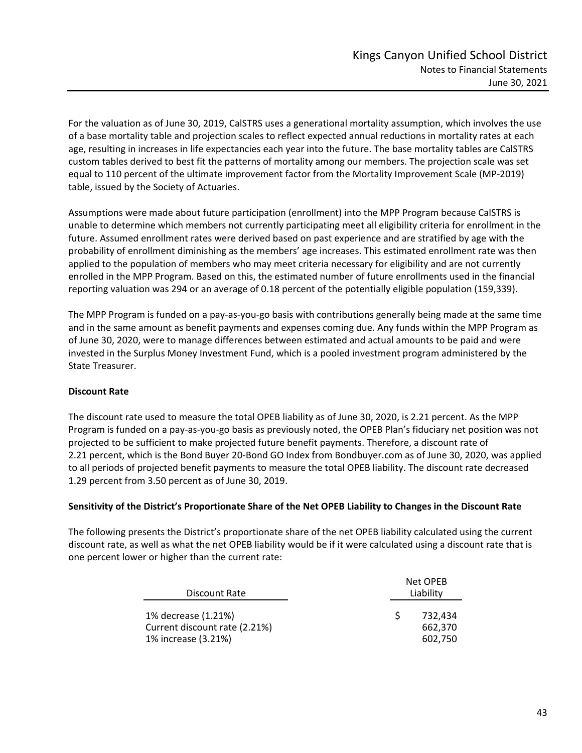For the valuation as of June 30, 2019, CalSTRS uses a generational mortality assumption, which involves the use of a base mortality table and projection scales to reflect expected annual reductions in mortality rates at each age, resulting in increases in life expectancies each year into the future. The base mortality tables are CalSTRS custom tables derived to best fit the patterns of mortality among our members. The projection scale was set equal to 110 percent of the ultimate improvement factor from the Mortality Improvement Scale (MP‐2019) table, issued by the Society of Actuaries.

Assumptions were made about future participation (enrollment) into the MPP Program because CalSTRS is unable to determine which members not currently participating meet all eligibility criteria for enrollment in the future. Assumed enrollment rates were derived based on past experience and are stratified by age with the probability of enrollment diminishing as the members' age increases. This estimated enrollment rate was then applied to the population of members who may meet criteria necessary for eligibility and are not currently enrolled in the MPP Program. Based on this, the estimated number of future enrollments used in the financial reporting valuation was 294 or an average of 0.18 percent of the potentially eligible population (159,339).

The MPP Program is funded on a pay‐as‐you‐go basis with contributions generally being made at the same time and in the same amount as benefit payments and expenses coming due. Any funds within the MPP Program as of June 30, 2020, were to manage differences between estimated and actual amounts to be paid and were invested in the Surplus Money Investment Fund, which is a pooled investment program administered by the State Treasurer.

# **Discount Rate**

The discount rate used to measure the total OPEB liability as of June 30, 2020, is 2.21 percent. As the MPP Program is funded on a pay‐as‐you‐go basis as previously noted, the OPEB Plan's fiduciary net position was not projected to be sufficient to make projected future benefit payments. Therefore, a discount rate of 2.21 percent, which is the Bond Buyer 20‐Bond GO Index from Bondbuyer.com as of June 30, 2020, was applied to all periods of projected benefit payments to measure the total OPEB liability. The discount rate decreased 1.29 percent from 3.50 percent as of June 30, 2019.

# Sensitivity of the District's Proportionate Share of the Net OPEB Liability to Changes in the Discount Rate

The following presents the District's proportionate share of the net OPEB liability calculated using the current discount rate, as well as what the net OPEB liability would be if it were calculated using a discount rate that is one percent lower or higher than the current rate:

| Discount Rate                                                               |  | Net OPEB<br>Liability         |
|-----------------------------------------------------------------------------|--|-------------------------------|
| 1% decrease (1.21%)<br>Current discount rate (2.21%)<br>1% increase (3.21%) |  | 732.434<br>662.370<br>602.750 |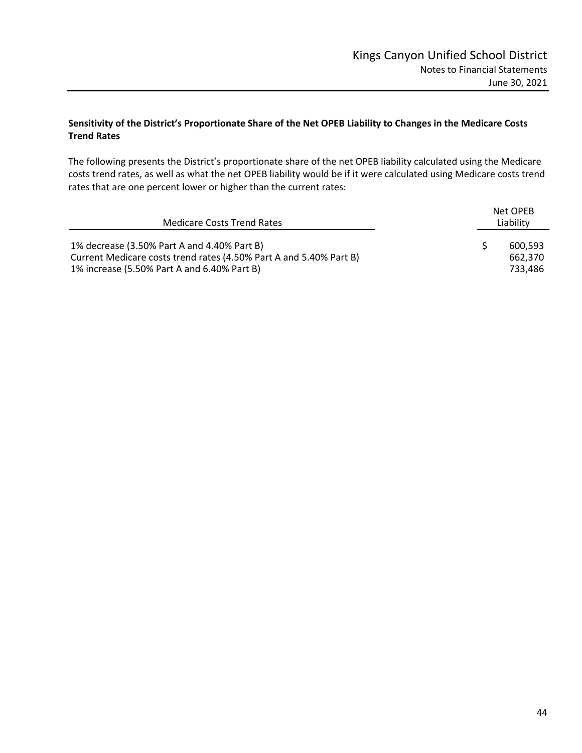# Sensitivity of the District's Proportionate Share of the Net OPEB Liability to Changes in the Medicare Costs **Trend Rates**

The following presents the District's proportionate share of the net OPEB liability calculated using the Medicare costs trend rates, as well as what the net OPEB liability would be if it were calculated using Medicare costs trend rates that are one percent lower or higher than the current rates:

| <b>Medicare Costs Trend Rates</b>                                                                                                                                |  | Net OPEB<br>Liability         |
|------------------------------------------------------------------------------------------------------------------------------------------------------------------|--|-------------------------------|
| 1% decrease (3.50% Part A and 4.40% Part B)<br>Current Medicare costs trend rates (4.50% Part A and 5.40% Part B)<br>1% increase (5.50% Part A and 6.40% Part B) |  | 600.593<br>662.370<br>733.486 |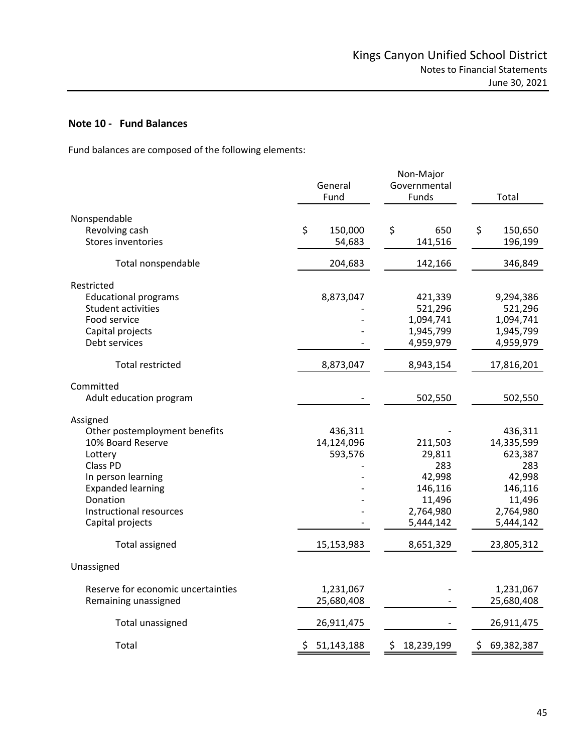# **Note 10 ‐ Fund Balances**

Fund balances are composed of the following elements:

|                                    | General<br>Fund  | Non-Major<br>Governmental<br>Funds | Total            |
|------------------------------------|------------------|------------------------------------|------------------|
| Nonspendable<br>Revolving cash     | \$<br>150,000    | \$<br>650                          | \$<br>150,650    |
| Stores inventories                 | 54,683           | 141,516                            | 196,199          |
| Total nonspendable                 | 204,683          | 142,166                            | 346,849          |
| Restricted                         |                  |                                    |                  |
| <b>Educational programs</b>        | 8,873,047        | 421,339                            | 9,294,386        |
| <b>Student activities</b>          |                  | 521,296                            | 521,296          |
| Food service                       |                  | 1,094,741                          | 1,094,741        |
| Capital projects                   |                  | 1,945,799                          | 1,945,799        |
| Debt services                      |                  | 4,959,979                          | 4,959,979        |
| <b>Total restricted</b>            | 8,873,047        | 8,943,154                          | 17,816,201       |
| Committed                          |                  |                                    |                  |
| Adult education program            |                  | 502,550                            | 502,550          |
| Assigned                           |                  |                                    |                  |
| Other postemployment benefits      | 436,311          |                                    | 436,311          |
| 10% Board Reserve                  | 14,124,096       | 211,503                            | 14,335,599       |
| Lottery                            | 593,576          | 29,811                             | 623,387          |
| Class PD                           |                  | 283                                | 283              |
| In person learning                 |                  | 42,998                             | 42,998           |
| <b>Expanded learning</b>           |                  | 146,116                            | 146,116          |
| Donation                           |                  | 11,496                             | 11,496           |
| Instructional resources            |                  | 2,764,980                          | 2,764,980        |
| Capital projects                   |                  | 5,444,142                          | 5,444,142        |
| <b>Total assigned</b>              | 15,153,983       | 8,651,329                          | 23,805,312       |
| Unassigned                         |                  |                                    |                  |
| Reserve for economic uncertainties | 1,231,067        |                                    | 1,231,067        |
| Remaining unassigned               | 25,680,408       |                                    | 25,680,408       |
| Total unassigned                   | 26,911,475       |                                    | 26,911,475       |
| Total                              | 51,143,188<br>\$ | \$<br>18,239,199                   | \$<br>69,382,387 |
|                                    |                  |                                    |                  |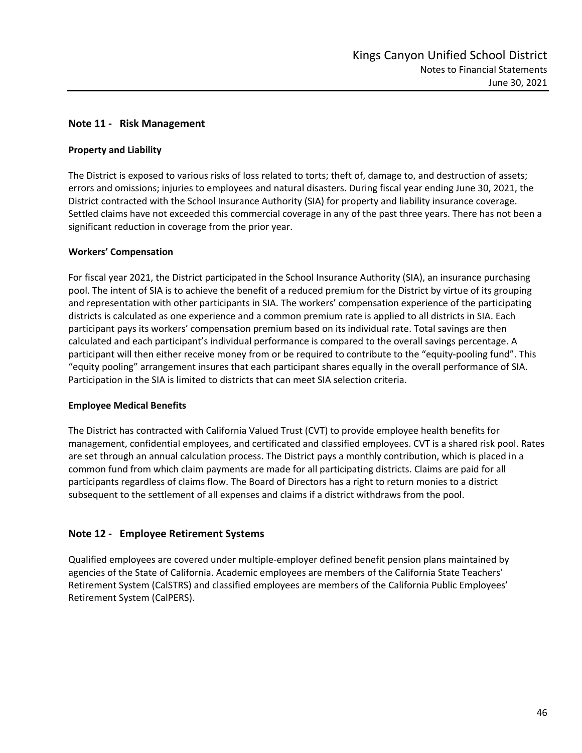# **Note 11 ‐ Risk Management**

#### **Property and Liability**

The District is exposed to various risks of loss related to torts; theft of, damage to, and destruction of assets; errors and omissions; injuries to employees and natural disasters. During fiscal year ending June 30, 2021, the District contracted with the School Insurance Authority (SIA) for property and liability insurance coverage. Settled claims have not exceeded this commercial coverage in any of the past three years. There has not been a significant reduction in coverage from the prior year.

#### **Workers' Compensation**

For fiscal year 2021, the District participated in the School Insurance Authority (SIA), an insurance purchasing pool. The intent of SIA is to achieve the benefit of a reduced premium for the District by virtue of its grouping and representation with other participants in SIA. The workers' compensation experience of the participating districts is calculated as one experience and a common premium rate is applied to all districts in SIA. Each participant pays its workers' compensation premium based on its individual rate. Total savings are then calculated and each participant's individual performance is compared to the overall savings percentage. A participant will then either receive money from or be required to contribute to the "equity-pooling fund". This "equity pooling" arrangement insures that each participant shares equally in the overall performance of SIA. Participation in the SIA is limited to districts that can meet SIA selection criteria.

#### **Employee Medical Benefits**

The District has contracted with California Valued Trust (CVT) to provide employee health benefits for management, confidential employees, and certificated and classified employees. CVT is a shared risk pool. Rates are set through an annual calculation process. The District pays a monthly contribution, which is placed in a common fund from which claim payments are made for all participating districts. Claims are paid for all participants regardless of claims flow. The Board of Directors has a right to return monies to a district subsequent to the settlement of all expenses and claims if a district withdraws from the pool.

#### **Note 12 ‐ Employee Retirement Systems**

Qualified employees are covered under multiple‐employer defined benefit pension plans maintained by agencies of the State of California. Academic employees are members of the California State Teachers' Retirement System (CalSTRS) and classified employees are members of the California Public Employees' Retirement System (CalPERS).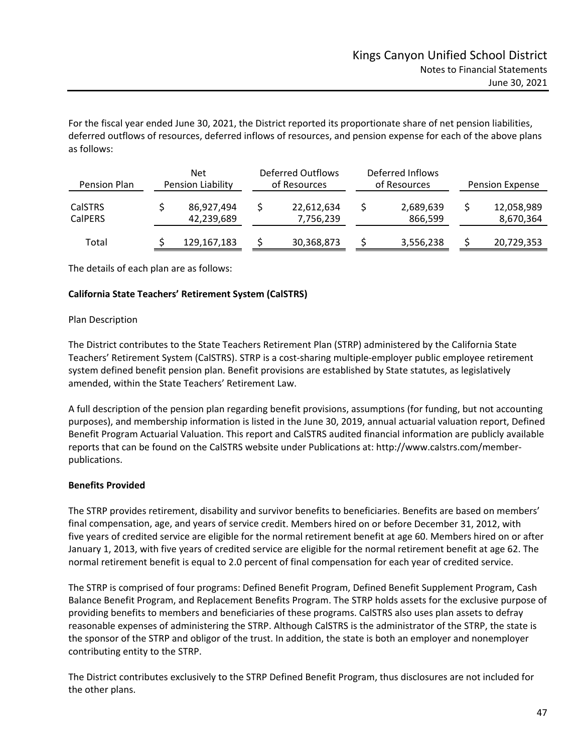For the fiscal year ended June 30, 2021, the District reported its proportionate share of net pension liabilities, deferred outflows of resources, deferred inflows of resources, and pension expense for each of the above plans as follows:

| Pension Plan                     | Net<br>Pension Liability | Deferred Outflows<br>of Resources | Deferred Inflows<br>of Resources | <b>Pension Expense</b>  |
|----------------------------------|--------------------------|-----------------------------------|----------------------------------|-------------------------|
| <b>CalSTRS</b><br><b>CalPERS</b> | 86,927,494<br>42,239,689 | 22,612,634<br>7,756,239           | 2,689,639<br>866,599             | 12,058,989<br>8,670,364 |
| Total                            | 129,167,183              | 30,368,873                        | 3,556,238                        | 20,729,353              |

The details of each plan are as follows:

#### **California State Teachers' Retirement System (CalSTRS)**

#### Plan Description

The District contributes to the State Teachers Retirement Plan (STRP) administered by the California State Teachers' Retirement System (CalSTRS). STRP is a cost-sharing multiple-employer public employee retirement system defined benefit pension plan. Benefit provisions are established by State statutes, as legislatively amended, within the State Teachers' Retirement Law.

A full description of the pension plan regarding benefit provisions, assumptions (for funding, but not accounting purposes), and membership information is listed in the June 30, 2019, annual actuarial valuation report, Defined Benefit Program Actuarial Valuation. This report and CalSTRS audited financial information are publicly available reports that can be found on the CalSTRS website under Publications at: http://www.calstrs.com/member‐ publications.

#### **Benefits Provided**

The STRP provides retirement, disability and survivor benefits to beneficiaries. Benefits are based on members' final compensation, age, and years of service credit. Members hired on or before December 31, 2012, with five years of credited service are eligible for the normal retirement benefit at age 60. Members hired on or after January 1, 2013, with five years of credited service are eligible for the normal retirement benefit at age 62. The normal retirement benefit is equal to 2.0 percent of final compensation for each year of credited service.

The STRP is comprised of four programs: Defined Benefit Program, Defined Benefit Supplement Program, Cash Balance Benefit Program, and Replacement Benefits Program. The STRP holds assets for the exclusive purpose of providing benefits to members and beneficiaries of these programs. CalSTRS also uses plan assets to defray reasonable expenses of administering the STRP. Although CalSTRS is the administrator of the STRP, the state is the sponsor of the STRP and obligor of the trust. In addition, the state is both an employer and nonemployer contributing entity to the STRP.

The District contributes exclusively to the STRP Defined Benefit Program, thus disclosures are not included for the other plans.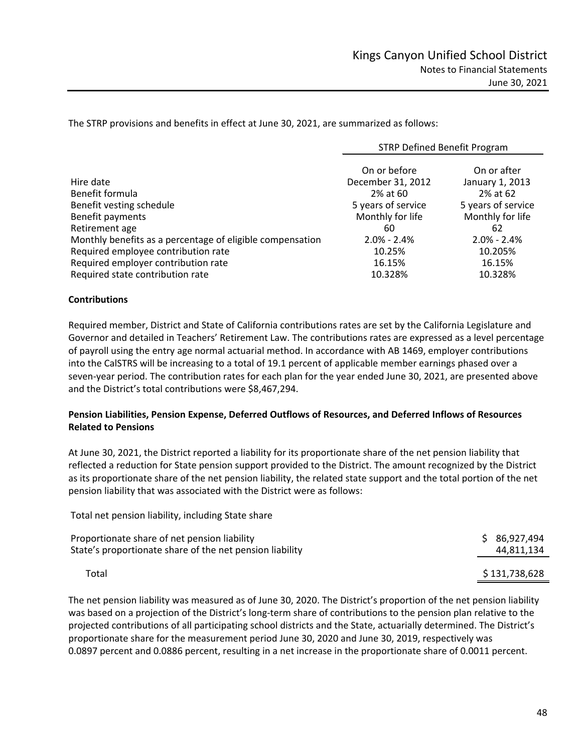STRP Defined Benefit Program

The STRP provisions and benefits in effect at June 30, 2021, are summarized as follows:

|                                                           | <b>STINE DURING DURCHER LOGIQUE</b> |                    |  |
|-----------------------------------------------------------|-------------------------------------|--------------------|--|
|                                                           | On or before                        | On or after        |  |
| Hire date                                                 | December 31, 2012                   | January 1, 2013    |  |
| Benefit formula                                           | 2% at 60                            | 2% at 62           |  |
| Benefit vesting schedule                                  | 5 years of service                  | 5 years of service |  |
| Benefit payments                                          | Monthly for life                    | Monthly for life   |  |
| Retirement age                                            | 60                                  | 62                 |  |
| Monthly benefits as a percentage of eligible compensation | $2.0\% - 2.4\%$                     | $2.0\% - 2.4\%$    |  |
| Required employee contribution rate                       | 10.25%                              | 10.205%            |  |
| Required employer contribution rate                       | 16.15%                              | 16.15%             |  |
| Required state contribution rate                          | 10.328%                             | 10.328%            |  |

#### **Contributions**

Required member, District and State of California contributions rates are set by the California Legislature and Governor and detailed in Teachers' Retirement Law. The contributions rates are expressed as a level percentage of payroll using the entry age normal actuarial method. In accordance with AB 1469, employer contributions into the CalSTRS will be increasing to a total of 19.1 percent of applicable member earnings phased over a seven-year period. The contribution rates for each plan for the year ended June 30, 2021, are presented above and the District's total contributions were \$8,467,294.

# **Pension Liabilities, Pension Expense, Deferred Outflows of Resources, and Deferred Inflows of Resources Related to Pensions**

At June 30, 2021, the District reported a liability for its proportionate share of the net pension liability that reflected a reduction for State pension support provided to the District. The amount recognized by the District as its proportionate share of the net pension liability, the related state support and the total portion of the net pension liability that was associated with the District were as follows:

Total net pension liability, including State share

| Proportionate share of net pension liability             | \$86,927,494  |
|----------------------------------------------------------|---------------|
| State's proportionate share of the net pension liability | 44.811.134    |
| Total                                                    | \$131,738,628 |

The net pension liability was measured as of June 30, 2020. The District's proportion of the net pension liability was based on a projection of the District's long-term share of contributions to the pension plan relative to the projected contributions of all participating school districts and the State, actuarially determined. The District's proportionate share for the measurement period June 30, 2020 and June 30, 2019, respectively was 0.0897 percent and 0.0886 percent, resulting in a net increase in the proportionate share of 0.0011 percent.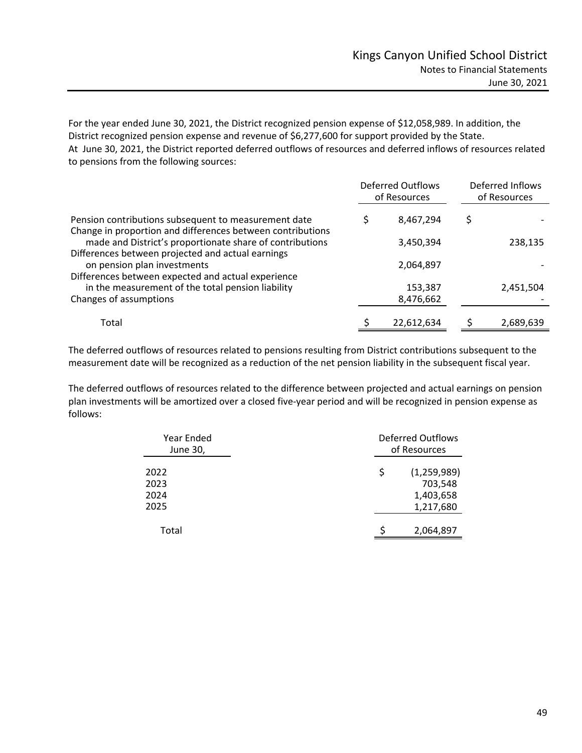For the year ended June 30, 2021, the District recognized pension expense of \$12,058,989. In addition, the District recognized pension expense and revenue of \$6,277,600 for support provided by the State. At June 30, 2021, the District reported deferred outflows of resources and deferred inflows of resources related to pensions from the following sources:

|                                                                                                                                                                             | Deferred Outflows<br>of Resources | Deferred Inflows<br>of Resources |  |
|-----------------------------------------------------------------------------------------------------------------------------------------------------------------------------|-----------------------------------|----------------------------------|--|
| Pension contributions subsequent to measurement date                                                                                                                        | \$<br>8,467,294                   |                                  |  |
| Change in proportion and differences between contributions<br>made and District's proportionate share of contributions<br>Differences between projected and actual earnings | 3,450,394                         | 238,135                          |  |
| on pension plan investments<br>Differences between expected and actual experience                                                                                           | 2,064,897                         |                                  |  |
| in the measurement of the total pension liability<br>Changes of assumptions                                                                                                 | 153,387<br>8,476,662              | 2,451,504                        |  |
| Total                                                                                                                                                                       | 22,612,634                        | 2,689,639                        |  |

The deferred outflows of resources related to pensions resulting from District contributions subsequent to the measurement date will be recognized as a reduction of the net pension liability in the subsequent fiscal year.

The deferred outflows of resources related to the difference between projected and actual earnings on pension plan investments will be amortized over a closed five‐year period and will be recognized in pension expense as follows:

| Year Ended<br>June 30,       | <b>Deferred Outflows</b><br>of Resources |                                                  |  |
|------------------------------|------------------------------------------|--------------------------------------------------|--|
| 2022<br>2023<br>2024<br>2025 | Ś                                        | (1,259,989)<br>703,548<br>1,403,658<br>1,217,680 |  |
| Total                        |                                          | 2,064,897                                        |  |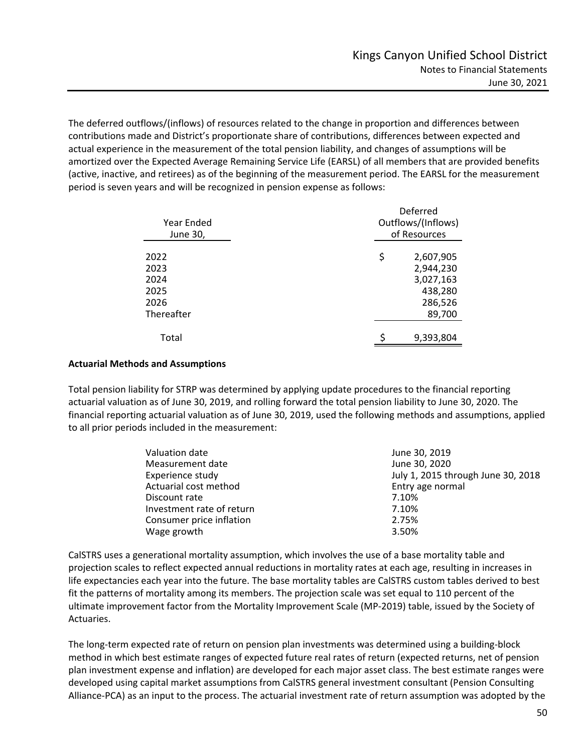The deferred outflows/(inflows) of resources related to the change in proportion and differences between contributions made and District's proportionate share of contributions, differences between expected and actual experience in the measurement of the total pension liability, and changes of assumptions will be amortized over the Expected Average Remaining Service Life (EARSL) of all members that are provided benefits (active, inactive, and retirees) as of the beginning of the measurement period. The EARSL for the measurement period is seven years and will be recognized in pension expense as follows:

| Year Ended<br>June 30,                             | Deferred<br>Outflows/(Inflows)<br>of Resources |                                                                     |  |
|----------------------------------------------------|------------------------------------------------|---------------------------------------------------------------------|--|
| 2022<br>2023<br>2024<br>2025<br>2026<br>Thereafter | \$                                             | 2,607,905<br>2,944,230<br>3,027,163<br>438,280<br>286,526<br>89,700 |  |
| Total                                              |                                                | 9,393,804                                                           |  |

#### **Actuarial Methods and Assumptions**

Total pension liability for STRP was determined by applying update procedures to the financial reporting actuarial valuation as of June 30, 2019, and rolling forward the total pension liability to June 30, 2020. The financial reporting actuarial valuation as of June 30, 2019, used the following methods and assumptions, applied to all prior periods included in the measurement:

| Valuation date            | June 30, 2019                      |
|---------------------------|------------------------------------|
| Measurement date          | June 30, 2020                      |
| Experience study          | July 1, 2015 through June 30, 2018 |
| Actuarial cost method     | Entry age normal                   |
| Discount rate             | 7.10%                              |
| Investment rate of return | 7.10%                              |
| Consumer price inflation  | 2.75%                              |
| Wage growth               | 3.50%                              |

CalSTRS uses a generational mortality assumption, which involves the use of a base mortality table and projection scales to reflect expected annual reductions in mortality rates at each age, resulting in increases in life expectancies each year into the future. The base mortality tables are CalSTRS custom tables derived to best fit the patterns of mortality among its members. The projection scale was set equal to 110 percent of the ultimate improvement factor from the Mortality Improvement Scale (MP‐2019) table, issued by the Society of Actuaries.

The long‐term expected rate of return on pension plan investments was determined using a building‐block method in which best estimate ranges of expected future real rates of return (expected returns, net of pension plan investment expense and inflation) are developed for each major asset class. The best estimate ranges were developed using capital market assumptions from CalSTRS general investment consultant (Pension Consulting Alliance‐PCA) as an input to the process. The actuarial investment rate of return assumption was adopted by the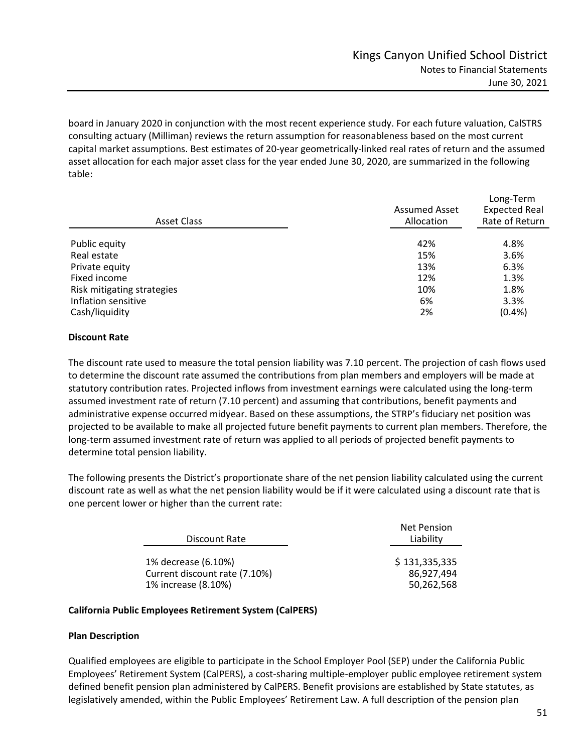board in January 2020 in conjunction with the most recent experience study. For each future valuation, CalSTRS consulting actuary (Milliman) reviews the return assumption for reasonableness based on the most current capital market assumptions. Best estimates of 20‐year geometrically‐linked real rates of return and the assumed asset allocation for each major asset class for the year ended June 30, 2020, are summarized in the following table:

| <b>Asset Class</b>         | <b>Assumed Asset</b><br>Allocation | Long-Term<br><b>Expected Real</b><br>Rate of Return |
|----------------------------|------------------------------------|-----------------------------------------------------|
| Public equity              | 42%                                | 4.8%                                                |
| Real estate                | 15%                                | 3.6%                                                |
| Private equity             | 13%                                | 6.3%                                                |
| Fixed income               | 12%                                | 1.3%                                                |
| Risk mitigating strategies | 10%                                | 1.8%                                                |
| Inflation sensitive        | 6%                                 | 3.3%                                                |
| Cash/liquidity             | 2%                                 | (0.4% )                                             |

#### **Discount Rate**

The discount rate used to measure the total pension liability was 7.10 percent. The projection of cash flows used to determine the discount rate assumed the contributions from plan members and employers will be made at statutory contribution rates. Projected inflows from investment earnings were calculated using the long‐term assumed investment rate of return (7.10 percent) and assuming that contributions, benefit payments and administrative expense occurred midyear. Based on these assumptions, the STRP's fiduciary net position was projected to be available to make all projected future benefit payments to current plan members. Therefore, the long‐term assumed investment rate of return was applied to all periods of projected benefit payments to determine total pension liability.

The following presents the District's proportionate share of the net pension liability calculated using the current discount rate as well as what the net pension liability would be if it were calculated using a discount rate that is one percent lower or higher than the current rate:

| Discount Rate                 | <b>Net Pension</b><br>Liability |
|-------------------------------|---------------------------------|
| 1% decrease (6.10%)           | \$131,335,335                   |
| Current discount rate (7.10%) | 86.927.494                      |
| 1% increase (8.10%)           | 50,262,568                      |

#### **California Public Employees Retirement System (CalPERS)**

#### **Plan Description**

Qualified employees are eligible to participate in the School Employer Pool (SEP) under the California Public Employees' Retirement System (CalPERS), a cost‐sharing multiple‐employer public employee retirement system defined benefit pension plan administered by CalPERS. Benefit provisions are established by State statutes, as legislatively amended, within the Public Employees' Retirement Law. A full description of the pension plan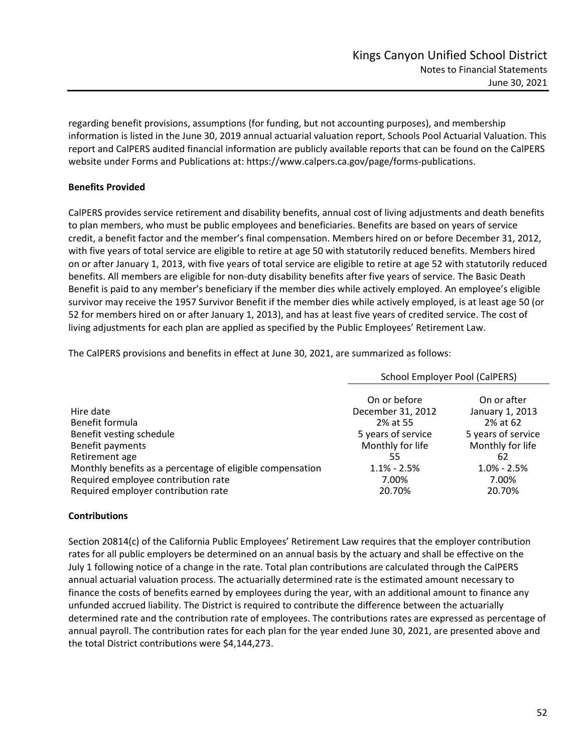regarding benefit provisions, assumptions (for funding, but not accounting purposes), and membership information is listed in the June 30, 2019 annual actuarial valuation report, Schools Pool Actuarial Valuation. This report and CalPERS audited financial information are publicly available reports that can be found on the CalPERS website under Forms and Publications at: https://www.calpers.ca.gov/page/forms‐publications.

# **Benefits Provided**

CalPERS provides service retirement and disability benefits, annual cost of living adjustments and death benefits to plan members, who must be public employees and beneficiaries. Benefits are based on years of service credit, a benefit factor and the member's final compensation. Members hired on or before December 31, 2012, with five years of total service are eligible to retire at age 50 with statutorily reduced benefits. Members hired on or after January 1, 2013, with five years of total service are eligible to retire at age 52 with statutorily reduced benefits. All members are eligible for non‐duty disability benefits after five years of service. The Basic Death Benefit is paid to any member's beneficiary if the member dies while actively employed. An employee's eligible survivor may receive the 1957 Survivor Benefit if the member dies while actively employed, is at least age 50 (or 52 for members hired on or after January 1, 2013), and has at least five years of credited service. The cost of living adjustments for each plan are applied as specified by the Public Employees' Retirement Law.

The CalPERS provisions and benefits in effect at June 30, 2021, are summarized as follows:

|                                                                            | School Employer Pool (CalPERS)                |                                            |  |
|----------------------------------------------------------------------------|-----------------------------------------------|--------------------------------------------|--|
| Hire date<br>Benefit formula                                               | On or before<br>December 31, 2012<br>2% at 55 | On or after<br>January 1, 2013<br>2% at 62 |  |
| Benefit vesting schedule                                                   | 5 years of service                            | 5 years of service                         |  |
| Benefit payments<br>Retirement age                                         | Monthly for life<br>55                        | Monthly for life<br>62                     |  |
| Monthly benefits as a percentage of eligible compensation                  | $1.1\% - 2.5\%$                               | $1.0\% - 2.5\%$                            |  |
| Required employee contribution rate<br>Required employer contribution rate | 7.00%<br>20.70%                               | 7.00%<br>20.70%                            |  |

#### **Contributions**

Section 20814(c) of the California Public Employees' Retirement Law requires that the employer contribution rates for all public employers be determined on an annual basis by the actuary and shall be effective on the July 1 following notice of a change in the rate. Total plan contributions are calculated through the CalPERS annual actuarial valuation process. The actuarially determined rate is the estimated amount necessary to finance the costs of benefits earned by employees during the year, with an additional amount to finance any unfunded accrued liability. The District is required to contribute the difference between the actuarially determined rate and the contribution rate of employees. The contributions rates are expressed as percentage of annual payroll. The contribution rates for each plan for the year ended June 30, 2021, are presented above and the total District contributions were \$4,144,273.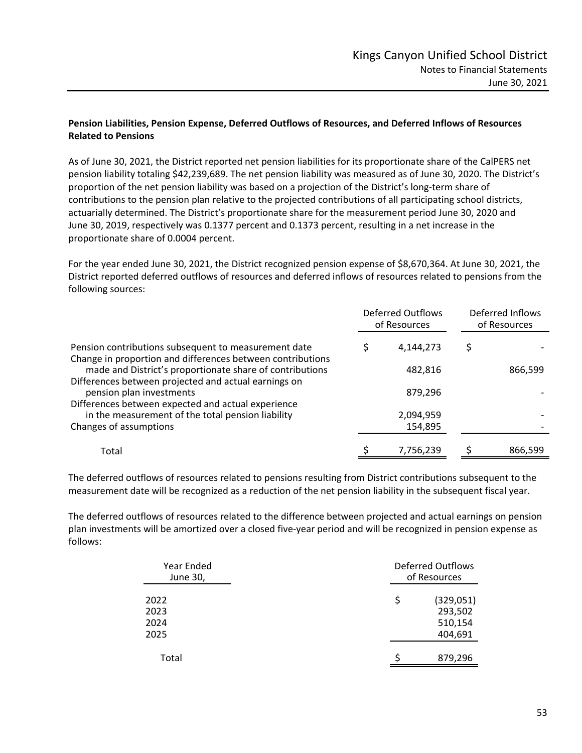# **Pension Liabilities, Pension Expense, Deferred Outflows of Resources, and Deferred Inflows of Resources Related to Pensions**

As of June 30, 2021, the District reported net pension liabilities for its proportionate share of the CalPERS net pension liability totaling \$42,239,689. The net pension liability was measured as of June 30, 2020. The District's proportion of the net pension liability was based on a projection of the District's long-term share of contributions to the pension plan relative to the projected contributions of all participating school districts, actuarially determined. The District's proportionate share for the measurement period June 30, 2020 and June 30, 2019, respectively was 0.1377 percent and 0.1373 percent, resulting in a net increase in the proportionate share of 0.0004 percent.

For the year ended June 30, 2021, the District recognized pension expense of \$8,670,364. At June 30, 2021, the District reported deferred outflows of resources and deferred inflows of resources related to pensions from the following sources:

|                                                                                                                    | Deferred Outflows<br>of Resources |           | Deferred Inflows<br>of Resources |         |
|--------------------------------------------------------------------------------------------------------------------|-----------------------------------|-----------|----------------------------------|---------|
| Pension contributions subsequent to measurement date<br>Change in proportion and differences between contributions |                                   | 4,144,273 |                                  |         |
| made and District's proportionate share of contributions                                                           |                                   | 482,816   |                                  | 866,599 |
| Differences between projected and actual earnings on<br>pension plan investments                                   |                                   | 879,296   |                                  |         |
| Differences between expected and actual experience<br>in the measurement of the total pension liability            |                                   | 2,094,959 |                                  |         |
| Changes of assumptions                                                                                             |                                   | 154,895   |                                  |         |
| Total                                                                                                              |                                   | 7,756,239 |                                  | 866,599 |

The deferred outflows of resources related to pensions resulting from District contributions subsequent to the measurement date will be recognized as a reduction of the net pension liability in the subsequent fiscal year.

The deferred outflows of resources related to the difference between projected and actual earnings on pension plan investments will be amortized over a closed five‐year period and will be recognized in pension expense as follows:

| Year Ended<br>June 30,       | Deferred Outflows<br>of Resources |                                            |  |
|------------------------------|-----------------------------------|--------------------------------------------|--|
| 2022<br>2023<br>2024<br>2025 | \$                                | (329,051)<br>293,502<br>510,154<br>404,691 |  |
| Total                        |                                   | 879,296                                    |  |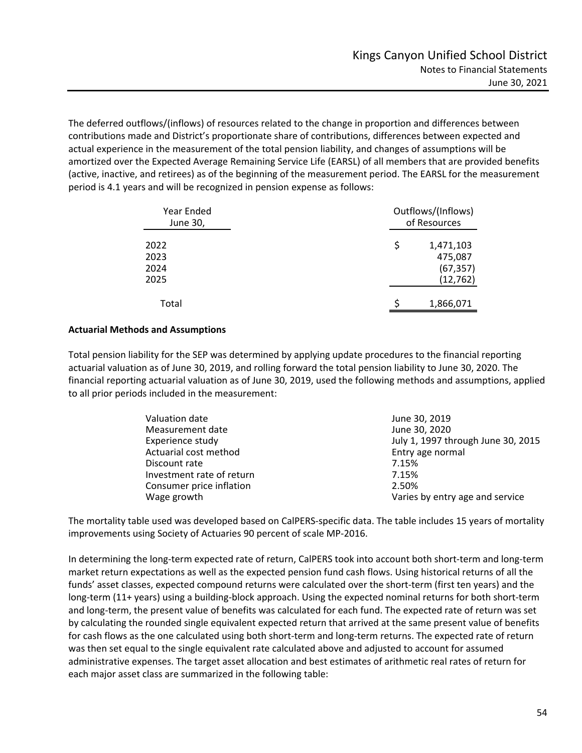The deferred outflows/(inflows) of resources related to the change in proportion and differences between contributions made and District's proportionate share of contributions, differences between expected and actual experience in the measurement of the total pension liability, and changes of assumptions will be amortized over the Expected Average Remaining Service Life (EARSL) of all members that are provided benefits (active, inactive, and retirees) as of the beginning of the measurement period. The EARSL for the measurement period is 4.1 years and will be recognized in pension expense as follows:

| Year Ended<br>June 30,       | Outflows/(Inflows)<br>of Resources |                                                |
|------------------------------|------------------------------------|------------------------------------------------|
| 2022<br>2023<br>2024<br>2025 | \$                                 | 1,471,103<br>475,087<br>(67, 357)<br>(12, 762) |
| Total                        |                                    | 1,866,071                                      |

#### **Actuarial Methods and Assumptions**

Total pension liability for the SEP was determined by applying update procedures to the financial reporting actuarial valuation as of June 30, 2019, and rolling forward the total pension liability to June 30, 2020. The financial reporting actuarial valuation as of June 30, 2019, used the following methods and assumptions, applied to all prior periods included in the measurement:

| Valuation date            | June 30, 2019                      |
|---------------------------|------------------------------------|
| Measurement date          | June 30, 2020                      |
| Experience study          | July 1, 1997 through June 30, 2015 |
| Actuarial cost method     | Entry age normal                   |
| Discount rate             | 7.15%                              |
| Investment rate of return | 7.15%                              |
| Consumer price inflation  | 2.50%                              |
| Wage growth               | Varies by entry age and service    |

The mortality table used was developed based on CalPERS‐specific data. The table includes 15 years of mortality improvements using Society of Actuaries 90 percent of scale MP‐2016.

In determining the long‐term expected rate of return, CalPERS took into account both short‐term and long‐term market return expectations as well as the expected pension fund cash flows. Using historical returns of all the funds' asset classes, expected compound returns were calculated over the short-term (first ten years) and the long-term (11+ years) using a building-block approach. Using the expected nominal returns for both short-term and long‐term, the present value of benefits was calculated for each fund. The expected rate of return was set by calculating the rounded single equivalent expected return that arrived at the same present value of benefits for cash flows as the one calculated using both short-term and long-term returns. The expected rate of return was then set equal to the single equivalent rate calculated above and adjusted to account for assumed administrative expenses. The target asset allocation and best estimates of arithmetic real rates of return for each major asset class are summarized in the following table: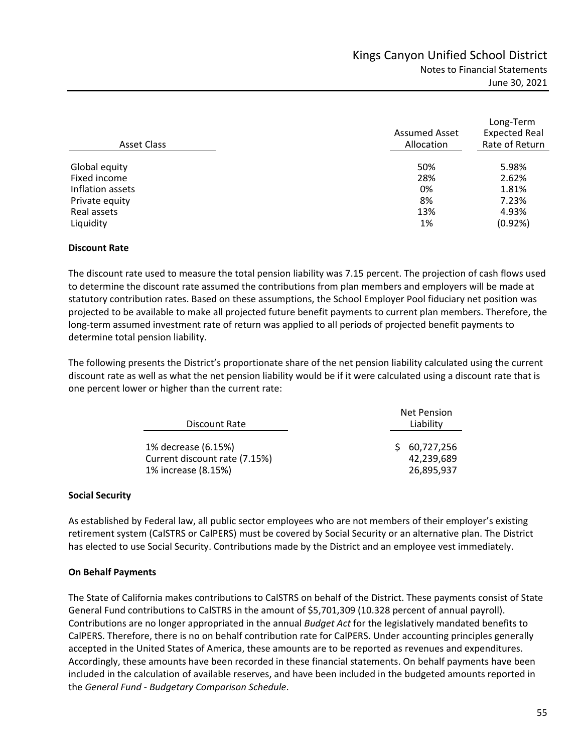| <b>Asset Class</b> | <b>Assumed Asset</b><br>Allocation | Long-Term<br><b>Expected Real</b><br>Rate of Return |
|--------------------|------------------------------------|-----------------------------------------------------|
| Global equity      | 50%                                | 5.98%                                               |
| Fixed income       | 28%                                | 2.62%                                               |
| Inflation assets   | 0%                                 | 1.81%                                               |
| Private equity     | 8%                                 | 7.23%                                               |
| Real assets        | 13%                                | 4.93%                                               |
| Liquidity          | 1%                                 | (0.92%)                                             |

#### **Discount Rate**

The discount rate used to measure the total pension liability was 7.15 percent. The projection of cash flows used to determine the discount rate assumed the contributions from plan members and employers will be made at statutory contribution rates. Based on these assumptions, the School Employer Pool fiduciary net position was projected to be available to make all projected future benefit payments to current plan members. Therefore, the long‐term assumed investment rate of return was applied to all periods of projected benefit payments to determine total pension liability.

The following presents the District's proportionate share of the net pension liability calculated using the current discount rate as well as what the net pension liability would be if it were calculated using a discount rate that is one percent lower or higher than the current rate:

| Discount Rate                                                               | <b>Net Pension</b><br>Liability |                                          |
|-----------------------------------------------------------------------------|---------------------------------|------------------------------------------|
| 1% decrease (6.15%)<br>Current discount rate (7.15%)<br>1% increase (8.15%) |                                 | \$60,727,256<br>42,239,689<br>26,895,937 |

#### **Social Security**

As established by Federal law, all public sector employees who are not members of their employer's existing retirement system (CalSTRS or CalPERS) must be covered by Social Security or an alternative plan. The District has elected to use Social Security. Contributions made by the District and an employee vest immediately.

#### **On Behalf Payments**

The State of California makes contributions to CalSTRS on behalf of the District. These payments consist of State General Fund contributions to CalSTRS in the amount of \$5,701,309 (10.328 percent of annual payroll). Contributions are no longer appropriated in the annual *Budget Act* for the legislatively mandated benefits to CalPERS. Therefore, there is no on behalf contribution rate for CalPERS. Under accounting principles generally accepted in the United States of America, these amounts are to be reported as revenues and expenditures. Accordingly, these amounts have been recorded in these financial statements. On behalf payments have been included in the calculation of available reserves, and have been included in the budgeted amounts reported in the *General Fund ‐ Budgetary Comparison Schedule*.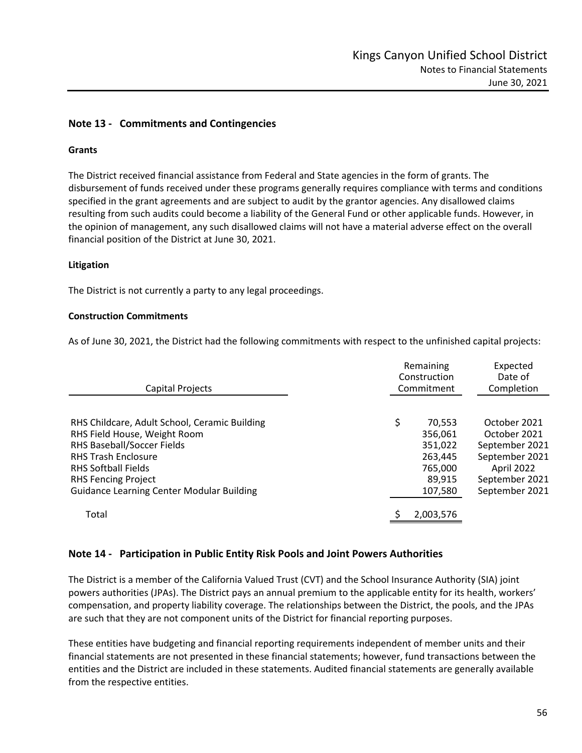# **Note 13 ‐ Commitments and Contingencies**

#### **Grants**

The District received financial assistance from Federal and State agencies in the form of grants. The disbursement of funds received under these programs generally requires compliance with terms and conditions specified in the grant agreements and are subject to audit by the grantor agencies. Any disallowed claims resulting from such audits could become a liability of the General Fund or other applicable funds. However, in the opinion of management, any such disallowed claims will not have a material adverse effect on the overall financial position of the District at June 30, 2021.

#### **Litigation**

The District is not currently a party to any legal proceedings.

#### **Construction Commitments**

As of June 30, 2021, the District had the following commitments with respect to the unfinished capital projects:

| Capital Projects                                                                                                                                                                                                                                   | Remaining<br>Construction<br>Commitment                                       | Expected<br>Date of<br>Completion                                                                                  |
|----------------------------------------------------------------------------------------------------------------------------------------------------------------------------------------------------------------------------------------------------|-------------------------------------------------------------------------------|--------------------------------------------------------------------------------------------------------------------|
| RHS Childcare, Adult School, Ceramic Building<br>RHS Field House, Weight Room<br>RHS Baseball/Soccer Fields<br><b>RHS Trash Enclosure</b><br>RHS Softball Fields<br><b>RHS Fencing Project</b><br><b>Guidance Learning Center Modular Building</b> | \$<br>70,553<br>356,061<br>351,022<br>263,445<br>765,000<br>89,915<br>107,580 | October 2021<br>October 2021<br>September 2021<br>September 2021<br>April 2022<br>September 2021<br>September 2021 |
| Total                                                                                                                                                                                                                                              | 2,003,576                                                                     |                                                                                                                    |

#### **Note 14 ‐ Participation in Public Entity Risk Pools and Joint Powers Authorities**

The District is a member of the California Valued Trust (CVT) and the School Insurance Authority (SIA) joint powers authorities (JPAs). The District pays an annual premium to the applicable entity for its health, workers' compensation, and property liability coverage. The relationships between the District, the pools, and the JPAs are such that they are not component units of the District for financial reporting purposes.

These entities have budgeting and financial reporting requirements independent of member units and their financial statements are not presented in these financial statements; however, fund transactions between the entities and the District are included in these statements. Audited financial statements are generally available from the respective entities.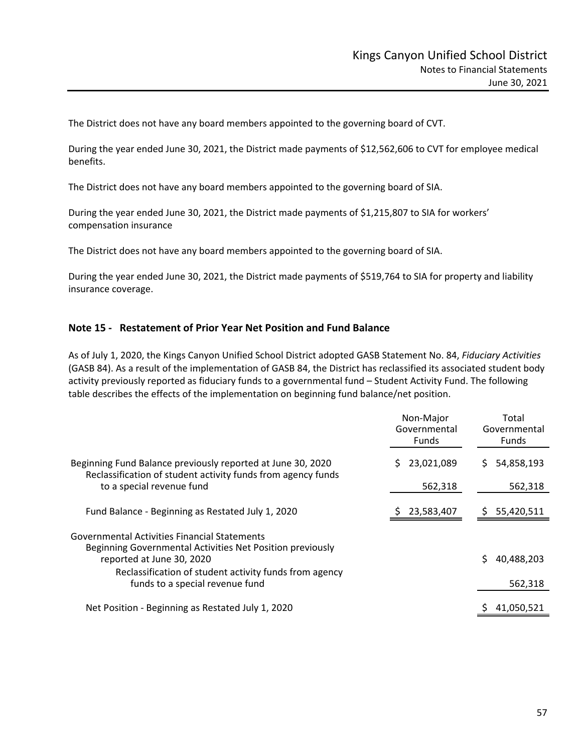The District does not have any board members appointed to the governing board of CVT.

During the year ended June 30, 2021, the District made payments of \$12,562,606 to CVT for employee medical benefits.

The District does not have any board members appointed to the governing board of SIA.

During the year ended June 30, 2021, the District made payments of \$1,215,807 to SIA for workers' compensation insurance

The District does not have any board members appointed to the governing board of SIA.

During the year ended June 30, 2021, the District made payments of \$519,764 to SIA for property and liability insurance coverage.

# **Note 15 ‐ Restatement of Prior Year Net Position and Fund Balance**

As of July 1, 2020, the Kings Canyon Unified School District adopted GASB Statement No. 84, *Fiduciary Activities* (GASB 84). As a result of the implementation of GASB 84, the District has reclassified its associated student body activity previously reported as fiduciary funds to a governmental fund – Student Activity Fund. The following table describes the effects of the implementation on beginning fund balance/net position.

|                                                                                                                             | Non-Major<br>Governmental<br><b>Funds</b> | Total<br>Governmental<br><b>Funds</b> |
|-----------------------------------------------------------------------------------------------------------------------------|-------------------------------------------|---------------------------------------|
| Beginning Fund Balance previously reported at June 30, 2020<br>Reclassification of student activity funds from agency funds | 23,021,089                                | 54,858,193                            |
| to a special revenue fund                                                                                                   | 562,318                                   | 562,318                               |
| Fund Balance - Beginning as Restated July 1, 2020                                                                           | 23,583,407                                | 55,420,511<br>S                       |
| Governmental Activities Financial Statements<br>Beginning Governmental Activities Net Position previously                   |                                           |                                       |
| reported at June 30, 2020                                                                                                   |                                           | 40,488,203                            |
| Reclassification of student activity funds from agency<br>funds to a special revenue fund                                   |                                           | 562,318                               |
| Net Position - Beginning as Restated July 1, 2020                                                                           |                                           | 41,050,521                            |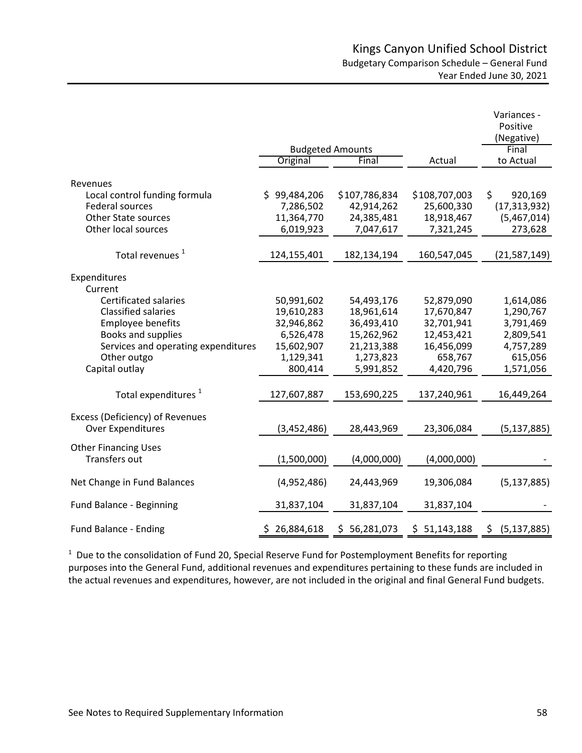|                                              |                         |               |               | Variances -<br>Positive<br>(Negative) |
|----------------------------------------------|-------------------------|---------------|---------------|---------------------------------------|
|                                              | <b>Budgeted Amounts</b> |               |               | Final                                 |
|                                              | Original                | Final         | Actual        | to Actual                             |
| Revenues                                     |                         |               |               |                                       |
| Local control funding formula                | \$99,484,206            | \$107,786,834 | \$108,707,003 | \$<br>920,169                         |
| <b>Federal sources</b>                       | 7,286,502               | 42,914,262    | 25,600,330    | (17, 313, 932)                        |
| <b>Other State sources</b>                   | 11,364,770              | 24,385,481    | 18,918,467    | (5,467,014)                           |
| Other local sources                          | 6,019,923               | 7,047,617     | 7,321,245     | 273,628                               |
|                                              |                         |               |               |                                       |
| Total revenues <sup>1</sup>                  | 124,155,401             | 182,134,194   | 160,547,045   | (21,587,149)                          |
| Expenditures                                 |                         |               |               |                                       |
| Current                                      |                         |               |               |                                       |
| <b>Certificated salaries</b>                 | 50,991,602              | 54,493,176    | 52,879,090    | 1,614,086                             |
| <b>Classified salaries</b>                   | 19,610,283              | 18,961,614    | 17,670,847    | 1,290,767                             |
| Employee benefits                            | 32,946,862              | 36,493,410    | 32,701,941    | 3,791,469                             |
| Books and supplies                           | 6,526,478               | 15,262,962    | 12,453,421    | 2,809,541                             |
| Services and operating expenditures          | 15,602,907              | 21,213,388    | 16,456,099    | 4,757,289                             |
| Other outgo                                  | 1,129,341               | 1,273,823     | 658,767       | 615,056                               |
| Capital outlay                               | 800,414                 | 5,991,852     | 4,420,796     | 1,571,056                             |
| Total expenditures <sup>1</sup>              | 127,607,887             | 153,690,225   | 137,240,961   | 16,449,264                            |
|                                              |                         |               |               |                                       |
| Excess (Deficiency) of Revenues              |                         |               |               |                                       |
| <b>Over Expenditures</b>                     | (3,452,486)             | 28,443,969    | 23,306,084    | (5, 137, 885)                         |
|                                              |                         |               |               |                                       |
| <b>Other Financing Uses</b><br>Transfers out | (1,500,000)             | (4,000,000)   | (4,000,000)   |                                       |
| Net Change in Fund Balances                  | (4,952,486)             | 24,443,969    | 19,306,084    | (5, 137, 885)                         |
|                                              |                         |               |               |                                       |
| Fund Balance - Beginning                     | 31,837,104              | 31,837,104    | 31,837,104    |                                       |
| Fund Balance - Ending                        | 26,884,618              | \$56,281,073  | \$ 51,143,188 | (5, 137, 885)<br>\$.                  |

 $1$  Due to the consolidation of Fund 20, Special Reserve Fund for Postemployment Benefits for reporting purposes into the General Fund, additional revenues and expenditures pertaining to these funds are included in the actual revenues and expenditures, however, are not included in the original and final General Fund budgets.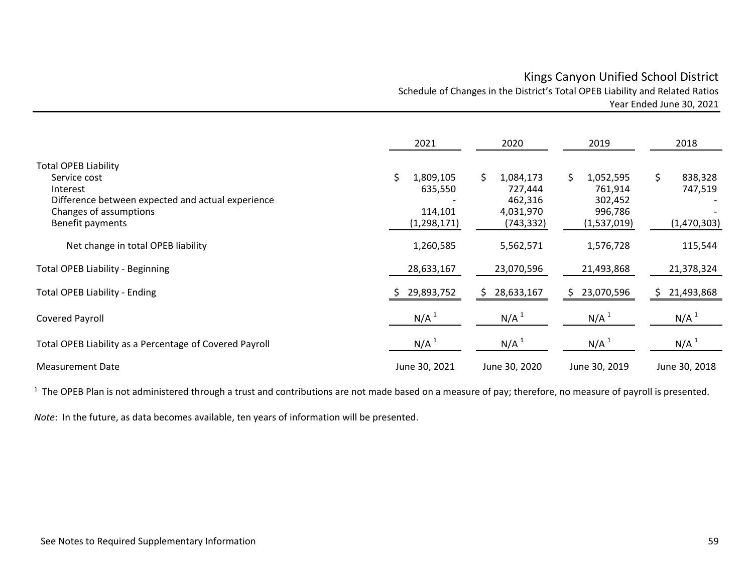# Kings Canyon Unified School District Schedule of Changes in the District's Total OPEB Liability and Related Ratios Year Ended June 30, 2021

|                                                                                                                                                            | 2021                                                   | 2020                                                             | 2019                                                            | 2018                                    |
|------------------------------------------------------------------------------------------------------------------------------------------------------------|--------------------------------------------------------|------------------------------------------------------------------|-----------------------------------------------------------------|-----------------------------------------|
| <b>Total OPEB Liability</b><br>Service cost<br>Interest<br>Difference between expected and actual experience<br>Changes of assumptions<br>Benefit payments | \$<br>1,809,105<br>635,550<br>114,101<br>(1, 298, 171) | S.<br>1,084,173<br>727,444<br>462,316<br>4,031,970<br>(743, 332) | 1,052,595<br>S.<br>761,914<br>302,452<br>996,786<br>(1,537,019) | S.<br>838,328<br>747,519<br>(1,470,303) |
| Net change in total OPEB liability                                                                                                                         | 1,260,585                                              | 5,562,571                                                        | 1,576,728                                                       | 115,544                                 |
| <b>Total OPEB Liability - Beginning</b>                                                                                                                    | 28,633,167                                             | 23,070,596                                                       | 21,493,868                                                      | 21,378,324                              |
| <b>Total OPEB Liability - Ending</b>                                                                                                                       | 29,893,752                                             | S.<br>28,633,167                                                 | 23,070,596<br>S.                                                | 21,493,868<br>S.                        |
| Covered Payroll                                                                                                                                            | N/A <sup>1</sup>                                       | N/A <sup>1</sup>                                                 | N/A <sup>1</sup>                                                | N/A <sup>1</sup>                        |
| Total OPEB Liability as a Percentage of Covered Payroll                                                                                                    | N/A <sup>1</sup>                                       | N/A <sup>1</sup>                                                 | N/A <sup>1</sup>                                                | N/A <sup>1</sup>                        |
| <b>Measurement Date</b>                                                                                                                                    | June 30, 2021                                          | June 30, 2020                                                    | June 30, 2019                                                   | June 30, 2018                           |

<sup>1</sup> The OPEB Plan is not administered through a trust and contributions are not made based on a measure of pay; therefore, no measure of payroll is presented.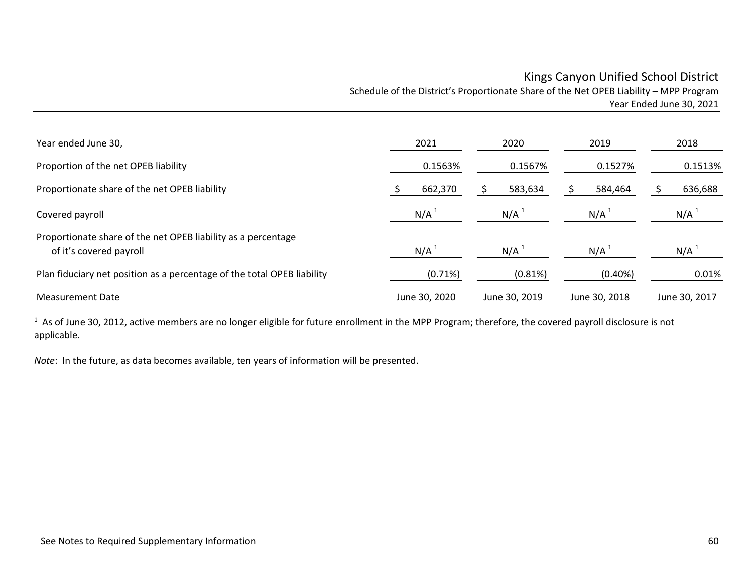# Kings Canyon Unified School District

Schedule of the District's Proportionate Share of the Net OPEB Liability – MPP Program Year Ended June 30, 2021

| Year ended June 30,                                                                      | 2021               | 2020             | 2019               | 2018             |
|------------------------------------------------------------------------------------------|--------------------|------------------|--------------------|------------------|
| Proportion of the net OPEB liability                                                     | 0.1563%            | 0.1567%          | 0.1527%            | 0.1513%          |
| Proportionate share of the net OPEB liability                                            | 662,370            | 583,634          | 584,464            | 636,688          |
| Covered payroll                                                                          | N/A <sup>1</sup>   | N/A <sup>1</sup> | N/A <sup>1</sup>   | N/A <sup>1</sup> |
| Proportionate share of the net OPEB liability as a percentage<br>of it's covered payroll | $N/A$ <sup>1</sup> | N/A <sup>1</sup> | $N/A$ <sup>1</sup> | N/A <sup>1</sup> |
| Plan fiduciary net position as a percentage of the total OPEB liability                  | (0.71%)            | (0.81%)          | $(0.40\%)$         | 0.01%            |
| <b>Measurement Date</b>                                                                  | June 30, 2020      | June 30, 2019    | June 30, 2018      | June 30, 2017    |

 $^1$  As of June 30, 2012, active members are no longer eligible for future enrollment in the MPP Program; therefore, the covered payroll disclosure is not applicable.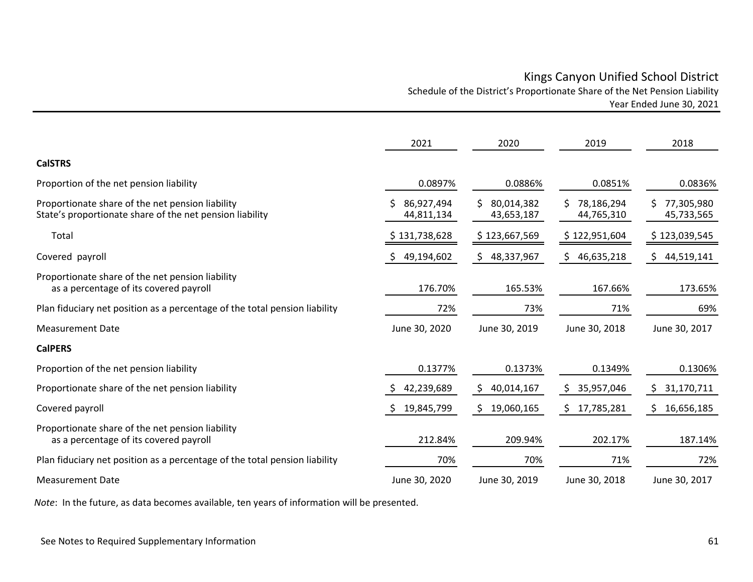# Kings Canyon Unified School District Schedule of the District's Proportionate Share of the Net Pension Liability

Year Ended June 30, 2021

|                                                                                                              | 2021                           | 2020                           | 2019                           | 2018                     |
|--------------------------------------------------------------------------------------------------------------|--------------------------------|--------------------------------|--------------------------------|--------------------------|
| <b>CalSTRS</b>                                                                                               |                                |                                |                                |                          |
| Proportion of the net pension liability                                                                      | 0.0897%                        | 0.0886%                        | 0.0851%                        | 0.0836%                  |
| Proportionate share of the net pension liability<br>State's proportionate share of the net pension liability | 86,927,494<br>S.<br>44,811,134 | 80,014,382<br>S.<br>43,653,187 | 78,186,294<br>S.<br>44,765,310 | 77,305,980<br>45,733,565 |
| Total                                                                                                        | \$131,738,628                  | \$123,667,569                  | \$122,951,604                  | \$123,039,545            |
| Covered payroll                                                                                              | 49,194,602<br>-Ş               | \$<br>48,337,967               | 46,635,218<br>\$.              | \$<br>44,519,141         |
| Proportionate share of the net pension liability<br>as a percentage of its covered payroll                   | 176.70%                        | 165.53%                        | 167.66%                        | 173.65%                  |
| Plan fiduciary net position as a percentage of the total pension liability                                   | 72%                            | 73%                            | 71%                            | 69%                      |
| <b>Measurement Date</b>                                                                                      | June 30, 2020                  | June 30, 2019                  | June 30, 2018                  | June 30, 2017            |
| <b>CalPERS</b>                                                                                               |                                |                                |                                |                          |
| Proportion of the net pension liability                                                                      | 0.1377%                        | 0.1373%                        | 0.1349%                        | 0.1306%                  |
| Proportionate share of the net pension liability                                                             | 42,239,689                     | 40,014,167<br>-\$              | 35,957,046<br>Ş.               | 31,170,711<br>\$         |
| Covered payroll                                                                                              | 19,845,799<br>S.               | 19,060,165<br>S.               | 17,785,281<br>S.               | S.<br>16,656,185         |
| Proportionate share of the net pension liability<br>as a percentage of its covered payroll                   | 212.84%                        | 209.94%                        | 202.17%                        | 187.14%                  |
| Plan fiduciary net position as a percentage of the total pension liability                                   | 70%                            | 70%                            | 71%                            | 72%                      |
| <b>Measurement Date</b>                                                                                      | June 30, 2020                  | June 30, 2019                  | June 30, 2018                  | June 30, 2017            |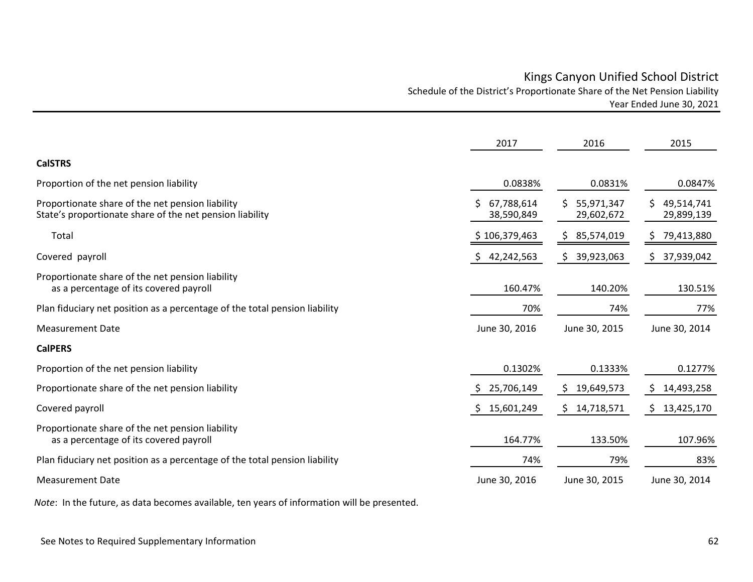# Kings Canyon Unified School District Schedule of the District's Proportionate Share of the Net Pension Liability

Year Ended June 30, 2021

|                                                                                                              | 2017                     | 2016                      | 2015                     |
|--------------------------------------------------------------------------------------------------------------|--------------------------|---------------------------|--------------------------|
| <b>CalSTRS</b>                                                                                               |                          |                           |                          |
| Proportion of the net pension liability                                                                      | 0.0838%                  | 0.0831%                   | 0.0847%                  |
| Proportionate share of the net pension liability<br>State's proportionate share of the net pension liability | 67,788,614<br>38,590,849 | \$5,971,347<br>29,602,672 | 49,514,741<br>29,899,139 |
| Total                                                                                                        | \$106,379,463            | 85,574,019<br>Ş.          | 79,413,880               |
| Covered payroll                                                                                              | 42,242,563<br>S.         | 39,923,063<br>\$          | 37,939,042<br>S.         |
| Proportionate share of the net pension liability<br>as a percentage of its covered payroll                   | 160.47%                  | 140.20%                   | 130.51%                  |
| Plan fiduciary net position as a percentage of the total pension liability                                   | 70%                      | 74%                       | 77%                      |
| <b>Measurement Date</b>                                                                                      | June 30, 2016            | June 30, 2015             | June 30, 2014            |
| <b>CalPERS</b>                                                                                               |                          |                           |                          |
| Proportion of the net pension liability                                                                      | 0.1302%                  | 0.1333%                   | 0.1277%                  |
| Proportionate share of the net pension liability                                                             | 25,706,149<br>S.         | 19,649,573<br>-S          | 14,493,258<br>S.         |
| Covered payroll                                                                                              | 15,601,249<br>S.         | \$<br>14,718,571          | S.<br>13,425,170         |
| Proportionate share of the net pension liability<br>as a percentage of its covered payroll                   | 164.77%                  | 133.50%                   | 107.96%                  |
| Plan fiduciary net position as a percentage of the total pension liability                                   | 74%                      | 79%                       | 83%                      |
| <b>Measurement Date</b>                                                                                      | June 30, 2016            | June 30, 2015             | June 30, 2014            |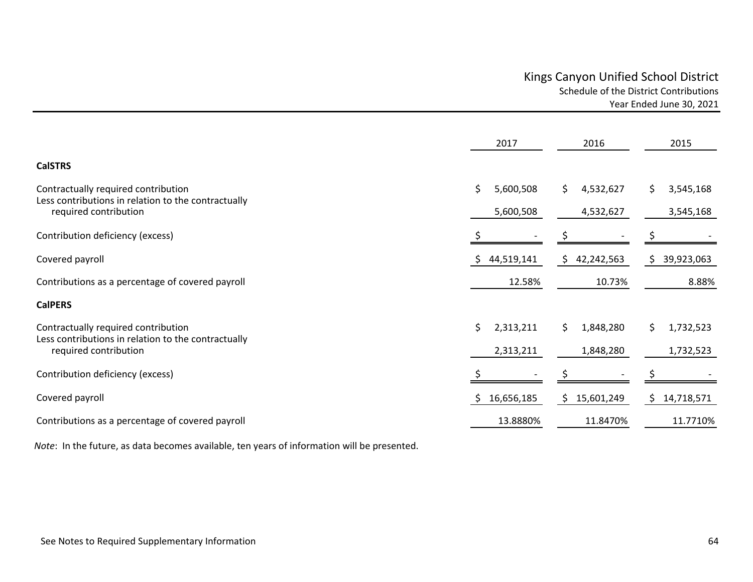# Kings Canyon Unified School District Schedule of the District Contributions Year Ended June 30, 2021

|                                                                                            | 2017             | 2016             | 2015              |
|--------------------------------------------------------------------------------------------|------------------|------------------|-------------------|
| <b>CalSTRS</b>                                                                             |                  |                  |                   |
| Contractually required contribution<br>Less contributions in relation to the contractually | \$<br>5,600,508  | \$.<br>4,532,627 | \$<br>3,545,168   |
| required contribution                                                                      | 5,600,508        | 4,532,627        | 3,545,168         |
| Contribution deficiency (excess)                                                           |                  |                  |                   |
| Covered payroll                                                                            | 44,519,141<br>S. | \$<br>42,242,563 | 39,923,063<br>\$  |
| Contributions as a percentage of covered payroll                                           | 12.58%           | 10.73%           | 8.88%             |
| <b>CalPERS</b>                                                                             |                  |                  |                   |
| Contractually required contribution                                                        | \$<br>2,313,211  | \$.<br>1,848,280 | \$<br>1,732,523   |
| Less contributions in relation to the contractually<br>required contribution               | 2,313,211        | 1,848,280        | 1,732,523         |
| Contribution deficiency (excess)                                                           |                  |                  |                   |
| Covered payroll                                                                            | 16,656,185       | \$15,601,249     | 14,718,571<br>\$. |
| Contributions as a percentage of covered payroll                                           | 13.8880%         | 11.8470%         | 11.7710%          |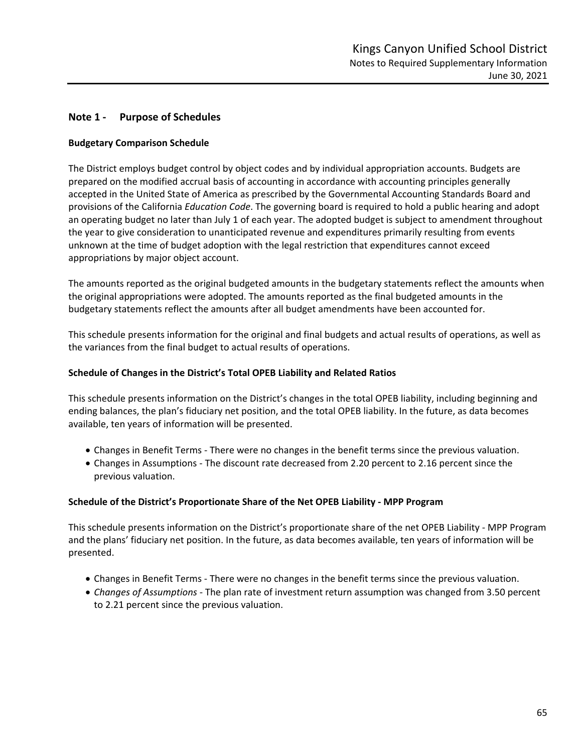# **Note 1 ‐ Purpose of Schedules**

#### **Budgetary Comparison Schedule**

The District employs budget control by object codes and by individual appropriation accounts. Budgets are prepared on the modified accrual basis of accounting in accordance with accounting principles generally accepted in the United State of America as prescribed by the Governmental Accounting Standards Board and provisions of the California *Education Code*. The governing board is required to hold a public hearing and adopt an operating budget no later than July 1 of each year. The adopted budget is subject to amendment throughout the year to give consideration to unanticipated revenue and expenditures primarily resulting from events unknown at the time of budget adoption with the legal restriction that expenditures cannot exceed appropriations by major object account.

The amounts reported as the original budgeted amounts in the budgetary statements reflect the amounts when the original appropriations were adopted. The amounts reported as the final budgeted amounts in the budgetary statements reflect the amounts after all budget amendments have been accounted for.

This schedule presents information for the original and final budgets and actual results of operations, as well as the variances from the final budget to actual results of operations.

#### **Schedule of Changes in the District's Total OPEB Liability and Related Ratios**

This schedule presents information on the District's changes in the total OPEB liability, including beginning and ending balances, the plan's fiduciary net position, and the total OPEB liability. In the future, as data becomes available, ten years of information will be presented.

- Changes in Benefit Terms ‐ There were no changes in the benefit terms since the previous valuation.
- Changes in Assumptions ‐ The discount rate decreased from 2.20 percent to 2.16 percent since the previous valuation.

#### **Schedule of the District's Proportionate Share of the Net OPEB Liability ‐ MPP Program**

This schedule presents information on the District's proportionate share of the net OPEB Liability ‐ MPP Program and the plans' fiduciary net position. In the future, as data becomes available, ten years of information will be presented.

- Changes in Benefit Terms ‐ There were no changes in the benefit terms since the previous valuation.
- *Changes of Assumptions* ‐ The plan rate of investment return assumption was changed from 3.50 percent to 2.21 percent since the previous valuation.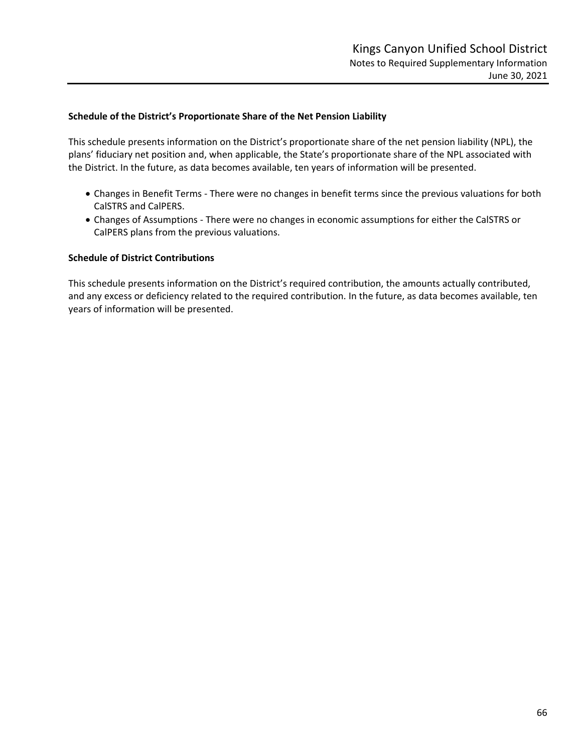#### **Schedule of the District's Proportionate Share of the Net Pension Liability**

This schedule presents information on the District's proportionate share of the net pension liability (NPL), the plans' fiduciary net position and, when applicable, the State's proportionate share of the NPL associated with the District. In the future, as data becomes available, ten years of information will be presented.

- Changes in Benefit Terms ‐ There were no changes in benefit terms since the previous valuations for both CalSTRS and CalPERS.
- Changes of Assumptions ‐ There were no changes in economic assumptions for either the CalSTRS or CalPERS plans from the previous valuations.

#### **Schedule of District Contributions**

This schedule presents information on the District's required contribution, the amounts actually contributed, and any excess or deficiency related to the required contribution. In the future, as data becomes available, ten years of information will be presented.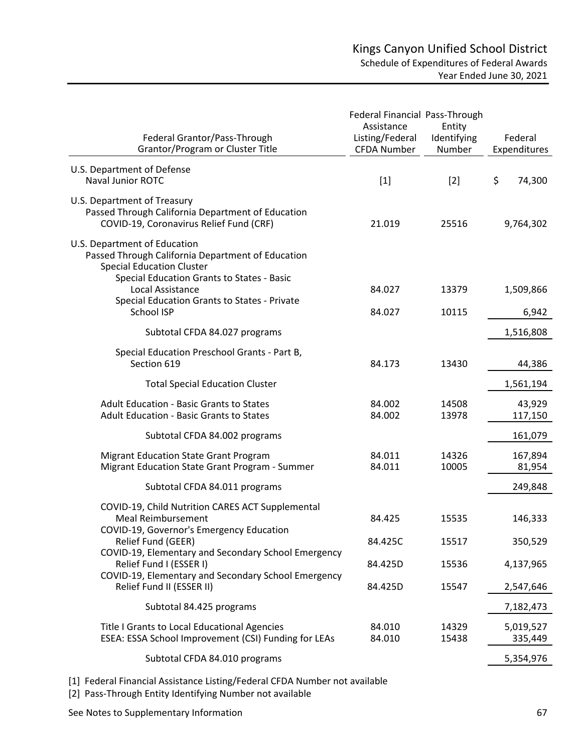|                                                                                                                                                                     | Federal Financial Pass-Through                      |                                 |                         |
|---------------------------------------------------------------------------------------------------------------------------------------------------------------------|-----------------------------------------------------|---------------------------------|-------------------------|
| Federal Grantor/Pass-Through<br>Grantor/Program or Cluster Title                                                                                                    | Assistance<br>Listing/Federal<br><b>CFDA Number</b> | Entity<br>Identifying<br>Number | Federal<br>Expenditures |
| U.S. Department of Defense<br><b>Naval Junior ROTC</b>                                                                                                              | $[1]$                                               | $[2]$                           | \$<br>74,300            |
| U.S. Department of Treasury<br>Passed Through California Department of Education<br>COVID-19, Coronavirus Relief Fund (CRF)                                         | 21.019                                              | 25516                           | 9,764,302               |
| U.S. Department of Education<br>Passed Through California Department of Education<br><b>Special Education Cluster</b><br>Special Education Grants to States - Basic |                                                     |                                 |                         |
| Local Assistance<br>Special Education Grants to States - Private                                                                                                    | 84.027                                              | 13379                           | 1,509,866               |
| School ISP                                                                                                                                                          | 84.027                                              | 10115                           | 6,942                   |
| Subtotal CFDA 84.027 programs                                                                                                                                       |                                                     |                                 | 1,516,808               |
| Special Education Preschool Grants - Part B,                                                                                                                        |                                                     |                                 |                         |
| Section 619                                                                                                                                                         | 84.173                                              | 13430                           | 44,386                  |
| <b>Total Special Education Cluster</b>                                                                                                                              |                                                     |                                 | 1,561,194               |
| <b>Adult Education - Basic Grants to States</b><br><b>Adult Education - Basic Grants to States</b>                                                                  | 84.002<br>84.002                                    | 14508<br>13978                  | 43,929<br>117,150       |
| Subtotal CFDA 84.002 programs                                                                                                                                       |                                                     |                                 | 161,079                 |
| <b>Migrant Education State Grant Program</b><br>Migrant Education State Grant Program - Summer                                                                      | 84.011<br>84.011                                    | 14326<br>10005                  | 167,894<br>81,954       |
| Subtotal CFDA 84.011 programs                                                                                                                                       |                                                     |                                 | 249,848                 |
| COVID-19, Child Nutrition CARES ACT Supplemental<br><b>Meal Reimbursement</b>                                                                                       | 84.425                                              | 15535                           | 146,333                 |
| COVID-19, Governor's Emergency Education<br>Relief Fund (GEER)                                                                                                      | 84.425C                                             | 15517                           | 350,529                 |
| COVID-19, Elementary and Secondary School Emergency<br>Relief Fund I (ESSER I)<br>COVID-19, Elementary and Secondary School Emergency                               | 84.425D                                             | 15536                           | 4,137,965               |
| Relief Fund II (ESSER II)                                                                                                                                           | 84.425D                                             | 15547                           | 2,547,646               |
| Subtotal 84.425 programs                                                                                                                                            |                                                     |                                 | 7,182,473               |
| Title I Grants to Local Educational Agencies<br>ESEA: ESSA School Improvement (CSI) Funding for LEAs                                                                | 84.010<br>84.010                                    | 14329<br>15438                  | 5,019,527<br>335,449    |
| Subtotal CFDA 84.010 programs                                                                                                                                       |                                                     |                                 | 5,354,976               |
|                                                                                                                                                                     |                                                     |                                 |                         |

[1] Federal Financial Assistance Listing/Federal CFDA Number not available

[2] Pass‐Through Entity Identifying Number not available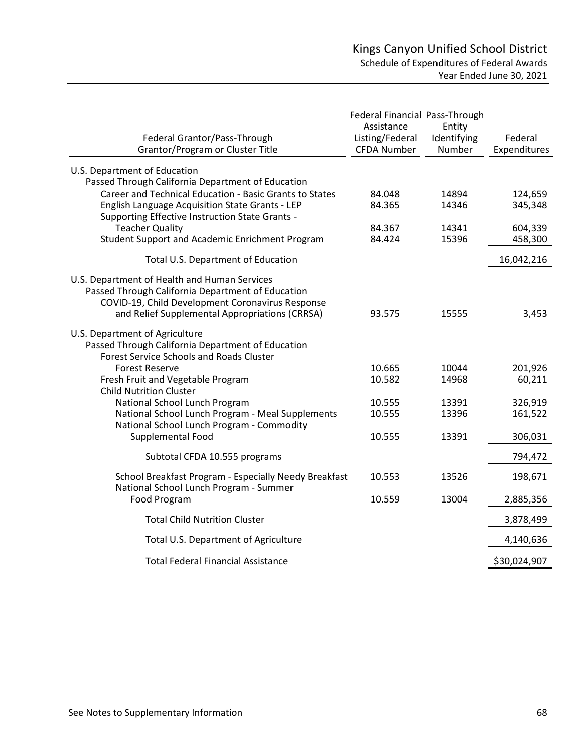| Federal Grantor/Pass-Through                                                                                                                                                                            | Federal Financial Pass-Through<br>Assistance<br>Listing/Federal | Entity<br>Identifying | Federal      |
|---------------------------------------------------------------------------------------------------------------------------------------------------------------------------------------------------------|-----------------------------------------------------------------|-----------------------|--------------|
| Grantor/Program or Cluster Title                                                                                                                                                                        | <b>CFDA Number</b>                                              | Number                | Expenditures |
| U.S. Department of Education<br>Passed Through California Department of Education                                                                                                                       |                                                                 |                       |              |
| Career and Technical Education - Basic Grants to States                                                                                                                                                 | 84.048                                                          | 14894                 | 124,659      |
| English Language Acquisition State Grants - LEP<br>Supporting Effective Instruction State Grants -                                                                                                      | 84.365                                                          | 14346                 | 345,348      |
| <b>Teacher Quality</b>                                                                                                                                                                                  | 84.367                                                          | 14341                 | 604,339      |
| Student Support and Academic Enrichment Program                                                                                                                                                         | 84.424                                                          | 15396                 | 458,300      |
| Total U.S. Department of Education                                                                                                                                                                      |                                                                 |                       | 16,042,216   |
| U.S. Department of Health and Human Services<br>Passed Through California Department of Education<br>COVID-19, Child Development Coronavirus Response<br>and Relief Supplemental Appropriations (CRRSA) | 93.575                                                          | 15555                 | 3,453        |
| U.S. Department of Agriculture<br>Passed Through California Department of Education<br>Forest Service Schools and Roads Cluster                                                                         |                                                                 |                       |              |
| <b>Forest Reserve</b>                                                                                                                                                                                   | 10.665                                                          | 10044                 | 201,926      |
| Fresh Fruit and Vegetable Program<br><b>Child Nutrition Cluster</b>                                                                                                                                     | 10.582                                                          | 14968                 | 60,211       |
| National School Lunch Program                                                                                                                                                                           | 10.555                                                          | 13391                 | 326,919      |
| National School Lunch Program - Meal Supplements<br>National School Lunch Program - Commodity                                                                                                           | 10.555                                                          | 13396                 | 161,522      |
| Supplemental Food                                                                                                                                                                                       | 10.555                                                          | 13391                 | 306,031      |
| Subtotal CFDA 10.555 programs                                                                                                                                                                           |                                                                 |                       | 794,472      |
| School Breakfast Program - Especially Needy Breakfast<br>National School Lunch Program - Summer                                                                                                         | 10.553                                                          | 13526                 | 198,671      |
| Food Program                                                                                                                                                                                            | 10.559                                                          | 13004                 | 2,885,356    |
| <b>Total Child Nutrition Cluster</b>                                                                                                                                                                    |                                                                 |                       | 3,878,499    |
| Total U.S. Department of Agriculture                                                                                                                                                                    |                                                                 |                       | 4,140,636    |
| <b>Total Federal Financial Assistance</b>                                                                                                                                                               |                                                                 |                       | \$30,024,907 |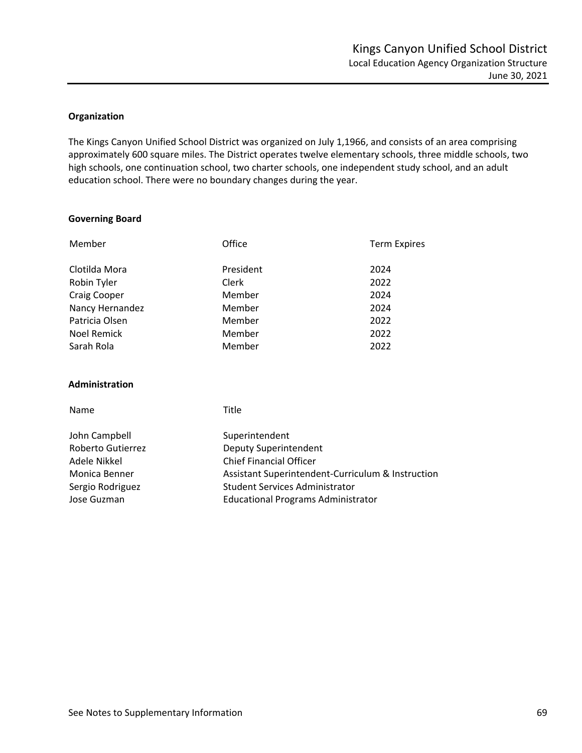## **Organization**

The Kings Canyon Unified School District was organized on July 1,1966, and consists of an area comprising approximately 600 square miles. The District operates twelve elementary schools, three middle schools, two high schools, one continuation school, two charter schools, one independent study school, and an adult education school. There were no boundary changes during the year.

## **Governing Board**

| Member              | Office    | <b>Term Expires</b> |
|---------------------|-----------|---------------------|
| Clotilda Mora       | President | 2024                |
| Robin Tyler         | Clerk     | 2022                |
| <b>Craig Cooper</b> | Member    | 2024                |
| Nancy Hernandez     | Member    | 2024                |
| Patricia Olsen      | Member    | 2022                |
| <b>Noel Remick</b>  | Member    | 2022                |
| Sarah Rola          | Member    | 2022                |

#### **Administration**

| Name              | Title                                             |
|-------------------|---------------------------------------------------|
| John Campbell     | Superintendent                                    |
| Roberto Gutierrez | Deputy Superintendent                             |
| Adele Nikkel      | <b>Chief Financial Officer</b>                    |
| Monica Benner     | Assistant Superintendent-Curriculum & Instruction |
| Sergio Rodriguez  | <b>Student Services Administrator</b>             |
| Jose Guzman       | <b>Educational Programs Administrator</b>         |
|                   |                                                   |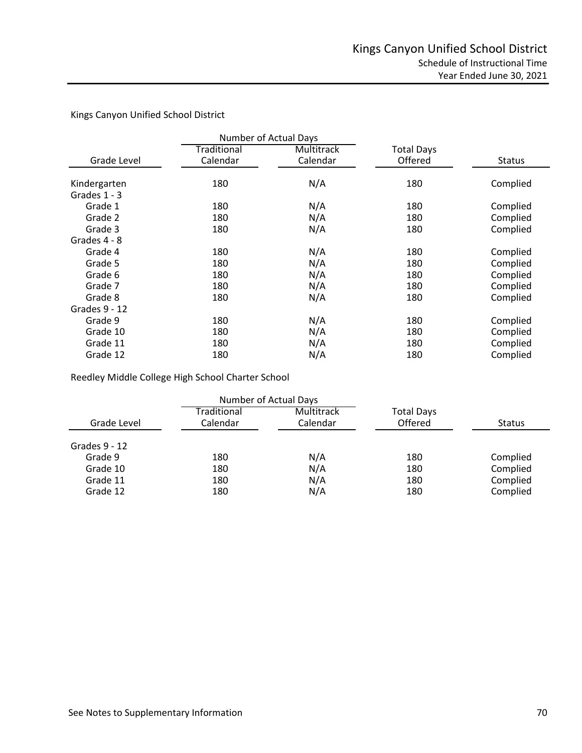|               |             | Number of Actual Days |                   |               |
|---------------|-------------|-----------------------|-------------------|---------------|
|               | Traditional | Multitrack            | <b>Total Days</b> |               |
| Grade Level   | Calendar    | Calendar              | Offered           | <b>Status</b> |
| Kindergarten  | 180         | N/A                   | 180               | Complied      |
| Grades 1 - 3  |             |                       |                   |               |
| Grade 1       | 180         | N/A                   | 180               | Complied      |
| Grade 2       | 180         | N/A                   | 180               | Complied      |
| Grade 3       | 180         | N/A                   | 180               | Complied      |
| Grades 4 - 8  |             |                       |                   |               |
| Grade 4       | 180         | N/A                   | 180               | Complied      |
| Grade 5       | 180         | N/A                   | 180               | Complied      |
| Grade 6       | 180         | N/A                   | 180               | Complied      |
| Grade 7       | 180         | N/A                   | 180               | Complied      |
| Grade 8       | 180         | N/A                   | 180               | Complied      |
| Grades 9 - 12 |             |                       |                   |               |
| Grade 9       | 180         | N/A                   | 180               | Complied      |
| Grade 10      | 180         | N/A                   | 180               | Complied      |
| Grade 11      | 180         | N/A                   | 180               | Complied      |
| Grade 12      | 180         | N/A                   | 180               | Complied      |

Reedley Middle College High School Charter School

|                          |                         | Number of Actual Days  |                              |                      |
|--------------------------|-------------------------|------------------------|------------------------------|----------------------|
| Grade Level              | Traditional<br>Calendar | Multitrack<br>Calendar | <b>Total Days</b><br>Offered | <b>Status</b>        |
| Grades 9 - 12<br>Grade 9 | 180                     | N/A                    | 180                          | Complied             |
| Grade 10                 | 180                     | N/A                    | 180                          | Complied             |
| Grade 11<br>Grade 12     | 180<br>180              | N/A<br>N/A             | 180<br>180                   | Complied<br>Complied |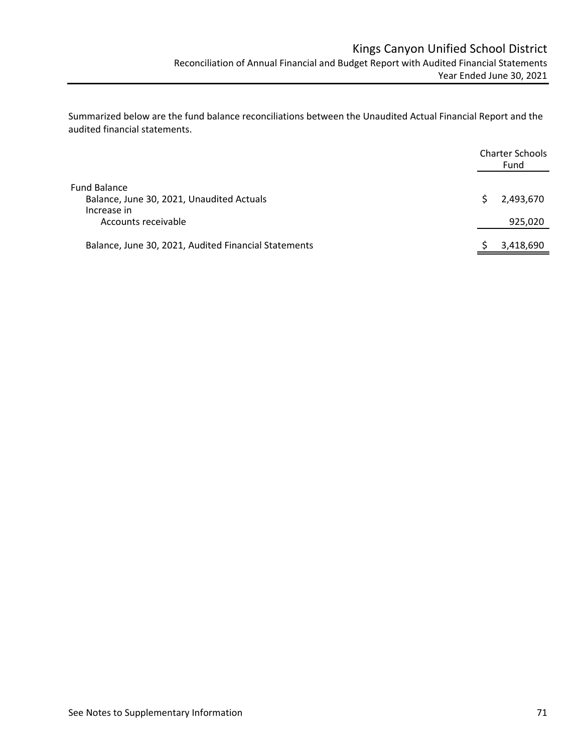Summarized below are the fund balance reconciliations between the Unaudited Actual Financial Report and the audited financial statements.

|                                                                  | <b>Charter Schools</b><br>Fund |
|------------------------------------------------------------------|--------------------------------|
| <b>Fund Balance</b><br>Balance, June 30, 2021, Unaudited Actuals | 2,493,670                      |
| Increase in<br>Accounts receivable                               | 925,020                        |
| Balance, June 30, 2021, Audited Financial Statements             | 3,418,690                      |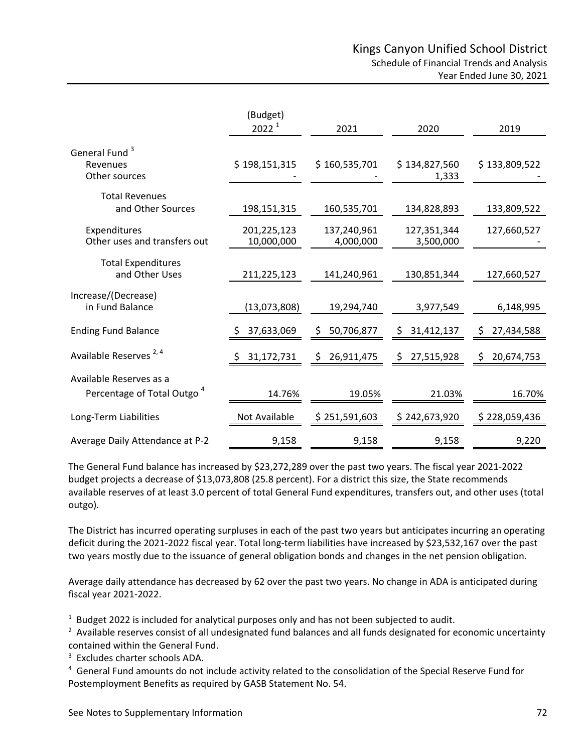|                                                                   | (Budget)<br>$2022^1$      | 2021                     | 2020                     | 2019              |
|-------------------------------------------------------------------|---------------------------|--------------------------|--------------------------|-------------------|
| General Fund <sup>3</sup><br>Revenues<br>Other sources            | \$198,151,315             | \$160,535,701            | \$134,827,560<br>1,333   | \$133,809,522     |
| <b>Total Revenues</b><br>and Other Sources                        | 198,151,315               | 160,535,701              | 134,828,893              | 133,809,522       |
| Expenditures<br>Other uses and transfers out                      | 201,225,123<br>10,000,000 | 137,240,961<br>4,000,000 | 127,351,344<br>3,500,000 | 127,660,527       |
| <b>Total Expenditures</b><br>and Other Uses                       | 211,225,123               | 141,240,961              | 130,851,344              | 127,660,527       |
| Increase/(Decrease)<br>in Fund Balance                            | (13,073,808)              | 19,294,740               | 3,977,549                | 6,148,995         |
| <b>Ending Fund Balance</b>                                        | 37,633,069                | 50,706,877<br>S.         | \$31,412,137             | \$27,434,588      |
| Available Reserves <sup>2,4</sup>                                 | 31,172,731                | \$<br>26,911,475         | 27,515,928<br>\$         | 20,674,753<br>\$. |
| Available Reserves as a<br>Percentage of Total Outgo <sup>4</sup> | 14.76%                    | 19.05%                   | 21.03%                   | 16.70%            |
| Long-Term Liabilities                                             | Not Available             | \$251,591,603            | \$242,673,920            | \$228,059,436     |
| Average Daily Attendance at P-2                                   | 9,158                     | 9,158                    | 9,158                    | 9,220             |

The General Fund balance has increased by \$23,272,289 over the past two years. The fiscal year 2021‐2022 budget projects a decrease of \$13,073,808 (25.8 percent). For a district this size, the State recommends available reserves of at least 3.0 percent of total General Fund expenditures, transfers out, and other uses (total outgo).

The District has incurred operating surpluses in each of the past two years but anticipates incurring an operating deficit during the 2021‐2022 fiscal year. Total long‐term liabilities have increased by \$23,532,167 over the past two years mostly due to the issuance of general obligation bonds and changes in the net pension obligation.

Average daily attendance has decreased by 62 over the past two years. No change in ADA is anticipated during fiscal year 2021‐2022.

 $1$  Budget 2022 is included for analytical purposes only and has not been subjected to audit.

 $2$  Available reserves consist of all undesignated fund balances and all funds designated for economic uncertainty contained within the General Fund.

<sup>3</sup> Excludes charter schools ADA.

<sup>4</sup> General Fund amounts do not include activity related to the consolidation of the Special Reserve Fund for Postemployment Benefits as required by GASB Statement No. 54.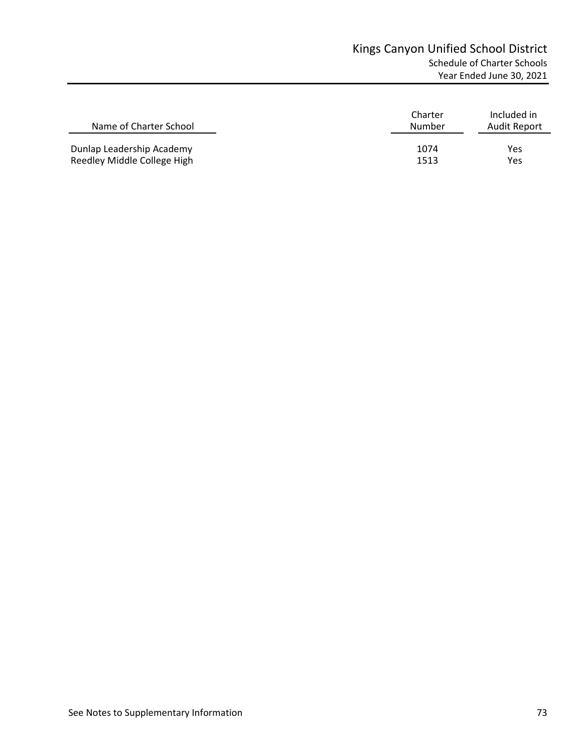| Name of Charter School      | Charter<br>Number | Included in<br><b>Audit Report</b> |
|-----------------------------|-------------------|------------------------------------|
| Dunlap Leadership Academy   | 1074              | Yes                                |
| Reedley Middle College High | 1513              | Yes                                |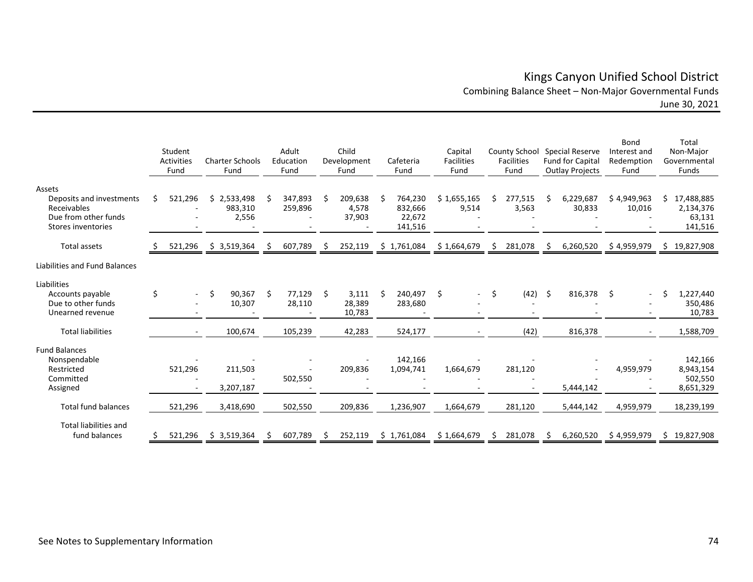Combining Balance Sheet – Non‐Major Governmental Funds June 30, 2021

|                                                                                                 |    | Student<br><b>Activities</b><br>Fund |    | <b>Charter Schools</b><br>Fund |    | Adult<br>Education<br>Fund |      | Child<br>Development<br>Fund |    | Cafeteria<br>Fund                       | Capital<br><b>Facilities</b><br>Fund |    | County School<br><b>Facilities</b><br>Fund |     | <b>Special Reserve</b><br><b>Fund for Capital</b><br><b>Outlay Projects</b> | Bond<br>Interest and<br>Redemption<br>Fund |    | Total<br>Non-Major<br>Governmental<br><b>Funds</b> |
|-------------------------------------------------------------------------------------------------|----|--------------------------------------|----|--------------------------------|----|----------------------------|------|------------------------------|----|-----------------------------------------|--------------------------------------|----|--------------------------------------------|-----|-----------------------------------------------------------------------------|--------------------------------------------|----|----------------------------------------------------|
| Assets<br>Deposits and investments<br>Receivables<br>Due from other funds<br>Stores inventories | Ś. | 521,296                              | Ś. | 2,533,498<br>983,310<br>2,556  | -Ś | 347,893<br>259,896         | Ŝ    | 209,638<br>4,578<br>37,903   | Ś. | 764,230<br>832,666<br>22,672<br>141,516 | \$1,655,165<br>9,514                 | Ś. | 277,515<br>3,563                           | Ś.  | 6,229,687<br>30,833                                                         | \$4,949,963<br>10,016                      | Ŝ. | 17,488,885<br>2,134,376<br>63,131<br>141,516       |
| Total assets                                                                                    |    | 521,296                              |    | \$3,519,364                    | -S | 607,789                    | S    | 252,119                      |    | \$1,761,084                             | \$1,664,679                          | S  | 281,078                                    | S   | 6,260,520                                                                   | \$4,959,979                                | -S | 19,827,908                                         |
| Liabilities and Fund Balances                                                                   |    |                                      |    |                                |    |                            |      |                              |    |                                         |                                      |    |                                            |     |                                                                             |                                            |    |                                                    |
| Liabilities<br>Accounts payable<br>Due to other funds<br>Unearned revenue                       | \$ | ÷.                                   | \$ | 90,367<br>10,307               | Ŝ. | 77,129<br>28,110           | - \$ | 3,111<br>28,389<br>10,783    | Ś. | 240,497<br>283,680                      | Ś<br>$\sim$                          | \$ | (42)                                       | -\$ | 816,378                                                                     | -\$<br>$\sim$                              | Ś  | 1,227,440<br>350,486<br>10,783                     |
| <b>Total liabilities</b>                                                                        |    |                                      |    | 100,674                        |    | 105,239                    |      | 42,283                       |    | 524,177                                 |                                      |    | (42)                                       |     | 816,378                                                                     |                                            |    | 1,588,709                                          |
| <b>Fund Balances</b><br>Nonspendable<br>Restricted<br>Committed<br>Assigned                     |    | 521,296                              |    | 211,503<br>3,207,187           |    | 502,550                    |      | 209,836                      |    | 142,166<br>1,094,741                    | 1,664,679                            |    | 281,120                                    |     | 5,444,142                                                                   | 4,959,979                                  |    | 142,166<br>8,943,154<br>502,550<br>8,651,329       |
| <b>Total fund balances</b>                                                                      |    | 521,296                              |    | 3,418,690                      |    | 502,550                    |      | 209,836                      |    | 1,236,907                               | 1,664,679                            |    | 281,120                                    |     | 5,444,142                                                                   | 4,959,979                                  |    | 18,239,199                                         |
| <b>Total liabilities and</b><br>fund balances                                                   | Ś. | 521,296                              |    | \$3,519,364                    | Ŝ  | 607,789                    | Ŝ.   | 252,119                      |    | \$1,761,084                             | \$1,664,679                          | Ŝ. | 281,078                                    | Ŝ.  | 6,260,520                                                                   | \$4,959,979                                |    | \$19,827,908                                       |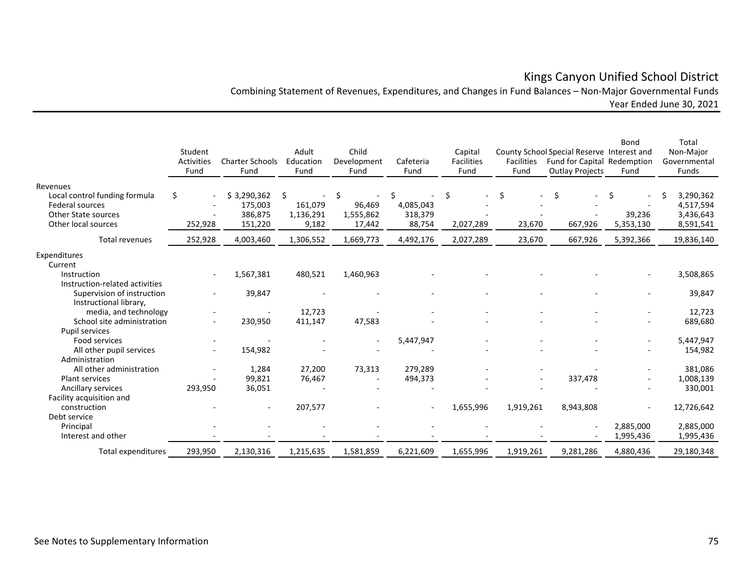Combining Statement of Revenues, Expenditures, and Changes in Fund Balances – Non‐Major Governmental Funds Year Ended June 30, 2021

|                                                                                                                   | Student<br><b>Activities</b><br>Fund | <b>Charter Schools</b><br>Fund               | Adult<br>Education<br>Fund                                      | Child<br>Development<br>Fund        | Cafeteria<br>Fund                    | Capital<br><b>Facilities</b><br>Fund | <b>Facilities</b><br>Fund | County School Special Reserve Interest and<br>Fund for Capital Redemption<br><b>Outlay Projects</b> | Bond<br>Fund               | Total<br>Non-Major<br>Governmental<br><b>Funds</b> |
|-------------------------------------------------------------------------------------------------------------------|--------------------------------------|----------------------------------------------|-----------------------------------------------------------------|-------------------------------------|--------------------------------------|--------------------------------------|---------------------------|-----------------------------------------------------------------------------------------------------|----------------------------|----------------------------------------------------|
| Revenues<br>Local control funding formula<br>Federal sources<br><b>Other State sources</b><br>Other local sources | \$<br>252,928                        | \$3,290,362<br>175,003<br>386,875<br>151,220 | \$<br>$\overline{\phantom{a}}$<br>161,079<br>1,136,291<br>9,182 | \$<br>96,469<br>1,555,862<br>17,442 | \$<br>4,085,043<br>318,379<br>88,754 | \$<br>2,027,289                      | Ś<br>23,670               | \$<br>$\overline{\phantom{a}}$<br>667,926                                                           | \$.<br>39,236<br>5,353,130 | 3,290,362<br>4,517,594<br>3,436,643<br>8,591,541   |
| Total revenues                                                                                                    | 252,928                              | 4,003,460                                    | 1,306,552                                                       | 1,669,773                           | 4,492,176                            | 2,027,289                            | 23,670                    | 667,926                                                                                             | 5,392,366                  | 19,836,140                                         |
| Expenditures<br>Current                                                                                           |                                      |                                              |                                                                 |                                     |                                      |                                      |                           |                                                                                                     |                            |                                                    |
| Instruction<br>Instruction-related activities                                                                     |                                      | 1,567,381                                    | 480,521                                                         | 1,460,963                           |                                      |                                      |                           |                                                                                                     |                            | 3,508,865                                          |
| Supervision of instruction<br>Instructional library,                                                              |                                      | 39,847                                       |                                                                 |                                     |                                      |                                      |                           |                                                                                                     |                            | 39,847                                             |
| media, and technology<br>School site administration                                                               |                                      | 230,950                                      | 12,723<br>411,147                                               | 47,583                              |                                      |                                      |                           |                                                                                                     |                            | 12,723<br>689,680                                  |
| <b>Pupil services</b><br>Food services                                                                            |                                      |                                              |                                                                 | $\overline{\phantom{a}}$            | 5,447,947                            |                                      |                           |                                                                                                     |                            | 5,447,947                                          |
| All other pupil services<br>Administration                                                                        |                                      | 154,982                                      |                                                                 |                                     |                                      |                                      |                           |                                                                                                     |                            | 154,982                                            |
| All other administration<br><b>Plant services</b>                                                                 |                                      | 1,284<br>99,821                              | 27,200<br>76,467                                                | 73,313<br>$\overline{\phantom{a}}$  | 279,289<br>494,373                   |                                      |                           | 337,478                                                                                             |                            | 381,086<br>1,008,139                               |
| Ancillary services<br>Facility acquisition and                                                                    | 293,950                              | 36,051                                       |                                                                 |                                     |                                      |                                      |                           |                                                                                                     |                            | 330,001                                            |
| construction<br>Debt service                                                                                      |                                      |                                              | 207,577                                                         |                                     | $\sim$                               | 1,655,996                            | 1,919,261                 | 8,943,808                                                                                           |                            | 12,726,642                                         |
| Principal<br>Interest and other                                                                                   |                                      |                                              |                                                                 |                                     |                                      |                                      |                           | $\overline{\phantom{a}}$                                                                            | 2,885,000<br>1,995,436     | 2,885,000<br>1,995,436                             |
| Total expenditures                                                                                                | 293,950                              | 2,130,316                                    | 1,215,635                                                       | 1,581,859                           | 6,221,609                            | 1,655,996                            | 1,919,261                 | 9,281,286                                                                                           | 4,880,436                  | 29,180,348                                         |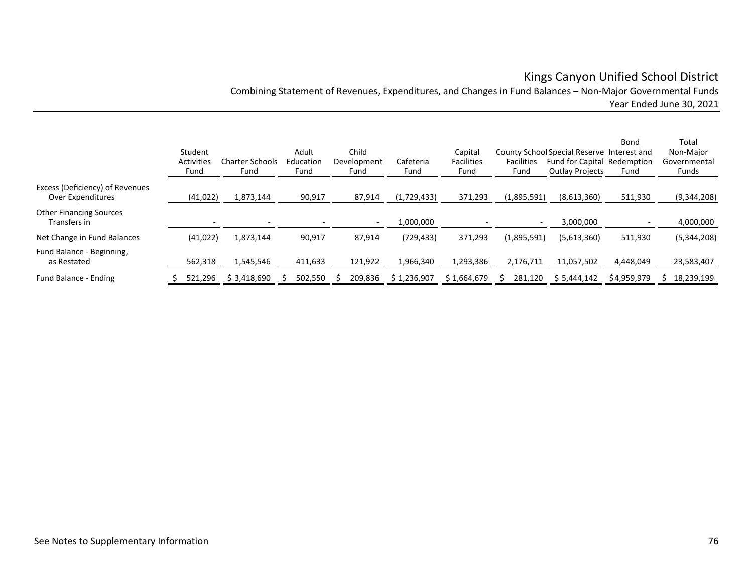Combining Statement of Revenues, Expenditures, and Changes in Fund Balances – Non‐Major Governmental Funds Year Ended June 30, 2021

|                                                      | Student<br><b>Activities</b><br>Fund |           | <b>Charter Schools</b><br>Fund | Adult<br>Education<br>Fund | Child<br>Development<br>Fund | Cafeteria<br>Fund | Capital<br><b>Facilities</b><br>Fund | <b>Facilities</b><br>Fund |                | County School Special Reserve Interest and<br>Fund for Capital Redemption<br><b>Outlay Projects</b> | Bond<br>Fund | Total<br>Non-Major<br>Governmental<br>Funds |
|------------------------------------------------------|--------------------------------------|-----------|--------------------------------|----------------------------|------------------------------|-------------------|--------------------------------------|---------------------------|----------------|-----------------------------------------------------------------------------------------------------|--------------|---------------------------------------------|
| Excess (Deficiency) of Revenues<br>Over Expenditures |                                      | (41, 022) | 1,873,144                      | 90,917                     | 87,914                       | (1,729,433)       | 371,293                              | (1,895,591)               |                | (8,613,360)                                                                                         | 511,930      | (9,344,208)                                 |
| <b>Other Financing Sources</b><br>Transfers in       |                                      |           |                                |                            |                              | 1,000,000         |                                      |                           | $\overline{a}$ | 3,000,000                                                                                           |              | 4,000,000                                   |
| Net Change in Fund Balances                          |                                      | (41, 022) | 1,873,144                      | 90,917                     | 87,914                       | (729, 433)        | 371,293                              | (1,895,591)               |                | (5,613,360)                                                                                         | 511,930      | (5,344,208)                                 |
| Fund Balance - Beginning,<br>as Restated             |                                      | 562,318   | 1,545,546                      | 411,633                    | 121,922                      | 1,966,340         | 1,293,386                            | 2,176,711                 |                | 11,057,502                                                                                          | 4,448,049    | 23,583,407                                  |
| Fund Balance - Ending                                |                                      | 521,296   | \$3,418,690                    | 502,550                    | 209,836                      | \$1,236,907       | \$1,664,679                          | 281,120                   |                | \$5,444,142                                                                                         | \$4,959,979  | 18,239,199                                  |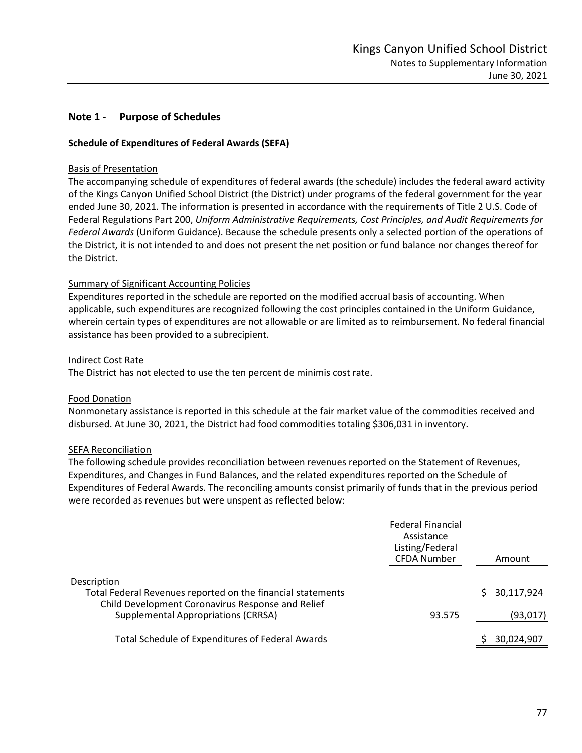## **Note 1 ‐ Purpose of Schedules**

## **Schedule of Expenditures of Federal Awards (SEFA)**

#### Basis of Presentation

The accompanying schedule of expenditures of federal awards (the schedule) includes the federal award activity of the Kings Canyon Unified School District (the District) under programs of the federal government for the year ended June 30, 2021. The information is presented in accordance with the requirements of Title 2 U.S. Code of Federal Regulations Part 200, *Uniform Administrative Requirements, Cost Principles, and Audit Requirements for Federal Awards* (Uniform Guidance). Because the schedule presents only a selected portion of the operations of the District, it is not intended to and does not present the net position or fund balance nor changes thereof for the District.

## Summary of Significant Accounting Policies

Expenditures reported in the schedule are reported on the modified accrual basis of accounting. When applicable, such expenditures are recognized following the cost principles contained in the Uniform Guidance, wherein certain types of expenditures are not allowable or are limited as to reimbursement. No federal financial assistance has been provided to a subrecipient.

## Indirect Cost Rate

The District has not elected to use the ten percent de minimis cost rate.

#### Food Donation

Nonmonetary assistance is reported in this schedule at the fair market value of the commodities received and disbursed. At June 30, 2021, the District had food commodities totaling \$306,031 in inventory.

## SEFA Reconciliation

The following schedule provides reconciliation between revenues reported on the Statement of Revenues, Expenditures, and Changes in Fund Balances, and the related expenditures reported on the Schedule of Expenditures of Federal Awards. The reconciling amounts consist primarily of funds that in the previous period were recorded as revenues but were unspent as reflected below:

|                                                             | <b>Federal Financial</b><br>Assistance<br>Listing/Federal<br><b>CFDA Number</b> | Amount     |
|-------------------------------------------------------------|---------------------------------------------------------------------------------|------------|
| Description                                                 |                                                                                 |            |
| Total Federal Revenues reported on the financial statements |                                                                                 | 30,117,924 |
| Child Development Coronavirus Response and Relief           |                                                                                 |            |
| <b>Supplemental Appropriations (CRRSA)</b>                  | 93.575                                                                          | (93, 017)  |
| Total Schedule of Expenditures of Federal Awards            |                                                                                 | 30,024,907 |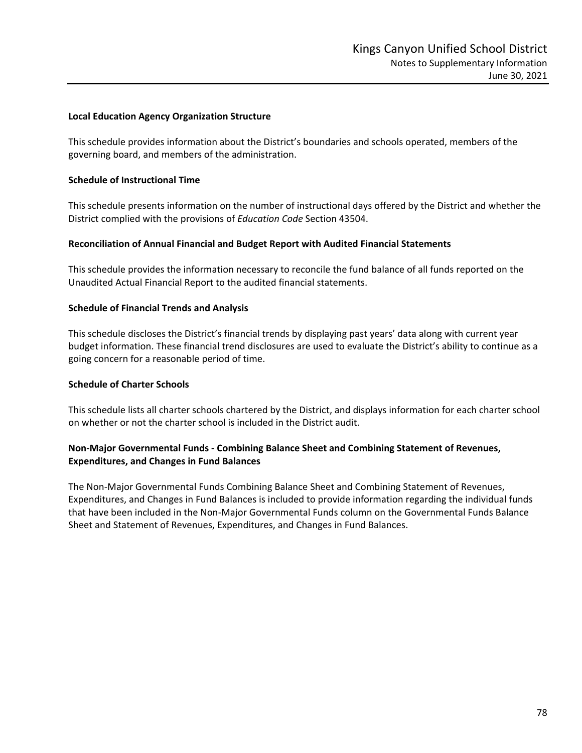## **Local Education Agency Organization Structure**

This schedule provides information about the District's boundaries and schools operated, members of the governing board, and members of the administration.

## **Schedule of Instructional Time**

This schedule presents information on the number of instructional days offered by the District and whether the District complied with the provisions of *Education Code* Section 43504.

## **Reconciliation of Annual Financial and Budget Report with Audited Financial Statements**

This schedule provides the information necessary to reconcile the fund balance of all funds reported on the Unaudited Actual Financial Report to the audited financial statements.

## **Schedule of Financial Trends and Analysis**

This schedule discloses the District's financial trends by displaying past years' data along with current year budget information. These financial trend disclosures are used to evaluate the District's ability to continue as a going concern for a reasonable period of time.

#### **Schedule of Charter Schools**

This schedule lists all charter schools chartered by the District, and displays information for each charter school on whether or not the charter school is included in the District audit.

## **Non‐Major Governmental Funds ‐ Combining Balance Sheet and Combining Statement of Revenues, Expenditures, and Changes in Fund Balances**

The Non‐Major Governmental Funds Combining Balance Sheet and Combining Statement of Revenues, Expenditures, and Changes in Fund Balances is included to provide information regarding the individual funds that have been included in the Non‐Major Governmental Funds column on the Governmental Funds Balance Sheet and Statement of Revenues, Expenditures, and Changes in Fund Balances.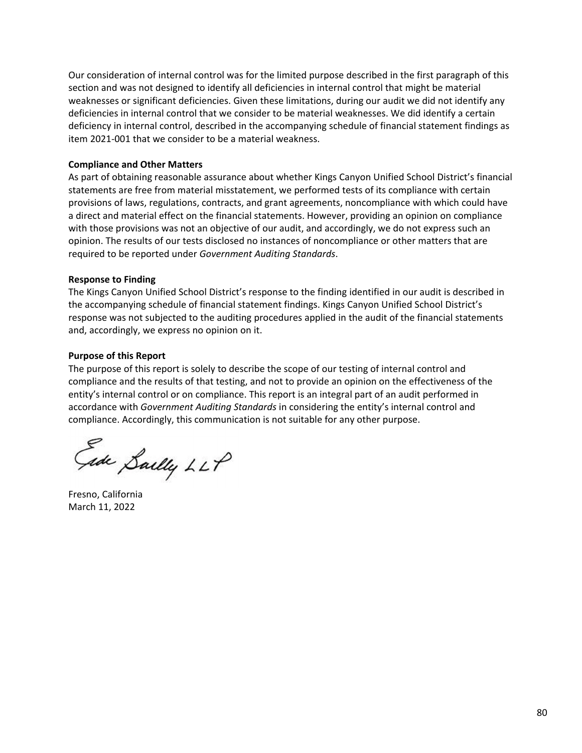Our consideration of internal control was for the limited purpose described in the first paragraph of this section and was not designed to identify all deficiencies in internal control that might be material weaknesses or significant deficiencies. Given these limitations, during our audit we did not identify any deficiencies in internal control that we consider to be material weaknesses. We did identify a certain deficiency in internal control, described in the accompanying schedule of financial statement findings as item 2021‐001 that we consider to be a material weakness.

## **Compliance and Other Matters**

As part of obtaining reasonable assurance about whether Kings Canyon Unified School District's financial statements are free from material misstatement, we performed tests of its compliance with certain provisions of laws, regulations, contracts, and grant agreements, noncompliance with which could have a direct and material effect on the financial statements. However, providing an opinion on compliance with those provisions was not an objective of our audit, and accordingly, we do not express such an opinion. The results of our tests disclosed no instances of noncompliance or other matters that are required to be reported under *Government Auditing Standards*.

#### **Response to Finding**

The Kings Canyon Unified School District's response to the finding identified in our audit is described in the accompanying schedule of financial statement findings. Kings Canyon Unified School District's response was not subjected to the auditing procedures applied in the audit of the financial statements and, accordingly, we express no opinion on it.

#### **Purpose of this Report**

The purpose of this report is solely to describe the scope of our testing of internal control and compliance and the results of that testing, and not to provide an opinion on the effectiveness of the entity's internal control or on compliance. This report is an integral part of an audit performed in accordance with *Government Auditing Standards* in considering the entity's internal control and compliance. Accordingly, this communication is not suitable for any other purpose.

Fade Sailly LLP

Fresno, California March 11, 2022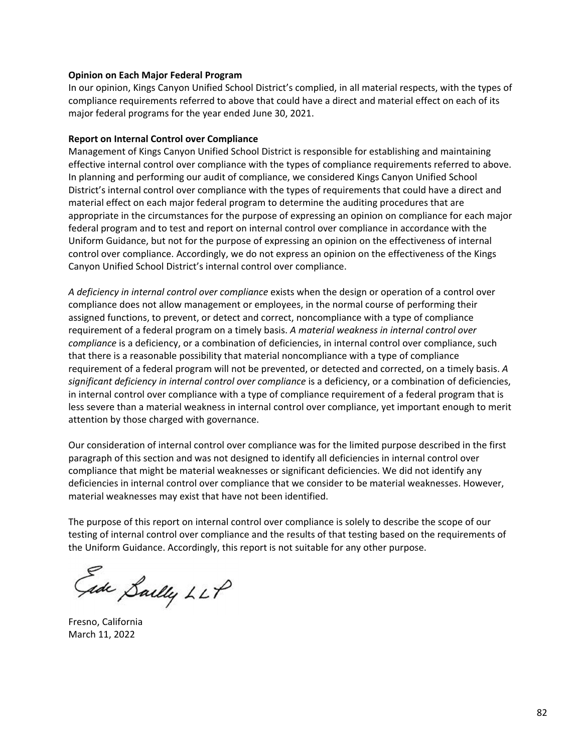## **Opinion on Each Major Federal Program**

In our opinion, Kings Canyon Unified School District's complied, in all material respects, with the types of compliance requirements referred to above that could have a direct and material effect on each of its major federal programs for the year ended June 30, 2021.

## **Report on Internal Control over Compliance**

Management of Kings Canyon Unified School District is responsible for establishing and maintaining effective internal control over compliance with the types of compliance requirements referred to above. In planning and performing our audit of compliance, we considered Kings Canyon Unified School District's internal control over compliance with the types of requirements that could have a direct and material effect on each major federal program to determine the auditing procedures that are appropriate in the circumstances for the purpose of expressing an opinion on compliance for each major federal program and to test and report on internal control over compliance in accordance with the Uniform Guidance, but not for the purpose of expressing an opinion on the effectiveness of internal control over compliance. Accordingly, we do not express an opinion on the effectiveness of the Kings Canyon Unified School District's internal control over compliance.

*A deficiency in internal control over compliance* exists when the design or operation of a control over compliance does not allow management or employees, in the normal course of performing their assigned functions, to prevent, or detect and correct, noncompliance with a type of compliance requirement of a federal program on a timely basis. *A material weakness in internal control over compliance* is a deficiency, or a combination of deficiencies, in internal control over compliance, such that there is a reasonable possibility that material noncompliance with a type of compliance requirement of a federal program will not be prevented, or detected and corrected, on a timely basis. *A significant deficiency in internal control over compliance* is a deficiency, or a combination of deficiencies, in internal control over compliance with a type of compliance requirement of a federal program that is less severe than a material weakness in internal control over compliance, yet important enough to merit attention by those charged with governance.

Our consideration of internal control over compliance was for the limited purpose described in the first paragraph of this section and was not designed to identify all deficiencies in internal control over compliance that might be material weaknesses or significant deficiencies. We did not identify any deficiencies in internal control over compliance that we consider to be material weaknesses. However, material weaknesses may exist that have not been identified.

The purpose of this report on internal control over compliance is solely to describe the scope of our testing of internal control over compliance and the results of that testing based on the requirements of the Uniform Guidance. Accordingly, this report is not suitable for any other purpose.

Gide Sailly LLP

Fresno, California March 11, 2022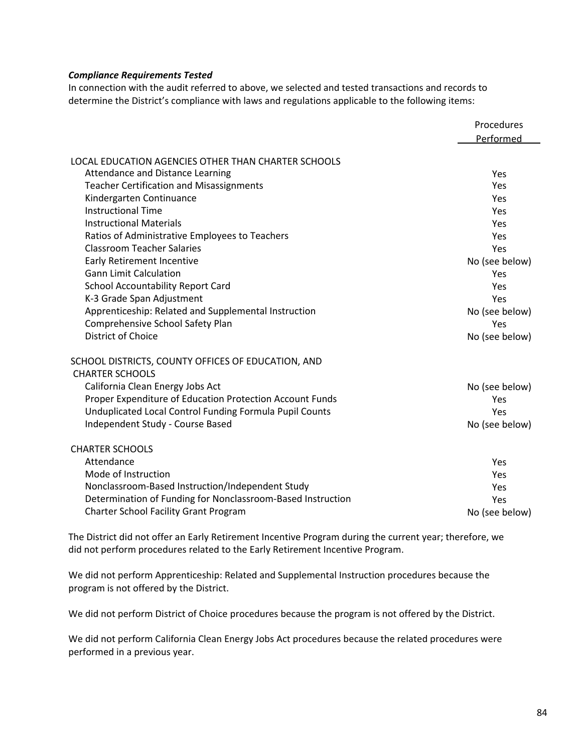#### *Compliance Requirements Tested*

In connection with the audit referred to above, we selected and tested transactions and records to determine the District's compliance with laws and regulations applicable to the following items:

|                                                                              | Procedures<br>Performed |
|------------------------------------------------------------------------------|-------------------------|
|                                                                              |                         |
| LOCAL EDUCATION AGENCIES OTHER THAN CHARTER SCHOOLS                          |                         |
| <b>Attendance and Distance Learning</b>                                      | <b>Yes</b>              |
| <b>Teacher Certification and Misassignments</b>                              | Yes                     |
| Kindergarten Continuance                                                     | Yes                     |
| <b>Instructional Time</b>                                                    | Yes                     |
| <b>Instructional Materials</b>                                               | Yes                     |
| Ratios of Administrative Employees to Teachers                               | Yes                     |
| Classroom Teacher Salaries                                                   | Yes                     |
| <b>Early Retirement Incentive</b>                                            | No (see below)          |
| <b>Gann Limit Calculation</b>                                                | Yes                     |
| <b>School Accountability Report Card</b>                                     | Yes                     |
| K-3 Grade Span Adjustment                                                    | Yes                     |
| Apprenticeship: Related and Supplemental Instruction                         | No (see below)          |
| Comprehensive School Safety Plan                                             | Yes                     |
| District of Choice                                                           | No (see below)          |
| SCHOOL DISTRICTS, COUNTY OFFICES OF EDUCATION, AND<br><b>CHARTER SCHOOLS</b> |                         |
| California Clean Energy Jobs Act                                             |                         |
| Proper Expenditure of Education Protection Account Funds                     | No (see below)<br>Yes   |
| Unduplicated Local Control Funding Formula Pupil Counts                      | Yes                     |
| Independent Study - Course Based                                             | No (see below)          |
|                                                                              |                         |
| <b>CHARTER SCHOOLS</b>                                                       |                         |
| Attendance                                                                   | Yes                     |
| Mode of Instruction                                                          | Yes                     |
| Nonclassroom-Based Instruction/Independent Study                             | Yes                     |
| Determination of Funding for Nonclassroom-Based Instruction                  | Yes                     |
| <b>Charter School Facility Grant Program</b>                                 | No (see below)          |

The District did not offer an Early Retirement Incentive Program during the current year; therefore, we did not perform procedures related to the Early Retirement Incentive Program.

We did not perform Apprenticeship: Related and Supplemental Instruction procedures because the program is not offered by the District.

We did not perform District of Choice procedures because the program is not offered by the District.

We did not perform California Clean Energy Jobs Act procedures because the related procedures were performed in a previous year.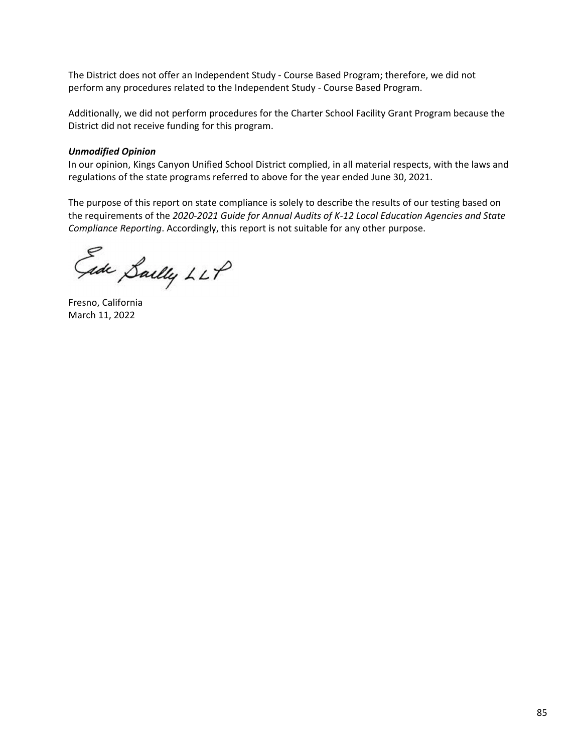The District does not offer an Independent Study ‐ Course Based Program; therefore, we did not perform any procedures related to the Independent Study ‐ Course Based Program.

Additionally, we did not perform procedures for the Charter School Facility Grant Program because the District did not receive funding for this program.

## *Unmodified Opinion*

In our opinion, Kings Canyon Unified School District complied, in all material respects, with the laws and regulations of the state programs referred to above for the year ended June 30, 2021.

The purpose of this report on state compliance is solely to describe the results of our testing based on the requirements of the *2020‐2021 Guide for Annual Audits of K‐12 Local Education Agencies and State Compliance Reporting*. Accordingly, this report is not suitable for any other purpose.

Fede Sailly LLP

Fresno, California March 11, 2022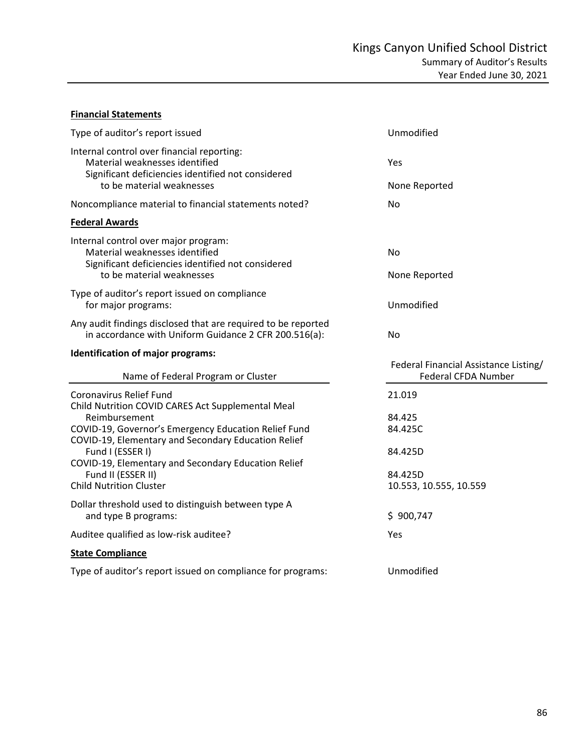## **Financial Statements**

| Type of auditor's report issued                                                                                                                                                                                                                                                                                                                 | Unmodified                                                                  |
|-------------------------------------------------------------------------------------------------------------------------------------------------------------------------------------------------------------------------------------------------------------------------------------------------------------------------------------------------|-----------------------------------------------------------------------------|
| Internal control over financial reporting:<br>Material weaknesses identified<br>Significant deficiencies identified not considered<br>to be material weaknesses                                                                                                                                                                                 | Yes<br>None Reported                                                        |
| Noncompliance material to financial statements noted?                                                                                                                                                                                                                                                                                           | No                                                                          |
| <b>Federal Awards</b>                                                                                                                                                                                                                                                                                                                           |                                                                             |
| Internal control over major program:<br>Material weaknesses identified<br>Significant deficiencies identified not considered<br>to be material weaknesses                                                                                                                                                                                       | No<br>None Reported                                                         |
| Type of auditor's report issued on compliance<br>for major programs:                                                                                                                                                                                                                                                                            | Unmodified                                                                  |
| Any audit findings disclosed that are required to be reported<br>in accordance with Uniform Guidance 2 CFR 200.516(a):                                                                                                                                                                                                                          | <b>No</b>                                                                   |
| Identification of major programs:                                                                                                                                                                                                                                                                                                               |                                                                             |
| Name of Federal Program or Cluster                                                                                                                                                                                                                                                                                                              | Federal Financial Assistance Listing/<br><b>Federal CFDA Number</b>         |
| Coronavirus Relief Fund<br>Child Nutrition COVID CARES Act Supplemental Meal<br>Reimbursement<br>COVID-19, Governor's Emergency Education Relief Fund<br>COVID-19, Elementary and Secondary Education Relief<br>Fund I (ESSER I)<br>COVID-19, Elementary and Secondary Education Relief<br>Fund II (ESSER II)<br><b>Child Nutrition Cluster</b> | 21.019<br>84.425<br>84.425C<br>84.425D<br>84.425D<br>10.553, 10.555, 10.559 |
| Dollar threshold used to distinguish between type A<br>and type B programs:                                                                                                                                                                                                                                                                     | \$900,747                                                                   |
|                                                                                                                                                                                                                                                                                                                                                 |                                                                             |
| Auditee qualified as low-risk auditee?                                                                                                                                                                                                                                                                                                          | Yes                                                                         |
| <b>State Compliance</b>                                                                                                                                                                                                                                                                                                                         |                                                                             |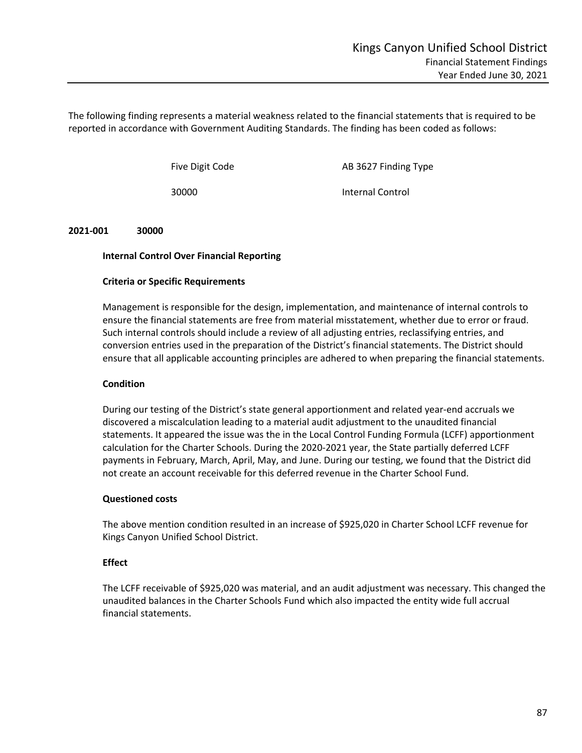The following finding represents a material weakness related to the financial statements that is required to be reported in accordance with Government Auditing Standards. The finding has been coded as follows:

Five Digit Code **8 AB 3627 Finding Type** 

30000 Internal Control

**2021‐001 30000**

## **Internal Control Over Financial Reporting**

## **Criteria or Specific Requirements**

Management is responsible for the design, implementation, and maintenance of internal controls to ensure the financial statements are free from material misstatement, whether due to error or fraud. Such internal controls should include a review of all adjusting entries, reclassifying entries, and conversion entries used in the preparation of the District's financial statements. The District should ensure that all applicable accounting principles are adhered to when preparing the financial statements.

#### **Condition**

During our testing of the District's state general apportionment and related year‐end accruals we discovered a miscalculation leading to a material audit adjustment to the unaudited financial statements. It appeared the issue was the in the Local Control Funding Formula (LCFF) apportionment calculation for the Charter Schools. During the 2020‐2021 year, the State partially deferred LCFF payments in February, March, April, May, and June. During our testing, we found that the District did not create an account receivable for this deferred revenue in the Charter School Fund.

#### **Questioned costs**

The above mention condition resulted in an increase of \$925,020 in Charter School LCFF revenue for Kings Canyon Unified School District.

## **Effect**

The LCFF receivable of \$925,020 was material, and an audit adjustment was necessary. This changed the unaudited balances in the Charter Schools Fund which also impacted the entity wide full accrual financial statements.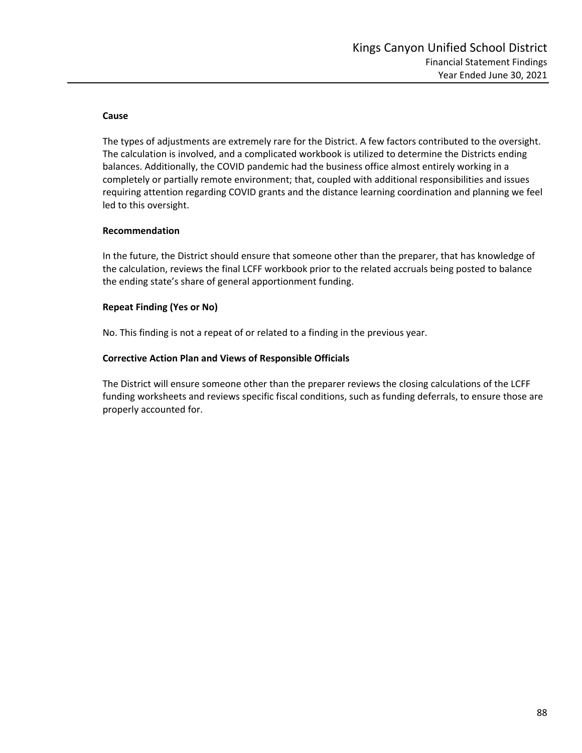## **Cause**

The types of adjustments are extremely rare for the District. A few factors contributed to the oversight. The calculation is involved, and a complicated workbook is utilized to determine the Districts ending balances. Additionally, the COVID pandemic had the business office almost entirely working in a completely or partially remote environment; that, coupled with additional responsibilities and issues requiring attention regarding COVID grants and the distance learning coordination and planning we feel led to this oversight.

## **Recommendation**

In the future, the District should ensure that someone other than the preparer, that has knowledge of the calculation, reviews the final LCFF workbook prior to the related accruals being posted to balance the ending state's share of general apportionment funding.

## **Repeat Finding (Yes or No)**

No. This finding is not a repeat of or related to a finding in the previous year.

## **Corrective Action Plan and Views of Responsible Officials**

The District will ensure someone other than the preparer reviews the closing calculations of the LCFF funding worksheets and reviews specific fiscal conditions, such as funding deferrals, to ensure those are properly accounted for.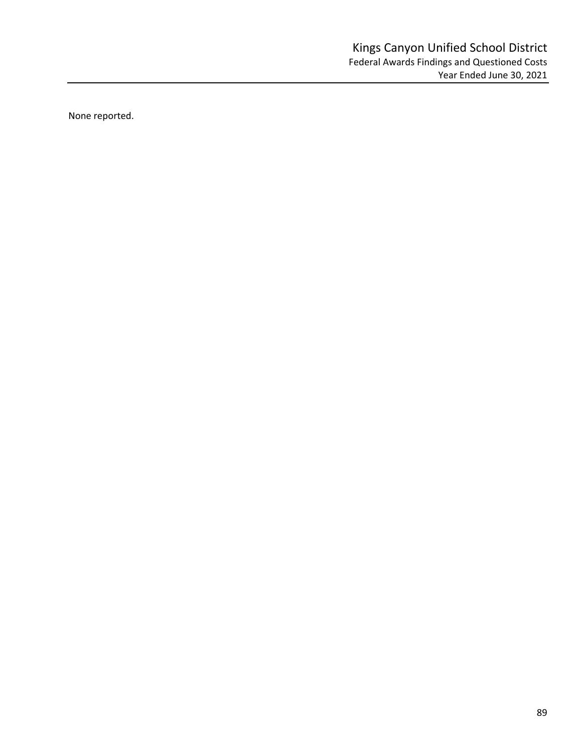None reported.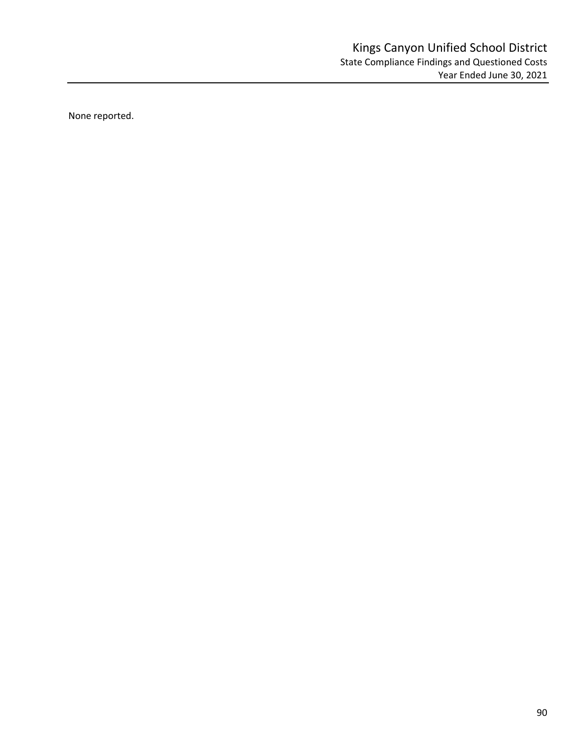None reported.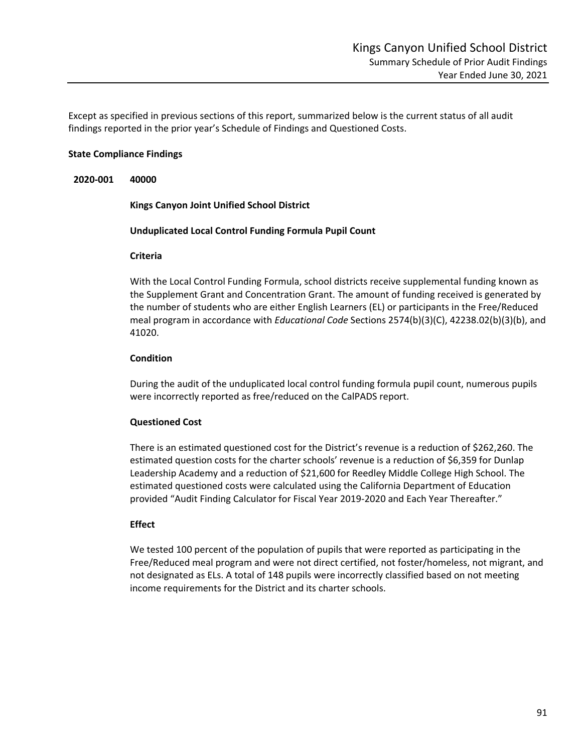Except as specified in previous sections of this report, summarized below is the current status of all audit findings reported in the prior year's Schedule of Findings and Questioned Costs.

## **State Compliance Findings**

## **2020‐001 40000**

**Kings Canyon Joint Unified School District**

**Unduplicated Local Control Funding Formula Pupil Count**

#### **Criteria**

With the Local Control Funding Formula, school districts receive supplemental funding known as the Supplement Grant and Concentration Grant. The amount of funding received is generated by the number of students who are either English Learners (EL) or participants in the Free/Reduced meal program in accordance with *Educational Code* Sections 2574(b)(3)(C), 42238.02(b)(3)(b), and 41020.

## **Condition**

During the audit of the unduplicated local control funding formula pupil count, numerous pupils were incorrectly reported as free/reduced on the CalPADS report.

## **Questioned Cost**

There is an estimated questioned cost for the District's revenue is a reduction of \$262,260. The estimated question costs for the charter schools' revenue is a reduction of \$6,359 for Dunlap Leadership Academy and a reduction of \$21,600 for Reedley Middle College High School. The estimated questioned costs were calculated using the California Department of Education provided "Audit Finding Calculator for Fiscal Year 2019‐2020 and Each Year Thereafter."

#### **Effect**

We tested 100 percent of the population of pupils that were reported as participating in the Free/Reduced meal program and were not direct certified, not foster/homeless, not migrant, and not designated as ELs. A total of 148 pupils were incorrectly classified based on not meeting income requirements for the District and its charter schools.